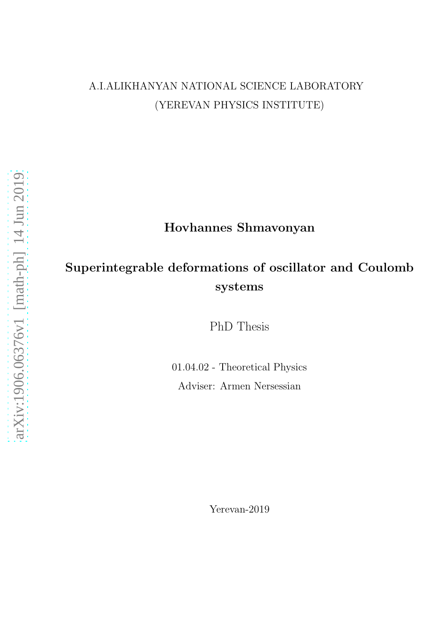## A.I.ALIKHANYAN NATIONAL SCIENCE LABORATORY (YEREVAN PHYSICS INSTITUTE)

## Hovhannes Shmavonyan

## Superintegrable deformations of oscillator and Coulomb systems

PhD Thesis

01.04.02 - Theoretical Physics Adviser: Armen Nersessian

Yerevan-2019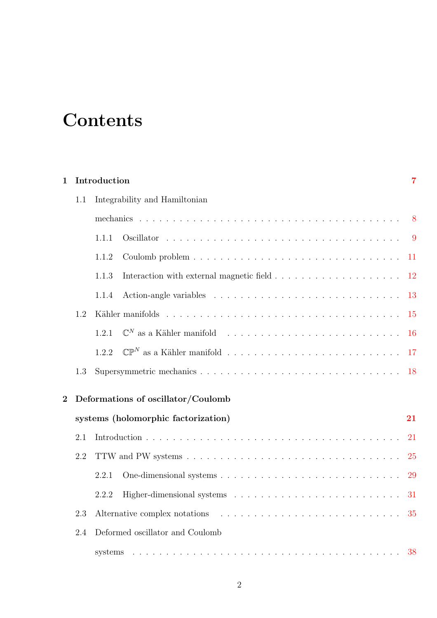## **Contents**

| 1              |     | Introduction                                                                                                  | 7             |
|----------------|-----|---------------------------------------------------------------------------------------------------------------|---------------|
|                | 1.1 | Integrability and Hamiltonian                                                                                 |               |
|                |     |                                                                                                               |               |
|                |     | 1.1.1                                                                                                         |               |
|                |     | 1.1.2                                                                                                         |               |
|                |     | 1.1.3<br>Interaction with external magnetic field $\ldots \ldots \ldots \ldots \ldots \ldots \ldots 12$       |               |
|                |     | 1.1.4                                                                                                         | -13           |
|                | 1.2 |                                                                                                               | <sup>15</sup> |
|                |     | $\mathbb{C}^N$ as a Kähler manifold $\ldots \ldots \ldots \ldots \ldots \ldots \ldots \ldots \ldots$<br>1.2.1 | -16           |
|                |     | 1.2.2                                                                                                         |               |
|                | 1.3 |                                                                                                               |               |
| $\overline{2}$ |     | Deformations of oscillator/Coulomb                                                                            |               |
|                |     | systems (holomorphic factorization)                                                                           | 21            |
|                | 2.1 |                                                                                                               | 21            |
|                | 2.2 |                                                                                                               | 25            |
|                |     | 2.2.1                                                                                                         | 29            |
|                |     | 2.2.2                                                                                                         | 31            |
|                | 2.3 |                                                                                                               |               |
|                | 2.4 | Deformed oscillator and Coulomb                                                                               |               |
|                |     |                                                                                                               |               |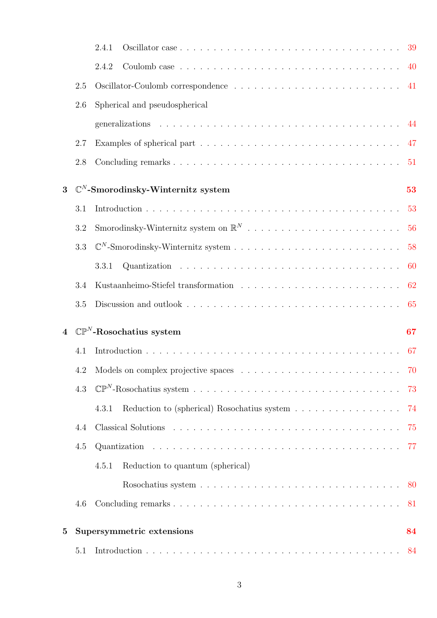|                |         | 2.4.1                                                                                        |      |
|----------------|---------|----------------------------------------------------------------------------------------------|------|
|                |         | 2.4.2                                                                                        | 40   |
|                | 2.5     |                                                                                              |      |
|                | 2.6     | Spherical and pseudospherical                                                                |      |
|                |         |                                                                                              |      |
|                | 2.7     |                                                                                              |      |
|                | 2.8     |                                                                                              | 51   |
| 3              |         | $\mathbb{C}^N$ -Smorodinsky-Winternitz system                                                | 53   |
|                | 3.1     |                                                                                              |      |
|                | 3.2     |                                                                                              | 56   |
|                | 3.3     |                                                                                              | 58   |
|                |         | 3.3.1                                                                                        | - 60 |
|                | 3.4     |                                                                                              | 62   |
|                |         |                                                                                              |      |
|                | $3.5\,$ |                                                                                              | 65   |
| $\overline{4}$ |         | $\mathbb{CP}^N$ -Rosochatius system                                                          | 67   |
|                | 4.1     |                                                                                              | 67   |
|                |         |                                                                                              |      |
|                | 4.3     |                                                                                              |      |
|                |         | Reduction to (spherical) Rosochatius system $\ldots \ldots \ldots \ldots \ldots$ 74<br>4.3.1 |      |
|                | 4.4     |                                                                                              |      |
|                | 4.5     |                                                                                              |      |
|                |         | Reduction to quantum (spherical)<br>4.5.1                                                    |      |
|                |         |                                                                                              | 80   |
|                | 4.6     |                                                                                              | 81   |
| $\bf{5}$       |         | Supersymmetric extensions                                                                    | 84   |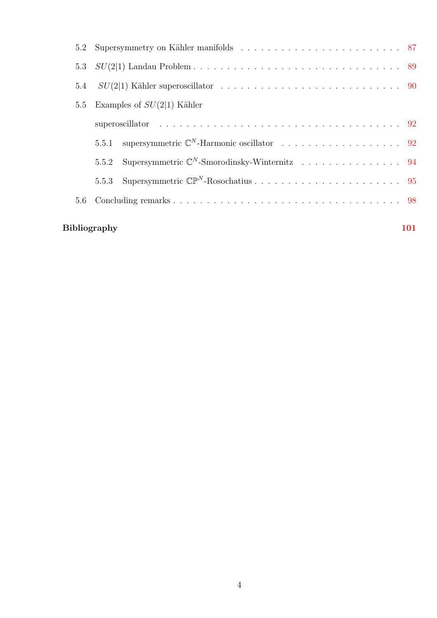|     | <b>Bibliography</b>          | <b>101</b> |
|-----|------------------------------|------------|
| 5.6 |                              |            |
|     |                              |            |
|     | 5.5.2                        |            |
|     |                              |            |
|     |                              |            |
| 5.5 | Examples of $SU(2 1)$ Kähler |            |
|     |                              |            |
|     |                              |            |
| 5.2 |                              |            |

#### 4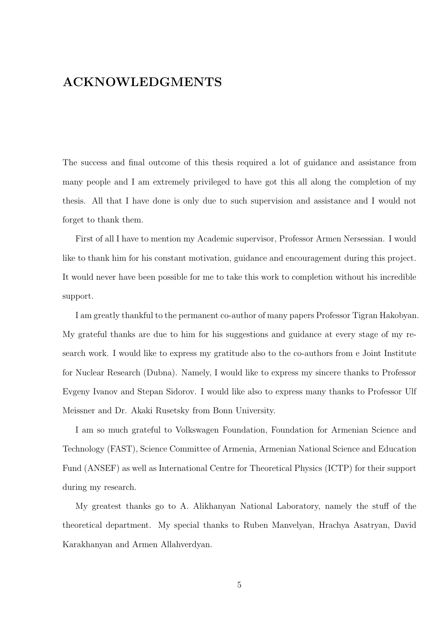## ACKNOWLEDGMENTS

The success and final outcome of this thesis required a lot of guidance and assistance from many people and I am extremely privileged to have got this all along the completion of my thesis. All that I have done is only due to such supervision and assistance and I would not forget to thank them.

First of all I have to mention my Academic supervisor, Professor Armen Nersessian. I would like to thank him for his constant motivation, guidance and encouragement during this project. It would never have been possible for me to take this work to completion without his incredible support.

I am greatly thankful to the permanent co-author of many papers Professor Tigran Hakobyan. My grateful thanks are due to him for his suggestions and guidance at every stage of my research work. I would like to express my gratitude also to the co-authors from e Joint Institute for Nuclear Research (Dubna). Namely, I would like to express my sincere thanks to Professor Evgeny Ivanov and Stepan Sidorov. I would like also to express many thanks to Professor Ulf Meissner and Dr. Akaki Rusetsky from Bonn University.

I am so much grateful to Volkswagen Foundation, Foundation for Armenian Science and Technology (FAST), Science Committee of Armenia, Armenian National Science and Education Fund (ANSEF) as well as International Centre for Theoretical Physics (ICTP) for their support during my research.

My greatest thanks go to A. Alikhanyan National Laboratory, namely the stuff of the theoretical department. My special thanks to Ruben Manvelyan, Hrachya Asatryan, David Karakhanyan and Armen Allahverdyan.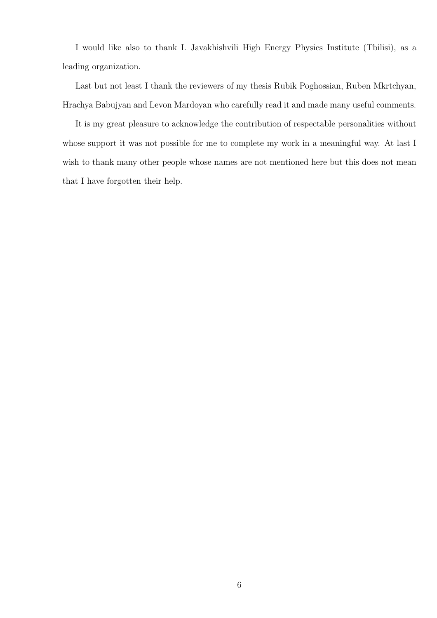I would like also to thank I. Javakhishvili High Energy Physics Institute (Tbilisi), as a leading organization.

Last but not least I thank the reviewers of my thesis Rubik Poghossian, Ruben Mkrtchyan, Hrachya Babujyan and Levon Mardoyan who carefully read it and made many useful comments.

It is my great pleasure to acknowledge the contribution of respectable personalities without whose support it was not possible for me to complete my work in a meaningful way. At last I wish to thank many other people whose names are not mentioned here but this does not mean that I have forgotten their help.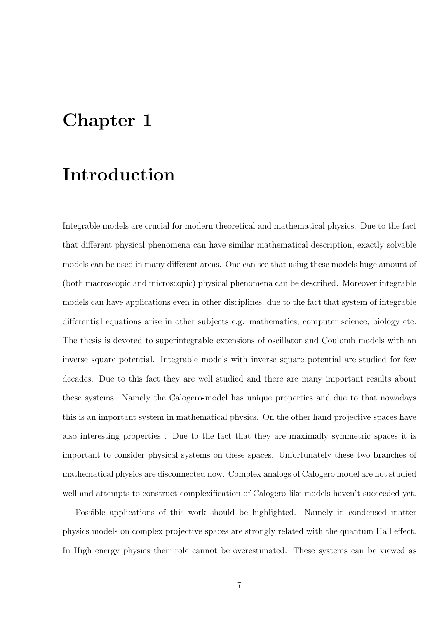## <span id="page-6-0"></span>Chapter 1

## Introduction

Integrable models are crucial for modern theoretical and mathematical physics. Due to the fact that different physical phenomena can have similar mathematical description, exactly solvable models can be used in many different areas. One can see that using these models huge amount of (both macroscopic and microscopic) physical phenomena can be described. Moreover integrable models can have applications even in other disciplines, due to the fact that system of integrable differential equations arise in other subjects e.g. mathematics, computer science, biology etc. The thesis is devoted to superintegrable extensions of oscillator and Coulomb models with an inverse square potential. Integrable models with inverse square potential are studied for few decades. Due to this fact they are well studied and there are many important results about these systems. Namely the Calogero-model has unique properties and due to that nowadays this is an important system in mathematical physics. On the other hand projective spaces have also interesting properties . Due to the fact that they are maximally symmetric spaces it is important to consider physical systems on these spaces. Unfortunately these two branches of mathematical physics are disconnected now. Complex analogs of Calogero model are not studied well and attempts to construct complexification of Calogero-like models haven't succeeded yet.

Possible applications of this work should be highlighted. Namely in condensed matter physics models on complex projective spaces are strongly related with the quantum Hall effect. In High energy physics their role cannot be overestimated. These systems can be viewed as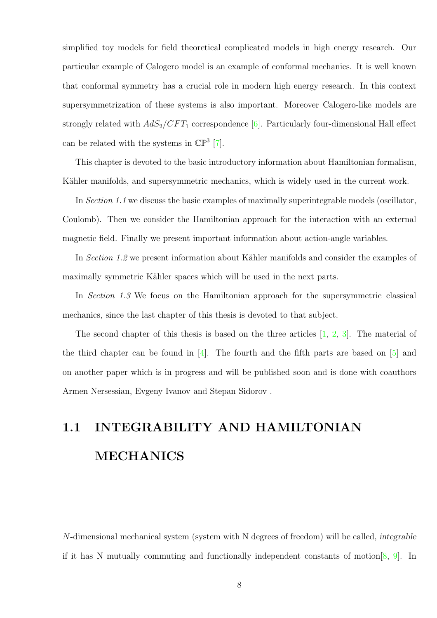simplified toy models for field theoretical complicated models in high energy research. Our particular example of Calogero model is an example of conformal mechanics. It is well known that conformal symmetry has a crucial role in modern high energy research. In this context supersymmetrization of these systems is also important. Moreover Calogero-like models are strongly related with  $AdS_2/CFT_1$  correspondence [\[6\]](#page-100-1). Particularly four-dimensional Hall effect can be related with the systems in  $\mathbb{CP}^3$  [\[7\]](#page-100-2).

This chapter is devoted to the basic introductory information about Hamiltonian formalism, Kähler manifolds, and supersymmetric mechanics, which is widely used in the current work.

In Section 1.1 we discuss the basic examples of maximally superintegrable models (oscillator, Coulomb). Then we consider the Hamiltonian approach for the interaction with an external magnetic field. Finally we present important information about action-angle variables.

In Section 1.2 we present information about Kähler manifolds and consider the examples of maximally symmetric Kähler spaces which will be used in the next parts.

In Section 1.3 We focus on the Hamiltonian approach for the supersymmetric classical mechanics, since the last chapter of this thesis is devoted to that subject.

The second chapter of this thesis is based on the three articles [\[1,](#page-100-3) [2,](#page-100-4) [3\]](#page-100-5). The material of the third chapter can be found in  $[4]$ . The fourth and the fifth parts are based on  $[5]$  and on another paper which is in progress and will be published soon and is done with coauthors Armen Nersessian, Evgeny Ivanov and Stepan Sidorov .

# <span id="page-7-0"></span>1.1 INTEGRABILITY AND HAMILTONIAN MECHANICS

N-dimensional mechanical system (system with N degrees of freedom) will be called, integrable if it has N mutually commuting and functionally independent constants of motion  $[8, 9]$  $[8, 9]$  $[8, 9]$ . In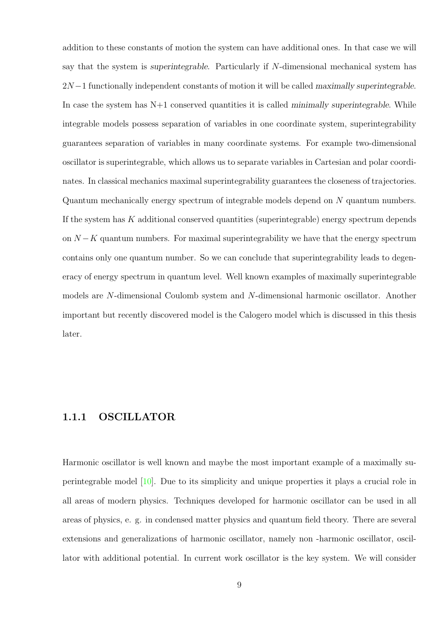addition to these constants of motion the system can have additional ones. In that case we will say that the system is superintegrable. Particularly if N-dimensional mechanical system has  $2N-1$  functionally independent constants of motion it will be called maximally superintegrable. In case the system has  $N+1$  conserved quantities it is called minimally superintegrable. While integrable models possess separation of variables in one coordinate system, superintegrability guarantees separation of variables in many coordinate systems. For example two-dimensional oscillator is superintegrable, which allows us to separate variables in Cartesian and polar coordinates. In classical mechanics maximal superintegrability guarantees the closeness of trajectories. Quantum mechanically energy spectrum of integrable models depend on N quantum numbers. If the system has  $K$  additional conserved quantities (superintegrable) energy spectrum depends on  $N - K$  quantum numbers. For maximal superintegrability we have that the energy spectrum contains only one quantum number. So we can conclude that superintegrability leads to degeneracy of energy spectrum in quantum level. Well known examples of maximally superintegrable models are N-dimensional Coulomb system and N-dimensional harmonic oscillator. Another important but recently discovered model is the Calogero model which is discussed in this thesis later.

#### <span id="page-8-0"></span>1.1.1 OSCILLATOR

Harmonic oscillator is well known and maybe the most important example of a maximally superintegrable model [\[10\]](#page-101-0). Due to its simplicity and unique properties it plays a crucial role in all areas of modern physics. Techniques developed for harmonic oscillator can be used in all areas of physics, e. g. in condensed matter physics and quantum field theory. There are several extensions and generalizations of harmonic oscillator, namely non -harmonic oscillator, oscillator with additional potential. In current work oscillator is the key system. We will consider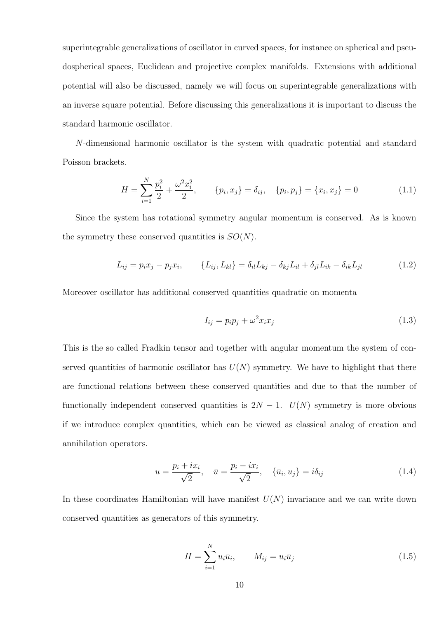superintegrable generalizations of oscillator in curved spaces, for instance on spherical and pseudospherical spaces, Euclidean and projective complex manifolds. Extensions with additional potential will also be discussed, namely we will focus on superintegrable generalizations with an inverse square potential. Before discussing this generalizations it is important to discuss the standard harmonic oscillator.

N-dimensional harmonic oscillator is the system with quadratic potential and standard Poisson brackets.

<span id="page-9-0"></span>
$$
H = \sum_{i=1}^{N} \frac{p_i^2}{2} + \frac{\omega^2 x_i^2}{2}, \qquad \{p_i, x_j\} = \delta_{ij}, \quad \{p_i, p_j\} = \{x_i, x_j\} = 0
$$
\n(1.1)

Since the system has rotational symmetry angular momentum is conserved. As is known the symmetry these conserved quantities is  $SO(N)$ .

$$
L_{ij} = p_i x_j - p_j x_i, \qquad \{L_{ij}, L_{kl}\} = \delta_{il} L_{kj} - \delta_{kj} L_{il} + \delta_{jl} L_{ik} - \delta_{ik} L_{jl} \tag{1.2}
$$

Moreover oscillator has additional conserved quantities quadratic on momenta

$$
I_{ij} = p_i p_j + \omega^2 x_i x_j \tag{1.3}
$$

This is the so called Fradkin tensor and together with angular momentum the system of conserved quantities of harmonic oscillator has  $U(N)$  symmetry. We have to highlight that there are functional relations between these conserved quantities and due to that the number of functionally independent conserved quantities is  $2N - 1$ .  $U(N)$  symmetry is more obvious if we introduce complex quantities, which can be viewed as classical analog of creation and annihilation operators.

$$
u = \frac{p_i + ix_i}{\sqrt{2}}, \quad \bar{u} = \frac{p_i - ix_i}{\sqrt{2}}, \quad \{\bar{u}_i, u_j\} = i\delta_{ij}
$$
 (1.4)

In these coordinates Hamiltonian will have manifest  $U(N)$  invariance and we can write down conserved quantities as generators of this symmetry.

$$
H = \sum_{i=1}^{N} u_i \bar{u}_i, \qquad M_{ij} = u_i \bar{u}_j
$$
\n(1.5)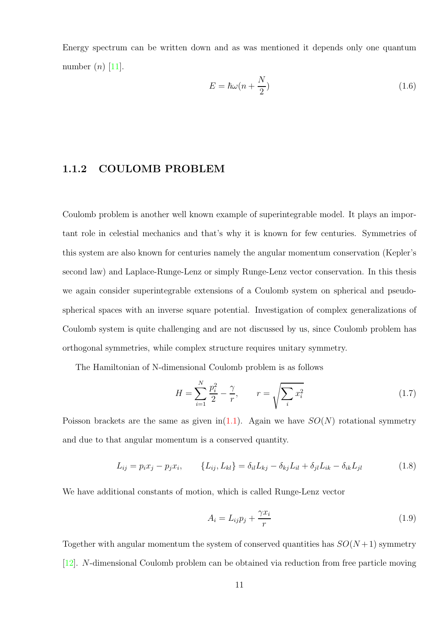Energy spectrum can be written down and as was mentioned it depends only one quantum number  $(n)$  [\[11\]](#page-101-1).

$$
E = \hbar\omega(n + \frac{N}{2})\tag{1.6}
$$

#### <span id="page-10-0"></span>1.1.2 COULOMB PROBLEM

Coulomb problem is another well known example of superintegrable model. It plays an important role in celestial mechanics and that's why it is known for few centuries. Symmetries of this system are also known for centuries namely the angular momentum conservation (Kepler's second law) and Laplace-Runge-Lenz or simply Runge-Lenz vector conservation. In this thesis we again consider superintegrable extensions of a Coulomb system on spherical and pseudospherical spaces with an inverse square potential. Investigation of complex generalizations of Coulomb system is quite challenging and are not discussed by us, since Coulomb problem has orthogonal symmetries, while complex structure requires unitary symmetry.

The Hamiltonian of N-dimensional Coulomb problem is as follows

$$
H = \sum_{i=1}^{N} \frac{p_i^2}{2} - \frac{\gamma}{r}, \qquad r = \sqrt{\sum_i x_i^2}
$$
 (1.7)

Poisson brackets are the same as given in[\(1.1\)](#page-9-0). Again we have  $SO(N)$  rotational symmetry and due to that angular momentum is a conserved quantity.

$$
L_{ij} = p_i x_j - p_j x_i, \qquad \{L_{ij}, L_{kl}\} = \delta_{il} L_{kj} - \delta_{kj} L_{il} + \delta_{jl} L_{ik} - \delta_{ik} L_{jl} \tag{1.8}
$$

We have additional constants of motion, which is called Runge-Lenz vector

$$
A_i = L_{ij}p_j + \frac{\gamma x_i}{r}
$$
\n<sup>(1.9)</sup>

Together with angular momentum the system of conserved quantities has  $SO(N+1)$  symmetry [\[12\]](#page-101-2). N-dimensional Coulomb problem can be obtained via reduction from free particle moving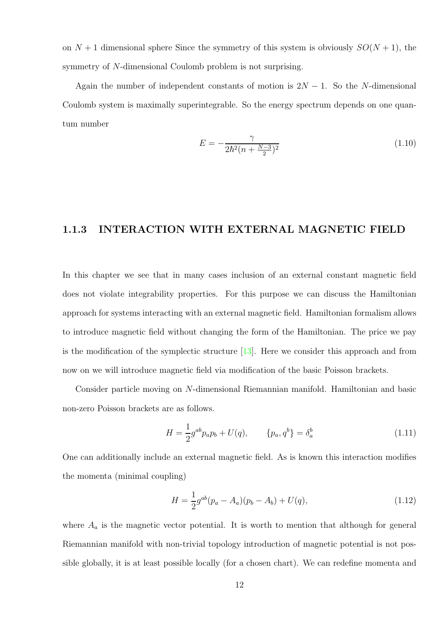on  $N + 1$  dimensional sphere Since the symmetry of this system is obviously  $SO(N + 1)$ , the symmetry of N-dimensional Coulomb problem is not surprising.

Again the number of independent constants of motion is  $2N - 1$ . So the N-dimensional Coulomb system is maximally superintegrable. So the energy spectrum depends on one quantum number

$$
E = -\frac{\gamma}{2\hbar^2(n + \frac{N-3}{2})^2} \tag{1.10}
$$

#### <span id="page-11-0"></span>1.1.3 INTERACTION WITH EXTERNAL MAGNETIC FIELD

In this chapter we see that in many cases inclusion of an external constant magnetic field does not violate integrability properties. For this purpose we can discuss the Hamiltonian approach for systems interacting with an external magnetic field. Hamiltonian formalism allows to introduce magnetic field without changing the form of the Hamiltonian. The price we pay is the modification of the symplectic structure  $[13]$ . Here we consider this approach and from now on we will introduce magnetic field via modification of the basic Poisson brackets.

Consider particle moving on N-dimensional Riemannian manifold. Hamiltonian and basic non-zero Poisson brackets are as follows.

$$
H = \frac{1}{2}g^{ab}p_a p_b + U(q), \qquad \{p_a, q^b\} = \delta_a^b \tag{1.11}
$$

One can additionally include an external magnetic field. As is known this interaction modifies the momenta (minimal coupling)

$$
H = \frac{1}{2}g^{ab}(p_a - A_a)(p_b - A_b) + U(q),
$$
\n(1.12)

where  $A_a$  is the magnetic vector potential. It is worth to mention that although for general Riemannian manifold with non-trivial topology introduction of magnetic potential is not possible globally, it is at least possible locally (for a chosen chart). We can redefine momenta and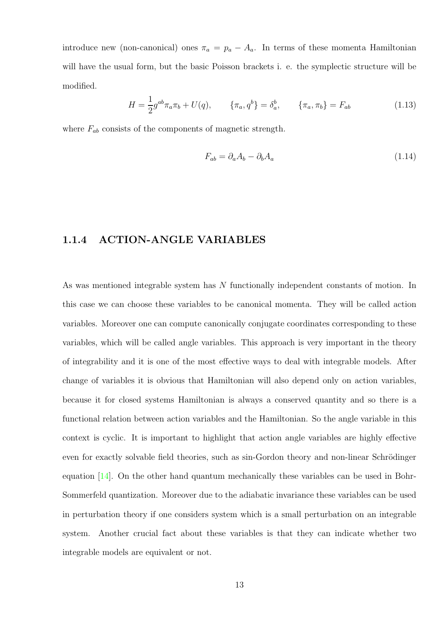introduce new (non-canonical) ones  $\pi_a = p_a - A_a$ . In terms of these momenta Hamiltonian will have the usual form, but the basic Poisson brackets i. e. the symplectic structure will be modified.

$$
H = \frac{1}{2}g^{ab}\pi_a\pi_b + U(q), \qquad \{\pi_a, q^b\} = \delta_a^b, \qquad \{\pi_a, \pi_b\} = F_{ab}
$$
 (1.13)

where  $F_{ab}$  consists of the components of magnetic strength.

$$
F_{ab} = \partial_a A_b - \partial_b A_a \tag{1.14}
$$

#### <span id="page-12-0"></span>1.1.4 ACTION-ANGLE VARIABLES

As was mentioned integrable system has N functionally independent constants of motion. In this case we can choose these variables to be canonical momenta. They will be called action variables. Moreover one can compute canonically conjugate coordinates corresponding to these variables, which will be called angle variables. This approach is very important in the theory of integrability and it is one of the most effective ways to deal with integrable models. After change of variables it is obvious that Hamiltonian will also depend only on action variables, because it for closed systems Hamiltonian is always a conserved quantity and so there is a functional relation between action variables and the Hamiltonian. So the angle variable in this context is cyclic. It is important to highlight that action angle variables are highly effective even for exactly solvable field theories, such as sin-Gordon theory and non-linear Schrödinger equation [\[14\]](#page-101-4). On the other hand quantum mechanically these variables can be used in Bohr-Sommerfeld quantization. Moreover due to the adiabatic invariance these variables can be used in perturbation theory if one considers system which is a small perturbation on an integrable system. Another crucial fact about these variables is that they can indicate whether two integrable models are equivalent or not.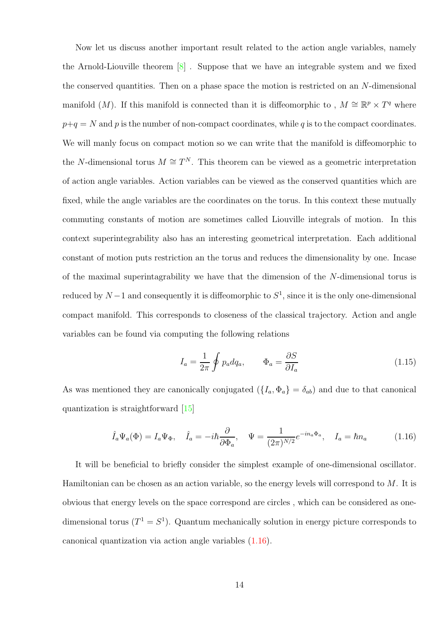Now let us discuss another important result related to the action angle variables, namely the Arnold-Liouville theorem  $\lvert \mathcal{S} \rvert$ . Suppose that we have an integrable system and we fixed the conserved quantities. Then on a phase space the motion is restricted on an  $N$ -dimensional manifold (M). If this manifold is connected than it is diffeomorphic to,  $M \cong \mathbb{R}^p \times T^q$  where  $p+q = N$  and p is the number of non-compact coordinates, while q is to the compact coordinates. We will manly focus on compact motion so we can write that the manifold is diffeomorphic to the N-dimensional torus  $M \cong T^N$ . This theorem can be viewed as a geometric interpretation of action angle variables. Action variables can be viewed as the conserved quantities which are fixed, while the angle variables are the coordinates on the torus. In this context these mutually commuting constants of motion are sometimes called Liouville integrals of motion. In this context superintegrability also has an interesting geometrical interpretation. Each additional constant of motion puts restriction an the torus and reduces the dimensionality by one. Incase of the maximal superintagrability we have that the dimension of the N-dimensional torus is reduced by  $N-1$  and consequently it is diffeomorphic to  $S^1$ , since it is the only one-dimensional compact manifold. This corresponds to closeness of the classical trajectory. Action and angle variables can be found via computing the following relations

$$
I_a = \frac{1}{2\pi} \oint p_a dq_a, \qquad \Phi_a = \frac{\partial S}{\partial I_a} \tag{1.15}
$$

As was mentioned they are canonically conjugated  $({I_a, \Phi_a} = \delta_{ab})$  and due to that canonical quantization is straightforward [\[15\]](#page-101-5)

<span id="page-13-0"></span>
$$
\hat{I}_a \Psi_a(\Phi) = I_a \Psi_{\Phi}, \quad \hat{I}_a = -i\hbar \frac{\partial}{\partial \Phi_a}, \quad \Psi = \frac{1}{(2\pi)^{N/2}} e^{-in_a \Phi_a}, \quad I_a = \hbar n_a \tag{1.16}
$$

It will be beneficial to briefly consider the simplest example of one-dimensional oscillator. Hamiltonian can be chosen as an action variable, so the energy levels will correspond to  $M$ . It is obvious that energy levels on the space correspond are circles , which can be considered as onedimensional torus  $(T^1 = S^1)$ . Quantum mechanically solution in energy picture corresponds to canonical quantization via action angle variables [\(1.16\)](#page-13-0).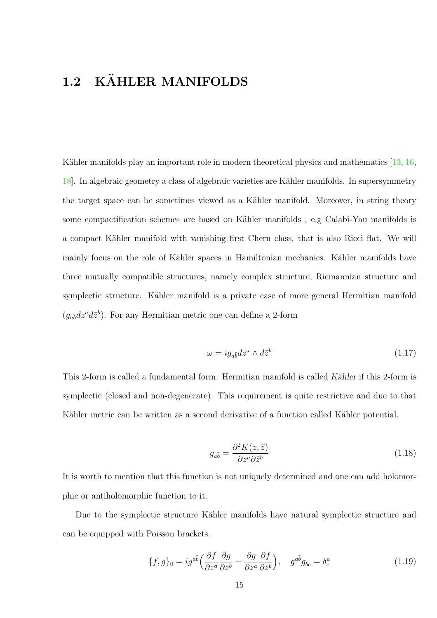## <span id="page-14-0"></span>1.2 KÄHLER MANIFOLDS

Kähler manifolds play an important role in modern theoretical physics and mathematics  $\ket{13, 16}$ , [18\]](#page-101-7). In algebraic geometry a class of algebraic varieties are Kähler manifolds. In supersymmetry the target space can be sometimes viewed as a Kähler manifold. Moreover, in string theory some compactification schemes are based on Kähler manifolds, e.g Calabi-Yau manifolds is a compact Kähler manifold with vanishing first Chern class, that is also Ricci flat. We will mainly focus on the role of Kähler spaces in Hamiltonian mechanics. Kähler manifolds have three mutually compatible structures, namely complex structure, Riemannian structure and symplectic structure. Kähler manifold is a private case of more general Hermitian manifold  $(g_{a\bar{b}}dz^a d\bar{z}^b)$ . For any Hermitian metric one can define a 2-form

$$
\omega = ig_{a\bar{b}}dz^a \wedge d\bar{z}^b \tag{1.17}
$$

This 2-form is called a fundamental form. Hermitian manifold is called Kähler if this 2-form is symplectic (closed and non-degenerate). This requirement is quite restrictive and due to that Kähler metric can be written as a second derivative of a function called Kähler potential.

$$
g_{a\bar{b}} = \frac{\partial^2 K(z, \bar{z})}{\partial z^a \partial \bar{z}^b} \tag{1.18}
$$

It is worth to mention that this function is not uniquely determined and one can add holomorphic or antiholomorphic function to it.

Due to the symplectic structure Kähler manifolds have natural symplectic structure and can be equipped with Poisson brackets.

$$
\{f,g\}_0 = ig^{a\bar{b}} \left(\frac{\partial f}{\partial z^a} \frac{\partial g}{\partial \bar{z}^b} - \frac{\partial g}{\partial z^a} \frac{\partial f}{\partial \bar{z}^b}\right), \quad g^{a\bar{b}} g_{\bar{b}c} = \delta^a_c \tag{1.19}
$$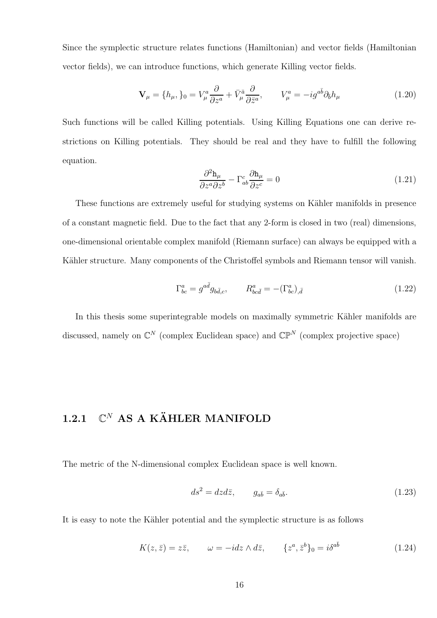Since the symplectic structure relates functions (Hamiltonian) and vector fields (Hamiltonian vector fields), we can introduce functions, which generate Killing vector fields.

$$
\mathbf{V}_{\mu} = \{h_{\mu}, \}_0 = V^a_{\mu} \frac{\partial}{\partial z^a} + \bar{V}^{\bar{a}}_{\mu} \frac{\partial}{\partial \bar{z}^a}, \qquad V^a_{\mu} = -ig^{a\bar{b}} \partial_{\bar{b}} h_{\mu}
$$
(1.20)

Such functions will be called Killing potentials. Using Killing Equations one can derive restrictions on Killing potentials. They should be real and they have to fulfill the following equation.

$$
\frac{\partial^2 \mathbf{h}_{\mu}}{\partial z^a \partial z^b} - \Gamma^c_{ab} \frac{\partial \mathbf{h}_{\mu}}{\partial z^c} = 0
$$
\n(1.21)

These functions are extremely useful for studying systems on Kähler manifolds in presence of a constant magnetic field. Due to the fact that any 2-form is closed in two (real) dimensions, one-dimensional orientable complex manifold (Riemann surface) can always be equipped with a Kähler structure. Many components of the Christoffel symbols and Riemann tensor will vanish.

$$
\Gamma^a_{bc} = g^{a\bar{d}} g_{b\bar{d},c}, \qquad R^a_{bc\bar{d}} = -(\Gamma^a_{bc})_{,\bar{d}} \tag{1.22}
$$

In this thesis some superintegrable models on maximally symmetric Kähler manifolds are discussed, namely on  $\mathbb{C}^N$  (complex Euclidean space) and  $\mathbb{CP}^N$  (complex projective space)

## <span id="page-15-0"></span>1.2.1  $\mathbb{C}^N$  AS A KÄHLER MANIFOLD

The metric of the N-dimensional complex Euclidean space is well known.

$$
ds^2 = dz d\bar{z}, \qquad g_{a\bar{b}} = \delta_{a\bar{b}}.\tag{1.23}
$$

It is easy to note the Kähler potential and the symplectic structure is as follows

$$
K(z,\bar{z}) = z\bar{z}, \qquad \omega = -idz \wedge d\bar{z}, \qquad \{z^a, \bar{z}^b\}_0 = i\delta^{a\bar{b}} \tag{1.24}
$$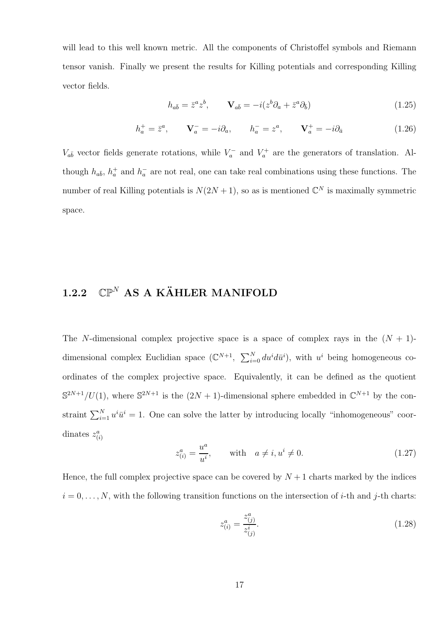will lead to this well known metric. All the components of Christoffel symbols and Riemann tensor vanish. Finally we present the results for Killing potentials and corresponding Killing vector fields.

$$
h_{a\bar{b}} = \bar{z}^a z^b, \qquad \mathbf{V}_{a\bar{b}} = -i(z^b \partial_a + \bar{z}^a \partial_{\bar{b}})
$$
(1.25)

$$
h_a^+ = \bar{z}^a, \qquad \mathbf{V}_a^- = -i\partial_a, \qquad h_a^- = z^a, \qquad \mathbf{V}_a^+ = -i\partial_{\bar{a}} \tag{1.26}
$$

 $V_{a\bar{b}}$  vector fields generate rotations, while  $V_a^-$  and  $V_a^+$  are the generators of translation. Although  $h_{a\bar{b}}$ ,  $h_a^+$  and  $h_a^-$  are not real, one can take real combinations using these functions. The number of real Killing potentials is  $N(2N+1)$ , so as is mentioned  $\mathbb{C}^N$  is maximally symmetric space.

## <span id="page-16-0"></span>1.2.2  $\mathbb{CP}^N$  AS A KÄHLER MANIFOLD

The N-dimensional complex projective space is a space of complex rays in the  $(N + 1)$ dimensional complex Euclidian space  $(\mathbb{C}^{N+1}, \sum_{i=0}^{N} du^{i} d\bar{u}^{i})$ , with  $u^{i}$  being homogeneous coordinates of the complex projective space. Equivalently, it can be defined as the quotient  $\mathbb{S}^{2N+1}/U(1)$ , where  $\mathbb{S}^{2N+1}$  is the  $(2N+1)$ -dimensional sphere embedded in  $\mathbb{C}^{N+1}$  by the constraint  $\sum_{i=1}^{N} u^i \bar{u}^i = 1$ . One can solve the latter by introducing locally "inhomogeneous" coordinates  $z_{(i)}^a$ 

$$
z_{(i)}^a = \frac{u^a}{u^i}, \qquad \text{with} \quad a \neq i, u^i \neq 0. \tag{1.27}
$$

Hence, the full complex projective space can be covered by  $N+1$  charts marked by the indices  $i = 0, \ldots, N$ , with the following transition functions on the intersection of *i*-th and *j*-th charts:

$$
z_{(i)}^a = \frac{z_{(j)}^a}{z_{(j)}^i}.
$$
\n(1.28)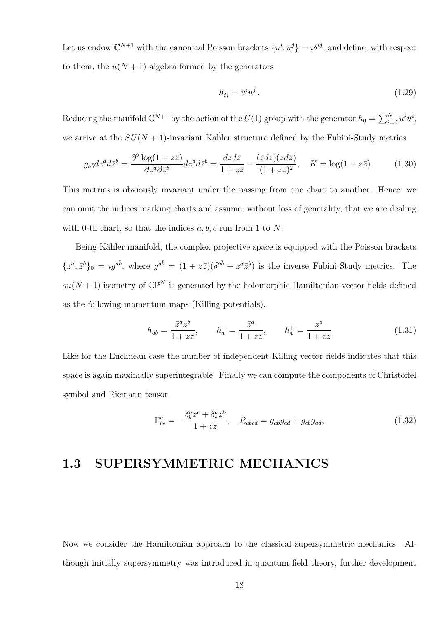Let us endow  $\mathbb{C}^{N+1}$  with the canonical Poisson brackets  $\{u^i, \bar{u}^j\} = i\delta^{i\bar{j}}$ , and define, with respect to them, the  $u(N + 1)$  algebra formed by the generators

$$
h_{i\bar{j}} = \bar{u}^i u^j. \tag{1.29}
$$

Reducing the manifold  $\mathbb{C}^{N+1}$  by the action of the  $U(1)$  group with the generator  $h_0 = \sum_{i=0}^{N} u^i \bar{u}^i$ , we arrive at the  $SU(N + 1)$ -invariant Kahler structure defined by the Fubini-Study metrics

$$
g_{a\bar{b}}dz^a d\bar{z}^b = \frac{\partial^2 \log(1 + z\bar{z})}{\partial z^a \partial \bar{z}^b} dz^a d\bar{z}^b = \frac{dzd\bar{z}}{1 + z\bar{z}} - \frac{(\bar{z}dz)(zd\bar{z})}{(1 + z\bar{z})^2}, \quad K = \log(1 + z\bar{z}).\tag{1.30}
$$

This metrics is obviously invariant under the passing from one chart to another. Hence, we can omit the indices marking charts and assume, without loss of generality, that we are dealing with 0-th chart, so that the indices  $a, b, c$  run from 1 to N.

Being Kähler manifold, the complex projective space is equipped with the Poisson brackets  ${z^a, \bar{z}^b}_0 = ig^{a\bar{b}}$ , where  $g^{a\bar{b}} = (1 + z\bar{z})(\delta^{a\bar{b}} + z^a \bar{z}^b)$  is the inverse Fubini-Study metrics. The  $su(N+1)$  isometry of  $\mathbb{CP}^N$  is generated by the holomorphic Hamiltonian vector fields defined as the following momentum maps (Killing potentials).

$$
h_{a\overline{b}} = \frac{\overline{z}^a z^b}{1 + z\overline{z}}, \qquad h_a^- = \frac{\overline{z}^a}{1 + z\overline{z}}, \qquad h_a^+ = \frac{z^a}{1 + z\overline{z}}
$$
(1.31)

Like for the Euclidean case the number of independent Killing vector fields indicates that this space is again maximally superintegrable. Finally we can compute the components of Christoffel symbol and Riemann tensor.

$$
\Gamma^a_{bc} = -\frac{\delta^a_b \bar{z}^c + \delta^a_c \bar{z}^b}{1 + z\bar{z}}, \quad R_{a\bar{b}c\bar{d}} = g_{a\bar{b}}g_{c\bar{d}} + g_{c\bar{b}}g_{a\bar{d}},\tag{1.32}
$$

## <span id="page-17-0"></span>1.3 SUPERSYMMETRIC MECHANICS

Now we consider the Hamiltonian approach to the classical supersymmetric mechanics. Although initially supersymmetry was introduced in quantum field theory, further development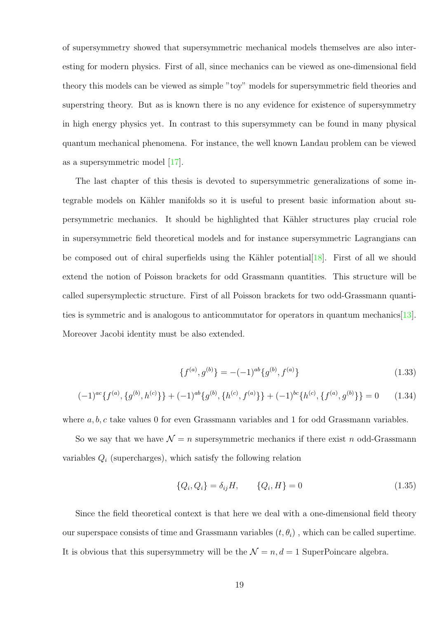of supersymmetry showed that supersymmetric mechanical models themselves are also interesting for modern physics. First of all, since mechanics can be viewed as one-dimensional field theory this models can be viewed as simple "toy" models for supersymmetric field theories and superstring theory. But as is known there is no any evidence for existence of supersymmetry in high energy physics yet. In contrast to this supersymmety can be found in many physical quantum mechanical phenomena. For instance, the well known Landau problem can be viewed as a supersymmetric model [\[17\]](#page-101-8).

The last chapter of this thesis is devoted to supersymmetric generalizations of some integrable models on Kähler manifolds so it is useful to present basic information about supersymmetric mechanics. It should be highlighted that K¨ahler structures play crucial role in supersymmetric field theoretical models and for instance supersymmetric Lagrangians can be composed out of chiral superfields using the Kähler potential  $[18]$ . First of all we should extend the notion of Poisson brackets for odd Grassmann quantities. This structure will be called supersymplectic structure. First of all Poisson brackets for two odd-Grassmann quantities is symmetric and is analogous to anticommutator for operators in quantum mechanics[\[13\]](#page-101-3). Moreover Jacobi identity must be also extended.

$$
\{f^{(a)}, g^{(b)}\} = -(-1)^{ab} \{g^{(b)}, f^{(a)}\}
$$
\n(1.33)

$$
(-1)^{ac}\lbrace f^{(a)}, \lbrace g^{(b)}, h^{(c)} \rbrace \rbrace + (-1)^{ab}\lbrace g^{(b)}, \lbrace h^{(c)}, f^{(a)} \rbrace \rbrace + (-1)^{bc}\lbrace h^{(c)}, \lbrace f^{(a)}, g^{(b)} \rbrace = 0 \quad (1.34)
$$

where  $a, b, c$  take values 0 for even Grassmann variables and 1 for odd Grassmann variables.

So we say that we have  $\mathcal{N} = n$  supersymmetric mechanics if there exist n odd-Grassmann variables  $Q_i$  (supercharges), which satisfy the following relation

$$
\{Q_i, Q_i\} = \delta_{ij} H, \qquad \{Q_i, H\} = 0 \tag{1.35}
$$

Since the field theoretical context is that here we deal with a one-dimensional field theory our superspace consists of time and Grassmann variables  $(t, \theta_i)$ , which can be called supertime. It is obvious that this supersymmetry will be the  $\mathcal{N} = n, d = 1$  SuperPoincare algebra.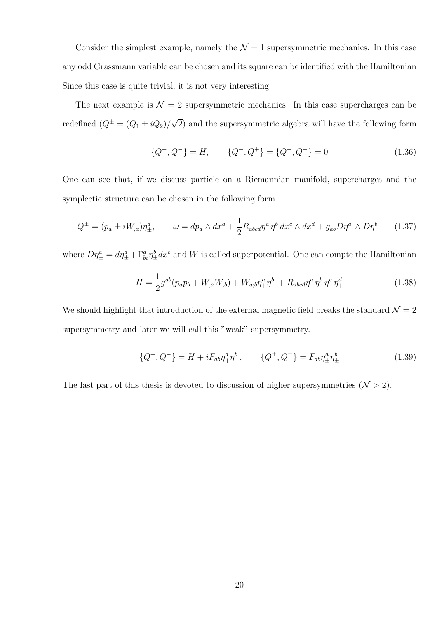Consider the simplest example, namely the  $\mathcal{N}=1$  supersymmetric mechanics. In this case any odd Grassmann variable can be chosen and its square can be identified with the Hamiltonian Since this case is quite trivial, it is not very interesting.

The next example is  $\mathcal{N} = 2$  supersymmetric mechanics. In this case supercharges can be redefined  $(Q^{\pm} = (Q_1 \pm iQ_2)/\sqrt{2})$  and the supersymmetric algebra will have the following form

$$
\{Q^+, Q^-\} = H, \qquad \{Q^+, Q^+\} = \{Q^-, Q^-\} = 0 \tag{1.36}
$$

One can see that, if we discuss particle on a Riemannian manifold, supercharges and the symplectic structure can be chosen in the following form

$$
Q^{\pm} = (p_a \pm iW_{,a})\eta_{\pm}^a, \qquad \omega = dp_a \wedge dx^a + \frac{1}{2}R_{abcd}\eta_{+}^a\eta_{-}^b dx^c \wedge dx^d + g_{ab}D\eta_{+}^a \wedge D\eta_{-}^b \qquad (1.37)
$$

where  $D\eta_{\pm}^a = d\eta_{\pm}^a + \Gamma^a_{bc}\eta_{\pm}^b dx^c$  and W is called superpotential. One can compte the Hamiltonian

$$
H = \frac{1}{2}g^{ab}(p_a p_b + W_{,a}W_{,b}) + W_{a;b}\eta^a_+\eta^b_- + R_{abcd}\eta^a_-\eta^b_+\eta^c_-\eta^d_+
$$
(1.38)

We should highlight that introduction of the external magnetic field breaks the standard  $\mathcal{N} = 2$ supersymmetry and later we will call this "weak" supersymmetry.

$$
\{Q^+, Q^-\} = H + iF_{ab}\eta_+^a \eta_-^b, \qquad \{Q^\pm, Q^\pm\} = F_{ab}\eta_\pm^a \eta_\pm^b \tag{1.39}
$$

The last part of this thesis is devoted to discussion of higher supersymmetries  $(\mathcal{N} > 2)$ .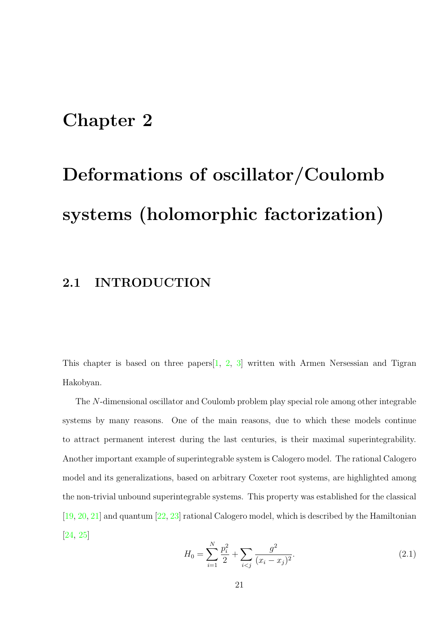## <span id="page-20-0"></span>Chapter 2

# Deformations of oscillator/Coulomb systems (holomorphic factorization)

## <span id="page-20-1"></span>2.1 INTRODUCTION

This chapter is based on three papers[\[1,](#page-100-3) [2,](#page-100-4) [3\]](#page-100-5) written with Armen Nersessian and Tigran Hakobyan.

The N-dimensional oscillator and Coulomb problem play special role among other integrable systems by many reasons. One of the main reasons, due to which these models continue to attract permanent interest during the last centuries, is their maximal superintegrability. Another important example of superintegrable system is Calogero model. The rational Calogero model and its generalizations, based on arbitrary Coxeter root systems, are highlighted among the non-trivial unbound superintegrable systems. This property was established for the classical [\[19,](#page-101-9) [20,](#page-101-10) [21\]](#page-101-11) and quantum [\[22,](#page-101-12) [23\]](#page-102-0) rational Calogero model, which is described by the Hamiltonian [\[24,](#page-102-1) [25\]](#page-102-2)

<span id="page-20-2"></span>
$$
H_0 = \sum_{i=1}^{N} \frac{p_i^2}{2} + \sum_{i < j} \frac{g^2}{(x_i - x_j)^2}.\tag{2.1}
$$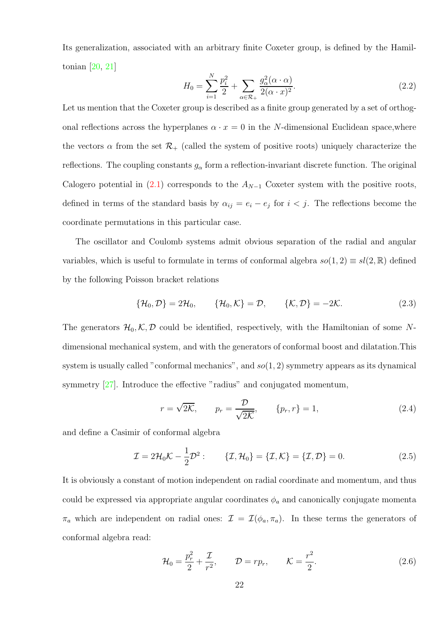Its generalization, associated with an arbitrary finite Coxeter group, is defined by the Hamiltonian [\[20,](#page-101-10) [21\]](#page-101-11)

$$
H_0 = \sum_{i=1}^{N} \frac{p_i^2}{2} + \sum_{\alpha \in \mathcal{R}_+} \frac{g_\alpha^2(\alpha \cdot \alpha)}{2(\alpha \cdot x)^2}.
$$
 (2.2)

Let us mention that the Coxeter group is described as a finite group generated by a set of orthogonal reflections across the hyperplanes  $\alpha \cdot x = 0$  in the N-dimensional Euclidean space, where the vectors  $\alpha$  from the set  $\mathcal{R}_+$  (called the system of positive roots) uniquely characterize the reflections. The coupling constants  $g_{\alpha}$  form a reflection-invariant discrete function. The original Calogero potential in  $(2.1)$  corresponds to the  $A_{N-1}$  Coxeter system with the positive roots, defined in terms of the standard basis by  $\alpha_{ij} = e_i - e_j$  for  $i < j$ . The reflections become the coordinate permutations in this particular case.

The oscillator and Coulomb systems admit obvious separation of the radial and angular variables, which is useful to formulate in terms of conformal algebra  $so(1, 2) \equiv sl(2, \mathbb{R})$  defined by the following Poisson bracket relations

<span id="page-21-0"></span>
$$
\{\mathcal{H}_0, \mathcal{D}\} = 2\mathcal{H}_0, \qquad \{\mathcal{H}_0, \mathcal{K}\} = \mathcal{D}, \qquad \{\mathcal{K}, \mathcal{D}\} = -2\mathcal{K}.
$$
 (2.3)

The generators  $\mathcal{H}_0, \mathcal{K}, \mathcal{D}$  could be identified, respectively, with the Hamiltonian of some Ndimensional mechanical system, and with the generators of conformal boost and dilatation.This system is usually called "conformal mechanics", and  $so(1, 2)$  symmetry appears as its dynamical symmetry [\[27\]](#page-102-3). Introduce the effective "radius" and conjugated momentum,

$$
r = \sqrt{2\mathcal{K}}, \qquad p_r = \frac{\mathcal{D}}{\sqrt{2\mathcal{K}}}, \qquad \{p_r, r\} = 1,\tag{2.4}
$$

and define a Casimir of conformal algebra

$$
\mathcal{I} = 2\mathcal{H}_0 \mathcal{K} - \frac{1}{2} \mathcal{D}^2: \qquad \{\mathcal{I}, \mathcal{H}_0\} = \{\mathcal{I}, \mathcal{K}\} = \{\mathcal{I}, \mathcal{D}\} = 0. \tag{2.5}
$$

It is obviously a constant of motion independent on radial coordinate and momentum, and thus could be expressed via appropriate angular coordinates  $\phi_a$  and canonically conjugate momenta  $\pi_a$  which are independent on radial ones:  $\mathcal{I} = \mathcal{I}(\phi_a, \pi_a)$ . In these terms the generators of conformal algebra read:

$$
\mathcal{H}_0 = \frac{p_r^2}{2} + \frac{\mathcal{I}}{r^2}, \qquad \mathcal{D} = rp_r, \qquad \mathcal{K} = \frac{r^2}{2}.
$$
 (2.6)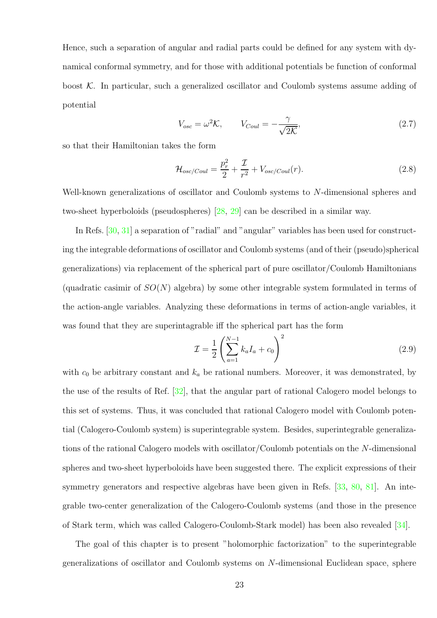Hence, such a separation of angular and radial parts could be defined for any system with dynamical conformal symmetry, and for those with additional potentials be function of conformal boost  $\mathcal{K}$ . In particular, such a generalized oscillator and Coulomb systems assume adding of potential

$$
V_{osc} = \omega^2 \mathcal{K}, \qquad V_{Coul} = -\frac{\gamma}{\sqrt{2\mathcal{K}}}, \tag{2.7}
$$

so that their Hamiltonian takes the form

$$
\mathcal{H}_{osc/Coul} = \frac{p_r^2}{2} + \frac{\mathcal{I}}{r^2} + V_{osc/Coul}(r). \tag{2.8}
$$

Well-known generalizations of oscillator and Coulomb systems to N-dimensional spheres and two-sheet hyperboloids (pseudospheres) [\[28,](#page-102-4) [29\]](#page-102-5) can be described in a similar way.

In Refs. [\[30,](#page-102-6) [31\]](#page-102-7) a separation of "radial" and "angular" variables has been used for constructing the integrable deformations of oscillator and Coulomb systems (and of their (pseudo)spherical generalizations) via replacement of the spherical part of pure oscillator/Coulomb Hamiltonians (quadratic casimir of  $SO(N)$ ) algebra) by some other integrable system formulated in terms of the action-angle variables. Analyzing these deformations in terms of action-angle variables, it was found that they are superintagrable iff the spherical part has the form

<span id="page-22-0"></span>
$$
\mathcal{I} = \frac{1}{2} \left( \sum_{a=1}^{N-1} k_a I_a + c_0 \right)^2 \tag{2.9}
$$

with  $c_0$  be arbitrary constant and  $k_a$  be rational numbers. Moreover, it was demonstrated, by the use of the results of Ref. [\[32\]](#page-102-8), that the angular part of rational Calogero model belongs to this set of systems. Thus, it was concluded that rational Calogero model with Coulomb potential (Calogero-Coulomb system) is superintegrable system. Besides, superintegrable generalizations of the rational Calogero models with oscillator/Coulomb potentials on the N-dimensional spheres and two-sheet hyperboloids have been suggested there. The explicit expressions of their symmetry generators and respective algebras have been given in Refs. [\[33,](#page-102-9) [80,](#page-106-0) [81\]](#page-106-1). An integrable two-center generalization of the Calogero-Coulomb systems (and those in the presence of Stark term, which was called Calogero-Coulomb-Stark model) has been also revealed [\[34\]](#page-102-10).

The goal of this chapter is to present "holomorphic factorization" to the superintegrable generalizations of oscillator and Coulomb systems on N-dimensional Euclidean space, sphere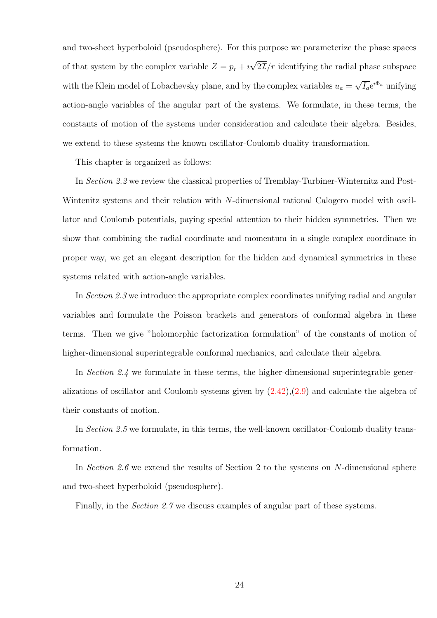and two-sheet hyperboloid (pseudosphere). For this purpose we parameterize the phase spaces of that system by the complex variable  $Z = p_r + i \sqrt{2\mathcal{I}}/r$  identifying the radial phase subspace with the Klein model of Lobachevsky plane, and by the complex variables  $u_a = \sqrt{I_a}e^{i\Phi_a}$  unifying action-angle variables of the angular part of the systems. We formulate, in these terms, the constants of motion of the systems under consideration and calculate their algebra. Besides, we extend to these systems the known oscillator-Coulomb duality transformation.

This chapter is organized as follows:

In Section 2.2 we review the classical properties of Tremblay-Turbiner-Winternitz and Post-Wintenitz systems and their relation with N-dimensional rational Calogero model with oscillator and Coulomb potentials, paying special attention to their hidden symmetries. Then we show that combining the radial coordinate and momentum in a single complex coordinate in proper way, we get an elegant description for the hidden and dynamical symmetries in these systems related with action-angle variables.

In Section 2.3 we introduce the appropriate complex coordinates unifying radial and angular variables and formulate the Poisson brackets and generators of conformal algebra in these terms. Then we give "holomorphic factorization formulation" of the constants of motion of higher-dimensional superintegrable conformal mechanics, and calculate their algebra.

In Section 2.4 we formulate in these terms, the higher-dimensional superintegrable generalizations of oscillator and Coulomb systems given by [\(2.42\)](#page-30-1),[\(2.9\)](#page-22-0) and calculate the algebra of their constants of motion.

In Section 2.5 we formulate, in this terms, the well-known oscillator-Coulomb duality transformation.

In Section 2.6 we extend the results of Section 2 to the systems on N-dimensional sphere and two-sheet hyperboloid (pseudosphere).

Finally, in the *Section 2.7* we discuss examples of angular part of these systems.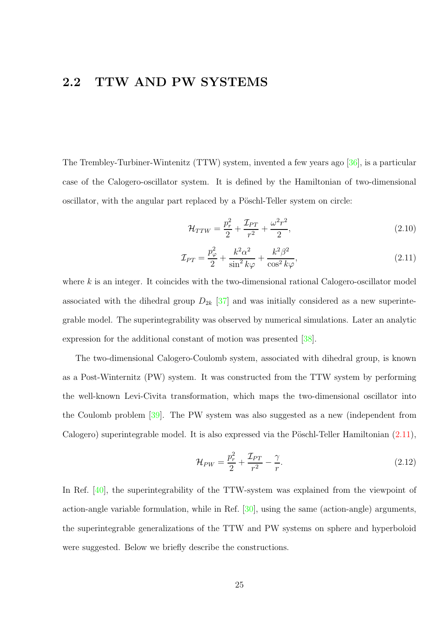### <span id="page-24-0"></span>2.2 TTW AND PW SYSTEMS

The Trembley-Turbiner-Wintenitz (TTW) system, invented a few years ago [\[36\]](#page-103-0), is a particular case of the Calogero-oscillator system. It is defined by the Hamiltonian of two-dimensional oscillator, with the angular part replaced by a Pöschl-Teller system on circle:

$$
\mathcal{H}_{TTW} = \frac{p_r^2}{2} + \frac{\mathcal{I}_{PT}}{r^2} + \frac{\omega^2 r^2}{2},\tag{2.10}
$$

<span id="page-24-1"></span>
$$
\mathcal{I}_{PT} = \frac{p_{\varphi}^2}{2} + \frac{k^2 \alpha^2}{\sin^2 k \varphi} + \frac{k^2 \beta^2}{\cos^2 k \varphi},\tag{2.11}
$$

where  $k$  is an integer. It coincides with the two-dimensional rational Calogero-oscillator model associated with the dihedral group  $D_{2k}$  [\[37\]](#page-103-1) and was initially considered as a new superintegrable model. The superintegrability was observed by numerical simulations. Later an analytic expression for the additional constant of motion was presented [\[38\]](#page-103-2).

The two-dimensional Calogero-Coulomb system, associated with dihedral group, is known as a Post-Winternitz (PW) system. It was constructed from the TTW system by performing the well-known Levi-Civita transformation, which maps the two-dimensional oscillator into the Coulomb problem [\[39\]](#page-103-3). The PW system was also suggested as a new (independent from Calogero) superintegrable model. It is also expressed via the Pöschl-Teller Hamiltonian  $(2.11)$ ,

$$
\mathcal{H}_{PW} = \frac{p_r^2}{2} + \frac{\mathcal{I}_{PT}}{r^2} - \frac{\gamma}{r}.
$$
\n(2.12)

In Ref. [\[40\]](#page-103-4), the superintegrability of the TTW-system was explained from the viewpoint of action-angle variable formulation, while in Ref. [\[30\]](#page-102-6), using the same (action-angle) arguments, the superintegrable generalizations of the TTW and PW systems on sphere and hyperboloid were suggested. Below we briefly describe the constructions.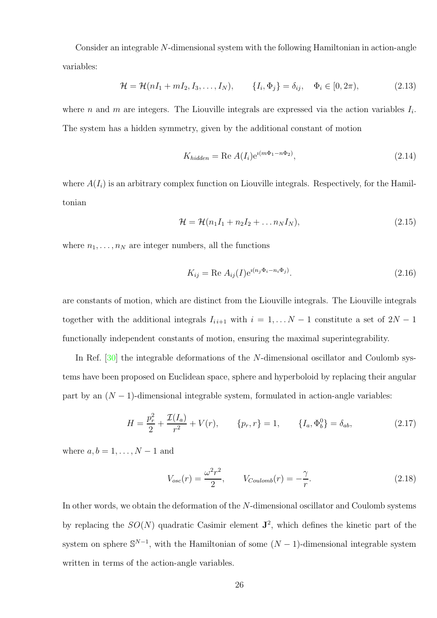Consider an integrable N-dimensional system with the following Hamiltonian in action-angle variables:

$$
\mathcal{H} = \mathcal{H}(nI_1 + mI_2, I_3, \dots, I_N), \qquad \{I_i, \Phi_j\} = \delta_{ij}, \quad \Phi_i \in [0, 2\pi), \tag{2.13}
$$

where *n* and *m* are integers. The Liouville integrals are expressed via the action variables  $I_i$ . The system has a hidden symmetry, given by the additional constant of motion

$$
K_{hidden} = \text{Re } A(I_i) e^{i(m\Phi_1 - n\Phi_2)},\tag{2.14}
$$

where  $A(I_i)$  is an arbitrary complex function on Liouville integrals. Respectively, for the Hamiltonian

$$
\mathcal{H} = \mathcal{H}(n_1I_1 + n_2I_2 + \dots n_NI_N), \qquad (2.15)
$$

where  $n_1, \ldots, n_N$  are integer numbers, all the functions

$$
K_{ij} = \text{Re } A_{ij}(I) e^{i(n_j \Phi_i - n_i \Phi_j)}.
$$
\n(2.16)

are constants of motion, which are distinct from the Liouville integrals. The Liouville integrals together with the additional integrals  $I_{i+1}$  with  $i = 1, \ldots N-1$  constitute a set of  $2N-1$ functionally independent constants of motion, ensuring the maximal superintegrability.

In Ref. [\[30\]](#page-102-6) the integrable deformations of the N-dimensional oscillator and Coulomb systems have been proposed on Euclidean space, sphere and hyperboloid by replacing their angular part by an  $(N-1)$ -dimensional integrable system, formulated in action-angle variables:

$$
H = \frac{p_r^2}{2} + \frac{\mathcal{I}(I_a)}{r^2} + V(r), \qquad \{p_r, r\} = 1, \qquad \{I_a, \Phi_b^0\} = \delta_{ab}, \tag{2.17}
$$

where  $a, b = 1, \ldots, N-1$  and

$$
V_{osc}(r) = \frac{\omega^2 r^2}{2}, \qquad V_{Coulomb}(r) = -\frac{\gamma}{r}.
$$
\n(2.18)

In other words, we obtain the deformation of the N-dimensional oscillator and Coulomb systems by replacing the  $SO(N)$  quadratic Casimir element  $\mathbf{J}^2$ , which defines the kinetic part of the system on sphere  $\mathbb{S}^{N-1}$ , with the Hamiltonian of some  $(N-1)$ -dimensional integrable system written in terms of the action-angle variables.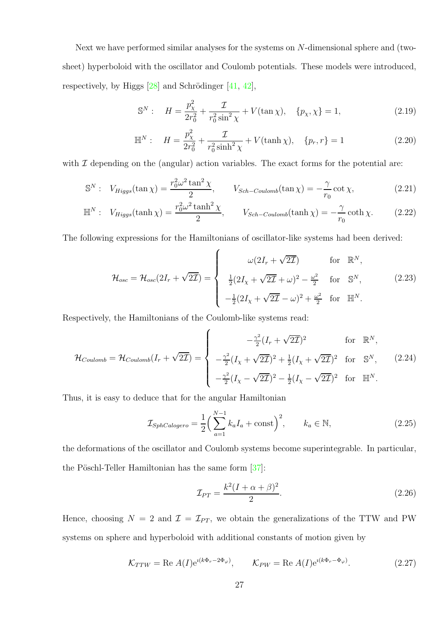Next we have performed similar analyses for the systems on N-dimensional sphere and (twosheet) hyperboloid with the oscillator and Coulomb potentials. These models were introduced, respectively, by Higgs  $[28]$  and Schrödinger  $[41, 42]$  $[41, 42]$ ,

$$
\mathbb{S}^{N}: \quad H = \frac{p_{\chi}^{2}}{2r_{0}^{2}} + \frac{\mathcal{I}}{r_{0}^{2}\sin^{2}\chi} + V(\tan\chi), \quad \{p_{\chi},\chi\} = 1,
$$
\n(2.19)

$$
\mathbb{H}^{N}: \quad H = \frac{p_{\chi}^{2}}{2r_{0}^{2}} + \frac{\mathcal{I}}{r_{0}^{2}\sinh^{2}\chi} + V(\tanh\chi), \quad \{p_{r}, r\} = 1
$$
\n(2.20)

with  $\mathcal I$  depending on the (angular) action variables. The exact forms for the potential are:

$$
\mathbb{S}^N: \quad V_{Higgs}(\tan \chi) = \frac{r_0^2 \omega^2 \tan^2 \chi}{2}, \qquad V_{Sch-Coulomb}(\tan \chi) = -\frac{\gamma}{r_0} \cot \chi,\tag{2.21}
$$

$$
\mathbb{H}^{N}: V_{Higgs}(\tanh\chi) = \frac{r_{0}^{2}\omega^{2}\tanh^{2}\chi}{2}, \qquad V_{Sch-Coulomb}(\tanh\chi) = -\frac{\gamma}{r_{0}}\coth\chi. \tag{2.22}
$$

The following expressions for the Hamiltonians of oscillator-like systems had been derived:

$$
\mathcal{H}_{osc} = \mathcal{H}_{osc}(2I_r + \sqrt{2\mathcal{I}}) = \begin{cases}\n\omega(2I_r + \sqrt{2\mathcal{I}}) & \text{for } \mathbb{R}^N, \\
\frac{1}{2}(2I_\chi + \sqrt{2\mathcal{I}} + \omega)^2 - \frac{\omega^2}{2} & \text{for } \mathbb{S}^N,\n\end{cases}
$$
\n
$$
-\frac{1}{2}(2I_\chi + \sqrt{2\mathcal{I}} - \omega)^2 + \frac{\omega^2}{2} & \text{for } \mathbb{H}^N.
$$
\n(2.23)

Respectively, the Hamiltonians of the Coulomb-like systems read:

$$
\mathcal{H}_{Coulomb} = \mathcal{H}_{Coulomb}(I_r + \sqrt{2\mathcal{I}}) = \begin{cases}\n-\frac{\gamma^2}{2}(I_r + \sqrt{2\mathcal{I}})^2 & \text{for } \mathbb{R}^N, \\
-\frac{\gamma^2}{2}(I_\chi + \sqrt{2\mathcal{I}})^2 + \frac{1}{2}(I_\chi + \sqrt{2\mathcal{I}})^2 & \text{for } \mathbb{S}^N, \\
-\frac{\gamma^2}{2}(I_\chi - \sqrt{2\mathcal{I}})^2 - \frac{1}{2}(I_\chi - \sqrt{2\mathcal{I}})^2 & \text{for } \mathbb{H}^N.\n\end{cases}
$$
\n(2.24)

Thus, it is easy to deduce that for the angular Hamiltonian

<span id="page-26-0"></span>
$$
\mathcal{I}_{SphCalogero} = \frac{1}{2} \left( \sum_{a=1}^{N-1} k_a I_a + \text{const} \right)^2, \qquad k_a \in \mathbb{N}, \tag{2.25}
$$

the deformations of the oscillator and Coulomb systems become superintegrable. In particular, the Pöschl-Teller Hamiltonian has the same form  $[37]$ :

$$
\mathcal{I}_{PT} = \frac{k^2 (I + \alpha + \beta)^2}{2}.
$$
\n(2.26)

Hence, choosing  $N = 2$  and  $\mathcal{I} = \mathcal{I}_{PT}$ , we obtain the generalizations of the TTW and PW systems on sphere and hyperboloid with additional constants of motion given by

$$
\mathcal{K}_{TTW} = \text{Re } A(I) e^{i(k\Phi_r - 2\Phi_\varphi)}, \qquad \mathcal{K}_{PW} = \text{Re } A(I) e^{i(k\Phi_r - \Phi_\varphi)}.
$$
 (2.27)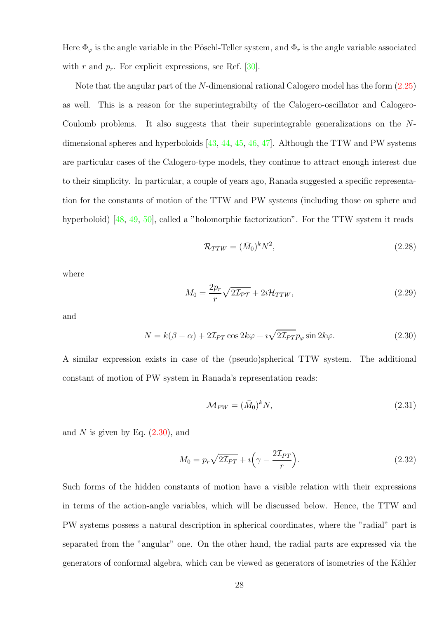Here  $\Phi_{\varphi}$  is the angle variable in the Pöschl-Teller system, and  $\Phi_r$  is the angle variable associated with r and  $p_r$ . For explicit expressions, see Ref. [\[30\]](#page-102-6).

Note that the angular part of the N-dimensional rational Calogero model has the form [\(2.25\)](#page-26-0) as well. This is a reason for the superintegrabilty of the Calogero-oscillator and Calogero-Coulomb problems. It also suggests that their superintegrable generalizations on the  $N$ dimensional spheres and hyperboloids  $[43, 44, 45, 46, 47]$  $[43, 44, 45, 46, 47]$  $[43, 44, 45, 46, 47]$  $[43, 44, 45, 46, 47]$  $[43, 44, 45, 46, 47]$  $[43, 44, 45, 46, 47]$  $[43, 44, 45, 46, 47]$  $[43, 44, 45, 46, 47]$ . Although the TTW and PW systems are particular cases of the Calogero-type models, they continue to attract enough interest due to their simplicity. In particular, a couple of years ago, Ranada suggested a specific representation for the constants of motion of the TTW and PW systems (including those on sphere and hyperboloid) [\[48,](#page-104-1) [49,](#page-104-2) [50\]](#page-104-3), called a "holomorphic factorization". For the TTW system it reads

$$
\mathcal{R}_{TTW} = (\bar{M}_0)^k N^2, \qquad (2.28)
$$

where

$$
M_0 = \frac{2p_r}{r} \sqrt{2\mathcal{I}_{PT}} + 2i\mathcal{H}_{TTW},\tag{2.29}
$$

and

<span id="page-27-0"></span>
$$
N = k(\beta - \alpha) + 2\mathcal{I}_{PT}\cos 2k\varphi + i\sqrt{2\mathcal{I}_{PT}}p_{\varphi}\sin 2k\varphi.
$$
 (2.30)

A similar expression exists in case of the (pseudo)spherical TTW system. The additional constant of motion of PW system in Ranada's representation reads:

$$
\mathcal{M}_{PW} = (\bar{M}_0)^k N,\tag{2.31}
$$

and N is given by Eq.  $(2.30)$ , and

$$
M_0 = p_r \sqrt{2\mathcal{I}_{PT}} + i\left(\gamma - \frac{2\mathcal{I}_{PT}}{r}\right).
$$
 (2.32)

Such forms of the hidden constants of motion have a visible relation with their expressions in terms of the action-angle variables, which will be discussed below. Hence, the TTW and PW systems possess a natural description in spherical coordinates, where the "radial" part is separated from the "angular" one. On the other hand, the radial parts are expressed via the generators of conformal algebra, which can be viewed as generators of isometries of the Kähler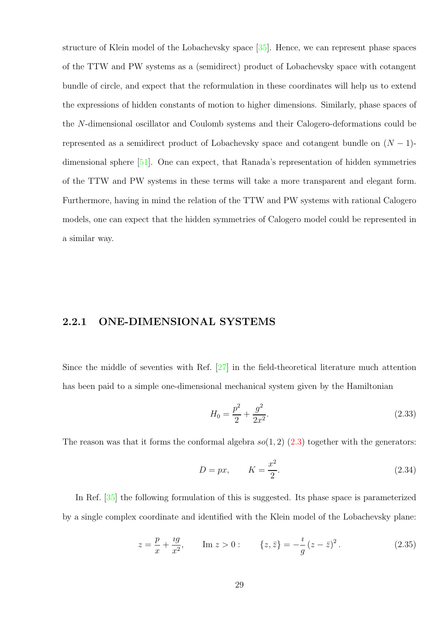structure of Klein model of the Lobachevsky space [\[35\]](#page-103-11). Hence, we can represent phase spaces of the TTW and PW systems as a (semidirect) product of Lobachevsky space with cotangent bundle of circle, and expect that the reformulation in these coordinates will help us to extend the expressions of hidden constants of motion to higher dimensions. Similarly, phase spaces of the N-dimensional oscillator and Coulomb systems and their Calogero-deformations could be represented as a semidirect product of Lobachevsky space and cotangent bundle on  $(N - 1)$ dimensional sphere [\[51\]](#page-104-4). One can expect, that Ranada's representation of hidden symmetries of the TTW and PW systems in these terms will take a more transparent and elegant form. Furthermore, having in mind the relation of the TTW and PW systems with rational Calogero models, one can expect that the hidden symmetries of Calogero model could be represented in a similar way.

#### <span id="page-28-0"></span>2.2.1 ONE-DIMENSIONAL SYSTEMS

Since the middle of seventies with Ref. [\[27\]](#page-102-3) in the field-theoretical literature much attention has been paid to a simple one-dimensional mechanical system given by the Hamiltonian

<span id="page-28-1"></span>
$$
H_0 = \frac{p^2}{2} + \frac{g^2}{2x^2}.
$$
\n(2.33)

The reason was that it forms the conformal algebra  $so(1, 2)$  [\(2.3\)](#page-21-0) together with the generators:

<span id="page-28-2"></span>
$$
D = px, \qquad K = \frac{x^2}{2}.\tag{2.34}
$$

In Ref. [\[35\]](#page-103-11) the following formulation of this is suggested. Its phase space is parameterized by a single complex coordinate and identified with the Klein model of the Lobachevsky plane:

$$
z = \frac{p}{x} + \frac{ig}{x^2}, \qquad \text{Im } z > 0: \qquad \{z, \bar{z}\} = -\frac{i}{g} (z - \bar{z})^2. \tag{2.35}
$$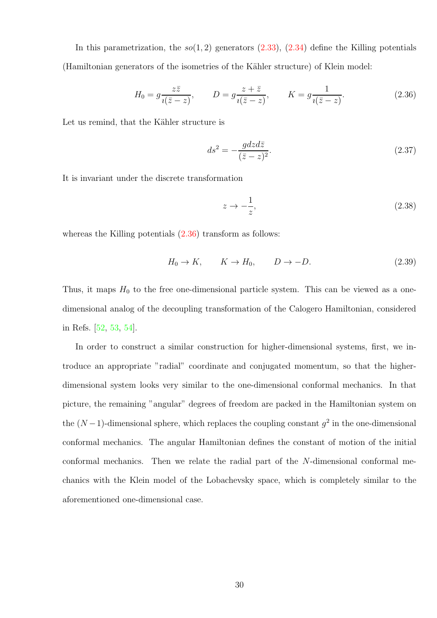In this parametrization, the  $so(1, 2)$  generators  $(2.33)$ ,  $(2.34)$  define the Killing potentials (Hamiltonian generators of the isometries of the Kähler structure) of Klein model:

<span id="page-29-0"></span>
$$
H_0 = g \frac{z\overline{z}}{\iota(\overline{z} - z)}, \qquad D = g \frac{z + \overline{z}}{\iota(\overline{z} - z)}, \qquad K = g \frac{1}{\iota(\overline{z} - z)}.
$$
 (2.36)

Let us remind, that the Kähler structure is

$$
ds^2 = -\frac{gdzd\bar{z}}{(\bar{z} - z)^2}.\tag{2.37}
$$

It is invariant under the discrete transformation

<span id="page-29-1"></span>
$$
z \to -\frac{1}{z},\tag{2.38}
$$

whereas the Killing potentials  $(2.36)$  transform as follows:

$$
H_0 \to K, \qquad K \to H_0, \qquad D \to -D. \tag{2.39}
$$

Thus, it maps  $H_0$  to the free one-dimensional particle system. This can be viewed as a onedimensional analog of the decoupling transformation of the Calogero Hamiltonian, considered in Refs. [\[52,](#page-104-5) [53,](#page-104-6) [54\]](#page-104-7).

In order to construct a similar construction for higher-dimensional systems, first, we introduce an appropriate "radial" coordinate and conjugated momentum, so that the higherdimensional system looks very similar to the one-dimensional conformal mechanics. In that picture, the remaining "angular" degrees of freedom are packed in the Hamiltonian system on the  $(N-1)$ -dimensional sphere, which replaces the coupling constant  $g^2$  in the one-dimensional conformal mechanics. The angular Hamiltonian defines the constant of motion of the initial conformal mechanics. Then we relate the radial part of the N-dimensional conformal mechanics with the Klein model of the Lobachevsky space, which is completely similar to the aforementioned one-dimensional case.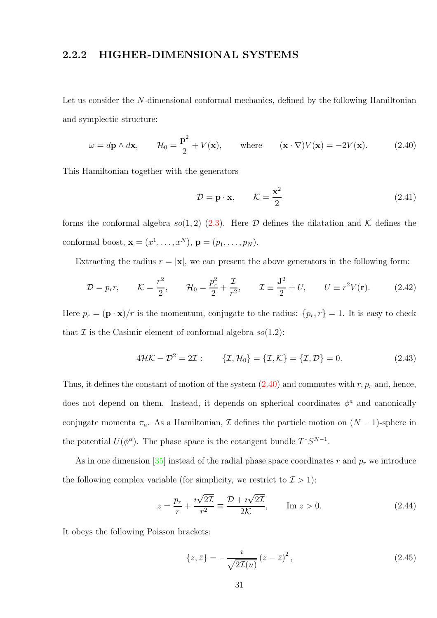#### <span id="page-30-0"></span>2.2.2 HIGHER-DIMENSIONAL SYSTEMS

Let us consider the N-dimensional conformal mechanics, defined by the following Hamiltonian and symplectic structure:

<span id="page-30-2"></span>
$$
\omega = d\mathbf{p} \wedge d\mathbf{x}, \qquad \mathcal{H}_0 = \frac{\mathbf{p}^2}{2} + V(\mathbf{x}), \qquad \text{where} \qquad (\mathbf{x} \cdot \nabla)V(\mathbf{x}) = -2V(\mathbf{x}).
$$
 (2.40)

This Hamiltonian together with the generators

$$
\mathcal{D} = \mathbf{p} \cdot \mathbf{x}, \qquad \mathcal{K} = \frac{\mathbf{x}^2}{2} \tag{2.41}
$$

forms the conformal algebra so(1,2) [\(2.3\)](#page-21-0). Here  $\mathcal D$  defines the dilatation and K defines the conformal boost,  $\mathbf{x} = (x^1, \dots, x^N), \mathbf{p} = (p_1, \dots, p_N).$ 

Extracting the radius  $r = |\mathbf{x}|$ , we can present the above generators in the following form:

<span id="page-30-1"></span>
$$
\mathcal{D} = p_r r, \qquad \mathcal{K} = \frac{r^2}{2}, \qquad \mathcal{H}_0 = \frac{p_r^2}{2} + \frac{\mathcal{I}}{r^2}, \qquad \mathcal{I} \equiv \frac{\mathbf{J}^2}{2} + U, \qquad U \equiv r^2 V(\mathbf{r}). \tag{2.42}
$$

Here  $p_r = (\mathbf{p} \cdot \mathbf{x})/r$  is the momentum, conjugate to the radius:  $\{p_r, r\} = 1$ . It is easy to check that  $\mathcal I$  is the Casimir element of conformal algebra  $so(1.2)$ :

<span id="page-30-3"></span>
$$
4\mathcal{H}\mathcal{K} - \mathcal{D}^2 = 2\mathcal{I}: \qquad \{\mathcal{I}, \mathcal{H}_0\} = \{\mathcal{I}, \mathcal{K}\} = \{\mathcal{I}, \mathcal{D}\} = 0. \tag{2.43}
$$

Thus, it defines the constant of motion of the system  $(2.40)$  and commutes with  $r, p_r$  and, hence, does not depend on them. Instead, it depends on spherical coordinates  $\phi^a$  and canonically conjugate momenta  $\pi_a$ . As a Hamiltonian,  $\mathcal I$  defines the particle motion on  $(N-1)$ -sphere in the potential  $U(\phi^{\alpha})$ . The phase space is the cotangent bundle  $T^*S^{N-1}$ .

As in one dimension [\[35\]](#page-103-11) instead of the radial phase space coordinates r and  $p_r$  we introduce the following complex variable (for simplicity, we restrict to  $\mathcal{I} > 1$ ):

$$
z = \frac{p_r}{r} + \frac{i\sqrt{2\mathcal{I}}}{r^2} \equiv \frac{\mathcal{D} + i\sqrt{2\mathcal{I}}}{2\mathcal{K}}, \qquad \text{Im } z > 0.
$$
 (2.44)

It obeys the following Poisson brackets:

$$
\{z,\bar{z}\} = -\frac{i}{\sqrt{2\mathcal{I}(u)}}\left(z-\bar{z}\right)^2,\tag{2.45}
$$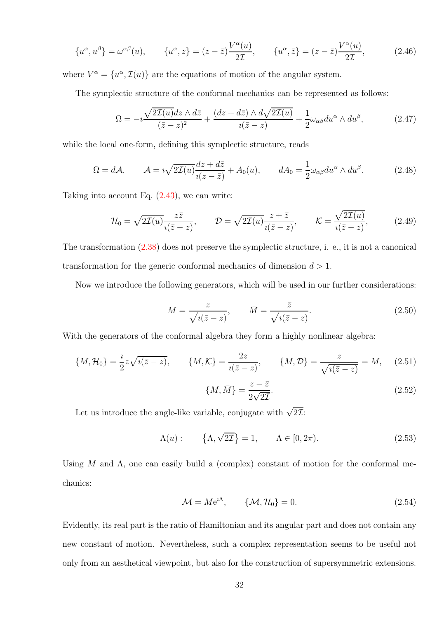$$
\{u^{\alpha}, u^{\beta}\} = \omega^{\alpha\beta}(u), \qquad \{u^{\alpha}, z\} = (z - \bar{z})\frac{V^{\alpha}(u)}{2\mathcal{I}}, \qquad \{u^{\alpha}, \bar{z}\} = (z - \bar{z})\frac{V^{\alpha}(u)}{2\mathcal{I}}, \tag{2.46}
$$

where  $V^{\alpha} = \{u^{\alpha}, \mathcal{I}(u)\}\$ are the equations of motion of the angular system.

The symplectic structure of the conformal mechanics can be represented as follows:

$$
\Omega = -i \frac{\sqrt{2\mathcal{I}(u)}dz \wedge d\bar{z}}{(\bar{z}-z)^2} + \frac{(dz+d\bar{z}) \wedge d\sqrt{2\mathcal{I}(u)}}{i(\bar{z}-z)} + \frac{1}{2}\omega_{\alpha\beta}du^{\alpha} \wedge du^{\beta},\tag{2.47}
$$

while the local one-form, defining this symplectic structure, reads

$$
\Omega = d\mathcal{A}, \qquad \mathcal{A} = i\sqrt{2\mathcal{I}(u)}\frac{dz + d\bar{z}}{i(z - \bar{z})} + A_0(u), \qquad dA_0 = \frac{1}{2}\omega_{\alpha\beta}du^{\alpha} \wedge du^{\beta}.
$$
 (2.48)

Taking into account Eq. [\(2.43\)](#page-30-3), we can write:

$$
\mathcal{H}_0 = \sqrt{2\mathcal{I}(u)} \frac{z\bar{z}}{i(\bar{z} - z)}, \qquad \mathcal{D} = \sqrt{2\mathcal{I}(u)} \frac{z + \bar{z}}{i(\bar{z} - z)}, \qquad \mathcal{K} = \frac{\sqrt{2\mathcal{I}(u)}}{i(\bar{z} - z)}, \tag{2.49}
$$

The transformation [\(2.38\)](#page-29-1) does not preserve the symplectic structure, i. e., it is not a canonical transformation for the generic conformal mechanics of dimension  $d > 1$ .

Now we introduce the following generators, which will be used in our further considerations:

$$
M = \frac{z}{\sqrt{i(\bar{z} - z)}}, \qquad \bar{M} = \frac{\bar{z}}{\sqrt{i(\bar{z} - z)}}.
$$
\n(2.50)

With the generators of the conformal algebra they form a highly nonlinear algebra:

$$
\{M, \mathcal{H}_0\} = \frac{i}{2} z \sqrt{i(\bar{z} - z)}, \qquad \{M, \mathcal{K}\} = \frac{2z}{i(\bar{z} - z)}, \qquad \{M, \mathcal{D}\} = \frac{z}{\sqrt{i(\bar{z} - z)}} = M, \qquad (2.51)
$$

$$
\{M, \bar{M}\} = \frac{z - \bar{z}}{2\sqrt{2\bar{Z}}}.
$$
(2.52)

Let us introduce the angle-like variable, conjugate with  $\sqrt{2\mathcal{I}}$ :

<span id="page-31-0"></span>
$$
\Lambda(u): \qquad \{\Lambda, \sqrt{2\mathcal{I}}\} = 1, \qquad \Lambda \in [0, 2\pi). \tag{2.53}
$$

Using M and  $\Lambda$ , one can easily build a (complex) constant of motion for the conformal mechanics:

$$
\mathcal{M} = Me^{i\Lambda}, \qquad \{\mathcal{M}, \mathcal{H}_0\} = 0.
$$
 (2.54)

Evidently, its real part is the ratio of Hamiltonian and its angular part and does not contain any new constant of motion. Nevertheless, such a complex representation seems to be useful not only from an aesthetical viewpoint, but also for the construction of supersymmetric extensions.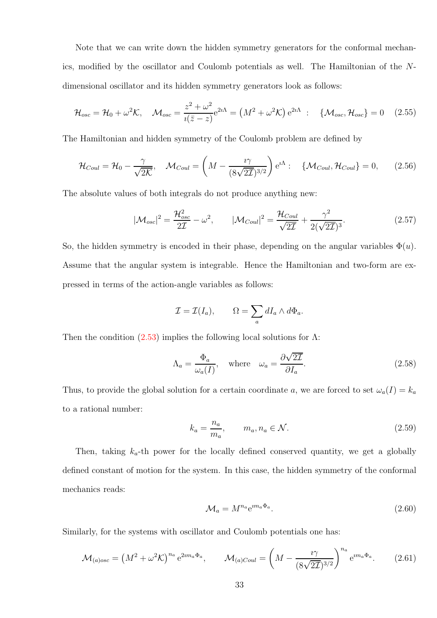Note that we can write down the hidden symmetry generators for the conformal mechanics, modified by the oscillator and Coulomb potentials as well. The Hamiltonian of the Ndimensional oscillator and its hidden symmetry generators look as follows:

$$
\mathcal{H}_{osc} = \mathcal{H}_0 + \omega^2 \mathcal{K}, \quad \mathcal{M}_{osc} = \frac{z^2 + \omega^2}{i(\bar{z} - z)} e^{2i\Lambda} = \left(M^2 + \omega^2 \mathcal{K}\right) e^{2i\Lambda} \; : \quad \{\mathcal{M}_{osc}, \mathcal{H}_{osc}\} = 0 \quad (2.55)
$$

The Hamiltonian and hidden symmetry of the Coulomb problem are defined by

$$
\mathcal{H}_{Coul} = \mathcal{H}_0 - \frac{\gamma}{\sqrt{2\mathcal{K}}}, \quad \mathcal{M}_{Coul} = \left(M - \frac{i\gamma}{(8\sqrt{2\mathcal{I}})^{3/2}}\right) e^{i\Lambda} : \quad \{\mathcal{M}_{Coul}, \mathcal{H}_{Coul}\} = 0, \tag{2.56}
$$

The absolute values of both integrals do not produce anything new:

$$
|\mathcal{M}_{osc}|^2 = \frac{\mathcal{H}_{osc}^2}{2\mathcal{I}} - \omega^2, \qquad |\mathcal{M}_{Coul}|^2 = \frac{\mathcal{H}_{Coul}}{\sqrt{2\mathcal{I}}} + \frac{\gamma^2}{2(\sqrt{2\mathcal{I}})^3}.
$$
 (2.57)

So, the hidden symmetry is encoded in their phase, depending on the angular variables  $\Phi(u)$ . Assume that the angular system is integrable. Hence the Hamiltonian and two-form are expressed in terms of the action-angle variables as follows:

$$
\mathcal{I} = \mathcal{I}(I_a), \qquad \Omega = \sum_a dI_a \wedge d\Phi_a.
$$

Then the condition  $(2.53)$  implies the following local solutions for  $\Lambda$ :

$$
\Lambda_a = \frac{\Phi_a}{\omega_a(I)}, \quad \text{where} \quad \omega_a = \frac{\partial \sqrt{2\mathcal{I}}}{\partial I_a}.
$$
\n(2.58)

Thus, to provide the global solution for a certain coordinate a, we are forced to set  $\omega_a(I) = k_a$ to a rational number:

$$
k_a = \frac{n_a}{m_a}, \qquad m_a, n_a \in \mathcal{N}.
$$
\n
$$
(2.59)
$$

Then, taking  $k_a$ -th power for the locally defined conserved quantity, we get a globally defined constant of motion for the system. In this case, the hidden symmetry of the conformal mechanics reads:

$$
\mathcal{M}_a = M^{n_a} e^{i m_a \Phi_a}.
$$
\n(2.60)

Similarly, for the systems with oscillator and Coulomb potentials one has:

$$
\mathcal{M}_{(a)osc} = \left(M^2 + \omega^2 \mathcal{K}\right)^{n_a} e^{2im_a \Phi_a}, \qquad \mathcal{M}_{(a)Coul} = \left(M - \frac{i\gamma}{(8\sqrt{2\mathcal{I}})^{3/2}}\right)^{n_a} e^{im_a \Phi_a}.
$$
 (2.61)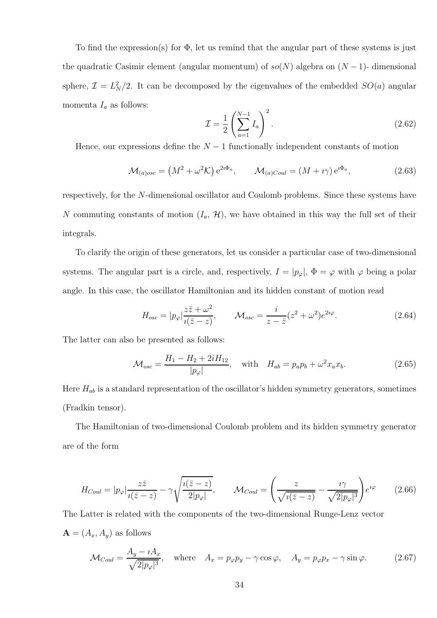To find the expression(s) for  $\Phi$ , let us remind that the angular part of these systems is just the quadratic Casimir element (angular momentum) of  $so(N)$  algebra on  $(N-1)$ - dimensional sphere,  $\mathcal{I} = L_N^2/2$ . It can be decomposed by the eigenvalues of the embedded  $SO(a)$  angular momenta  $I_a$  as follows:

$$
\mathcal{I} = \frac{1}{2} \left( \sum_{a=1}^{N-1} I_a \right)^2.
$$
\n
$$
(2.62)
$$

Hence, our expressions define the  $N-1$  functionally independent constants of motion

$$
\mathcal{M}_{(a)osc} = \left(M^2 + \omega^2 \mathcal{K}\right) e^{2i\Phi_a}, \qquad \mathcal{M}_{(a)Coul} = \left(M + i\gamma\right) e^{i\Phi_a},\tag{2.63}
$$

respectively, for the N-dimensional oscillator and Coulomb problems. Since these systems have N commuting constants of motion  $(I_a, \mathcal{H})$ , we have obtained in this way the full set of their integrals.

To clarify the origin of these generators, let us consider a particular case of two-dimensional systems. The angular part is a circle, and, respectively,  $I = |p_{\varphi}|$ ,  $\Phi = \varphi$  with  $\varphi$  being a polar angle. In this case, the oscillator Hamiltonian and its hidden constant of motion read

$$
H_{osc} = |p_{\varphi}| \frac{z\bar{z} + \omega^2}{i(\bar{z} - z)}, \qquad \mathcal{M}_{osc} = \frac{i}{z - \bar{z}} (z^2 + \omega^2) e^{2i\varphi}.
$$
 (2.64)

The latter can also be presented as follows:

$$
\mathcal{M}_{osc} = \frac{H_1 - H_2 + 2iH_{12}}{|p_{\varphi}|}, \quad \text{with} \quad H_{ab} = p_a p_b + \omega^2 x_a x_b.
$$
 (2.65)

Here  $H_{ab}$  is a standard representation of the oscillator's hidden symmetry generators, sometimes (Fradkin tensor).

The Hamiltonian of two-dimensional Coulomb problem and its hidden symmetry generator are of the form

$$
H_{Coul} = |p_{\varphi}| \frac{z\bar{z}}{i(\bar{z} - z)} - \gamma \sqrt{\frac{i(\bar{z} - z)}{2|p_{\varphi}|}}, \qquad \mathcal{M}_{Coul} = \left(\frac{z}{\sqrt{i(\bar{z} - z)}} - \frac{i\gamma}{\sqrt{2|p_{\varphi}|^3}}\right) e^{i\varphi}
$$
(2.66)

The Latter is related with the components of the two-dimensional Runge-Lenz vector  $\mathbf{A} = (A_x, A_y)$  as follows

$$
\mathcal{M}_{Coul} = \frac{A_y - iA_x}{\sqrt{2|p_{\varphi}|^3}}, \quad \text{where} \quad A_x = p_{\varphi}p_y - \gamma \cos \varphi, \quad A_y = p_{\varphi}p_x - \gamma \sin \varphi. \tag{2.67}
$$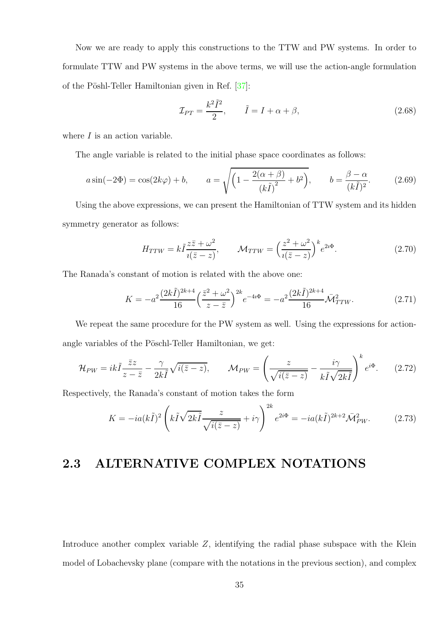Now we are ready to apply this constructions to the TTW and PW systems. In order to formulate TTW and PW systems in the above terms, we will use the action-angle formulation of the Pöshl-Teller Hamiltonian given in Ref. [\[37\]](#page-103-1):

$$
\mathcal{I}_{PT} = \frac{k^2 \tilde{I}^2}{2}, \qquad \tilde{I} = I + \alpha + \beta,
$$
\n(2.68)

where  $I$  is an action variable.

The angle variable is related to the initial phase space coordinates as follows:

$$
a\sin(-2\Phi) = \cos(2k\varphi) + b, \qquad a = \sqrt{\left(1 - \frac{2(\alpha + \beta)}{(k\tilde{I})^2} + b^2\right)}, \qquad b = \frac{\beta - \alpha}{(k\tilde{I})^2}.
$$
 (2.69)

Using the above expressions, we can present the Hamiltonian of TTW system and its hidden symmetry generator as follows:

$$
H_{TTW} = k\tilde{I}\frac{z\bar{z} + \omega^2}{i(\bar{z} - z)}, \qquad \mathcal{M}_{TTW} = \left(\frac{z^2 + \omega^2}{i(\bar{z} - z)}\right)^k e^{2i\Phi}.
$$
 (2.70)

The Ranada's constant of motion is related with the above one:

$$
K = -a^2 \frac{(2k\tilde{I})^{2k+4}}{16} \left(\frac{\bar{z}^2 + \omega^2}{z - \bar{z}}\right)^{2k} e^{-4i\Phi} = -a^2 \frac{(2k\tilde{I})^{2k+4}}{16} \bar{\mathcal{M}}_{TTW}^2.
$$
 (2.71)

We repeat the same procedure for the PW system as well. Using the expressions for actionangle variables of the Pöschl-Teller Hamiltonian, we get:

$$
\mathcal{H}_{PW} = ik\tilde{I}\frac{\bar{z}z}{z-\bar{z}} - \frac{\gamma}{2k\tilde{I}}\sqrt{i(\bar{z}-z)}, \qquad \mathcal{M}_{PW} = \left(\frac{z}{\sqrt{i(\bar{z}-z)}} - \frac{i\gamma}{k\tilde{I}\sqrt{2k\tilde{I}}}\right)^k e^{i\Phi}.\tag{2.72}
$$

<span id="page-34-0"></span>Respectively, the Ranada's constant of motion takes the form

$$
K = -ia(k\tilde{I})^2 \left( k\tilde{I} \sqrt{2k\tilde{I}} \frac{z}{\sqrt{i(\bar{z} - z)}} + i\gamma \right)^{2k} e^{2i\Phi} = -ia(k\tilde{I})^{2k+2} \bar{\mathcal{M}}_{PW}^2.
$$
 (2.73)

### 2.3 ALTERNATIVE COMPLEX NOTATIONS

Introduce another complex variable Z, identifying the radial phase subspace with the Klein model of Lobachevsky plane (compare with the notations in the previous section), and complex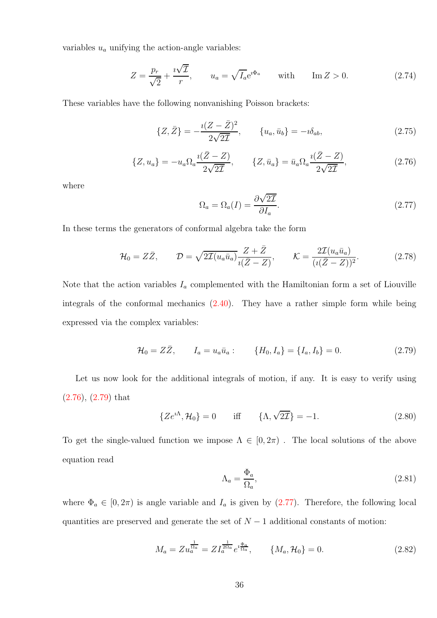variables  $u_a$  unifying the action-angle variables:

$$
Z = \frac{p_r}{\sqrt{2}} + \frac{i\sqrt{L}}{r}, \qquad u_a = \sqrt{I_a}e^{i\Phi_a} \qquad \text{with} \qquad \text{Im}\,Z > 0. \tag{2.74}
$$

These variables have the following nonvanishing Poisson brackets:

$$
\{Z, \bar{Z}\} = -\frac{i(Z - \bar{Z})^2}{2\sqrt{2\mathcal{I}}}, \qquad \{u_a, \bar{u}_b\} = -i\delta_{ab}, \tag{2.75}
$$

<span id="page-35-0"></span>
$$
\{Z, u_a\} = -u_a \Omega_a \frac{i(\bar{Z} - Z)}{2\sqrt{2\mathcal{I}}}, \qquad \{Z, \bar{u}_a\} = \bar{u}_a \Omega_a \frac{i(\bar{Z} - Z)}{2\sqrt{2\mathcal{I}}}, \tag{2.76}
$$

where

<span id="page-35-2"></span>
$$
\Omega_a = \Omega_a(I) = \frac{\partial \sqrt{2\mathcal{I}}}{\partial I_a}.
$$
\n(2.77)

In these terms the generators of conformal algebra take the form

$$
\mathcal{H}_0 = Z\bar{Z}, \qquad \mathcal{D} = \sqrt{2\mathcal{I}(u_a\bar{u}_a)} \frac{Z + \bar{Z}}{\imath(\bar{Z} - Z)}, \qquad \mathcal{K} = \frac{2\mathcal{I}(u_a\bar{u}_a)}{(\imath(\bar{Z} - Z))^2}.
$$
\n(2.78)

Note that the action variables  $I_a$  complemented with the Hamiltonian form a set of Liouville integrals of the conformal mechanics [\(2.40\)](#page-30-2). They have a rather simple form while being expressed via the complex variables:

$$
\mathcal{H}_0 = Z\bar{Z}, \qquad I_a = u_a \bar{u}_a: \qquad \{H_0, I_a\} = \{I_a, I_b\} = 0. \tag{2.79}
$$

Let us now look for the additional integrals of motion, if any. It is easy to verify using [\(2.76\)](#page-35-0), [\(2.79\)](#page-35-1) that

$$
\{Ze^{i\Lambda}, \mathcal{H}_0\} = 0 \quad \text{iff} \quad \{\Lambda, \sqrt{2\mathcal{I}}\} = -1. \tag{2.80}
$$

To get the single-valued function we impose  $\Lambda \in [0, 2\pi)$ . The local solutions of the above equation read

<span id="page-35-1"></span>
$$
\Lambda_a = \frac{\Phi_a}{\Omega_a},\tag{2.81}
$$

where  $\Phi_a \in [0, 2\pi)$  is angle variable and  $I_a$  is given by [\(2.77\)](#page-35-2). Therefore, the following local quantities are preserved and generate the set of  $N-1$  additional constants of motion:

$$
M_a = Z u_a^{\frac{1}{\Omega_a}} = Z I_a^{\frac{1}{2\Omega_a}} e^{i \frac{\Phi_a}{\Omega_a}}, \qquad \{M_a, \mathcal{H}_0\} = 0.
$$
 (2.82)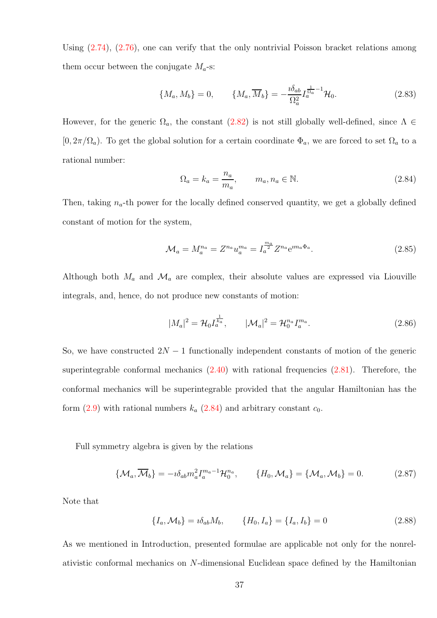Using [\(2.74\)](#page-35-0), [\(2.76\)](#page-35-1), one can verify that the only nontrivial Poisson bracket relations among them occur between the conjugate  $M_a$ -s:

$$
\{M_a, M_b\} = 0, \qquad \{M_a, \overline{M}_b\} = -\frac{i\delta_{ab}}{\Omega_a^2} I_a^{\frac{1}{\Omega_a} - 1} \mathcal{H}_0.
$$
 (2.83)

However, for the generic  $\Omega_a$ , the constant [\(2.82\)](#page-35-2) is not still globally well-defined, since  $\Lambda \in$  $[0, 2\pi/\Omega_a)$ . To get the global solution for a certain coordinate  $\Phi_a$ , we are forced to set  $\Omega_a$  to a rational number:

<span id="page-36-2"></span><span id="page-36-0"></span>
$$
\Omega_a = k_a = \frac{n_a}{m_a}, \qquad m_a, n_a \in \mathbb{N}.
$$
\n(2.84)

Then, taking  $n_a$ -th power for the locally defined conserved quantity, we get a globally defined constant of motion for the system,

$$
\mathcal{M}_a = M_a^{n_a} = Z^{n_a} u_a^{m_a} = I_a^{\frac{m_a}{2}} Z^{n_a} e^{i m_a \Phi_a}.
$$
 (2.85)

Although both  $M_a$  and  $\mathcal{M}_a$  are complex, their absolute values are expressed via Liouville integrals, and, hence, do not produce new constants of motion:

$$
|M_a|^2 = \mathcal{H}_0 I_a^{\frac{1}{k_a}}, \qquad |\mathcal{M}_a|^2 = \mathcal{H}_0^{n_a} I_a^{m_a}.
$$
 (2.86)

So, we have constructed  $2N-1$  functionally independent constants of motion of the generic superintegrable conformal mechanics  $(2.40)$  with rational frequencies  $(2.81)$ . Therefore, the conformal mechanics will be superintegrable provided that the angular Hamiltonian has the form  $(2.9)$  with rational numbers  $k_a$   $(2.84)$  and arbitrary constant  $c_0$ .

Full symmetry algebra is given by the relations

<span id="page-36-3"></span>
$$
\{\mathcal{M}_a, \overline{\mathcal{M}}_b\} = -i\delta_{ab} m_a^2 I_a^{m_a - 1} \mathcal{H}_0^{n_a}, \qquad \{H_0, \mathcal{M}_a\} = \{\mathcal{M}_a, \mathcal{M}_b\} = 0. \tag{2.87}
$$

Note that

<span id="page-36-1"></span>
$$
\{I_a, \mathcal{M}_b\} = i\delta_{ab} M_b, \qquad \{H_0, I_a\} = \{I_a, I_b\} = 0 \tag{2.88}
$$

As we mentioned in Introduction, presented formulae are applicable not only for the nonrelativistic conformal mechanics on N-dimensional Euclidean space defined by the Hamiltonian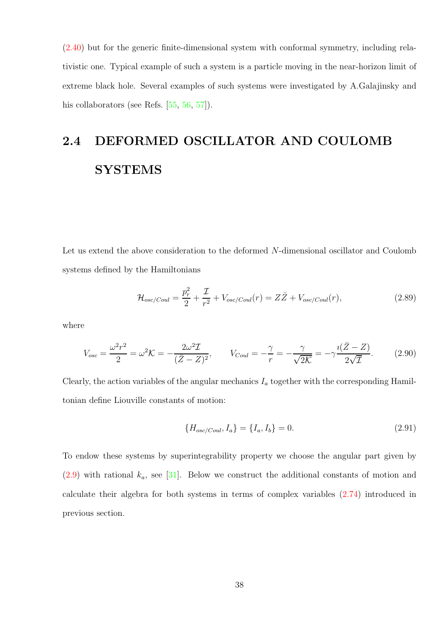[\(2.40\)](#page-30-0) but for the generic finite-dimensional system with conformal symmetry, including relativistic one. Typical example of such a system is a particle moving in the near-horizon limit of extreme black hole. Several examples of such systems were investigated by A.Galajinsky and his collaborators (see Refs. [\[55,](#page-104-0) [56,](#page-104-1) [57\]](#page-104-2)).

# 2.4 DEFORMED OSCILLATOR AND COULOMB **SYSTEMS**

Let us extend the above consideration to the deformed N-dimensional oscillator and Coulomb systems defined by the Hamiltonians

<span id="page-37-1"></span>
$$
\mathcal{H}_{osc/Coul} = \frac{p_r^2}{2} + \frac{\mathcal{I}}{r^2} + V_{osc/Coul}(r) = Z\bar{Z} + V_{osc/Coul}(r),\tag{2.89}
$$

where

$$
V_{osc} = \frac{\omega^2 r^2}{2} = \omega^2 K = -\frac{2\omega^2 \mathcal{I}}{(\bar{Z} - Z)^2}, \qquad V_{Coul} = -\frac{\gamma}{r} = -\frac{\gamma}{\sqrt{2K}} = -\gamma \frac{i(\bar{Z} - Z)}{2\sqrt{\mathcal{I}}}.
$$
 (2.90)

Clearly, the action variables of the angular mechanics  $I_a$  together with the corresponding Hamiltonian define Liouville constants of motion:

<span id="page-37-0"></span>
$$
\{H_{osc/Coul}, I_a\} = \{I_a, I_b\} = 0.
$$
\n(2.91)

To endow these systems by superintegrability property we choose the angular part given by  $(2.9)$  with rational  $k_a$ , see [\[31\]](#page-102-0). Below we construct the additional constants of motion and calculate their algebra for both systems in terms of complex variables [\(2.74\)](#page-35-0) introduced in previous section.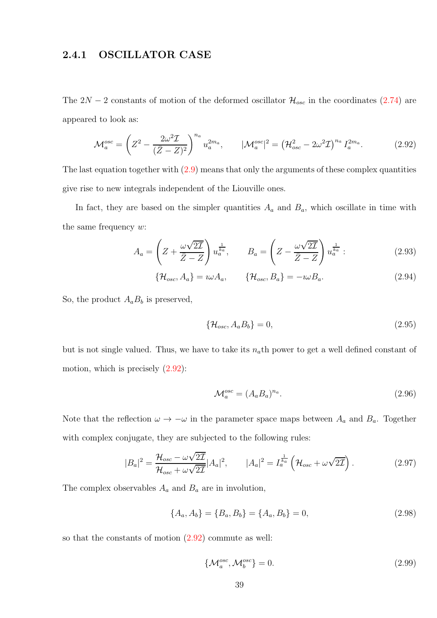### 2.4.1 OSCILLATOR CASE

The  $2N-2$  constants of motion of the deformed oscillator  $\mathcal{H}_{osc}$  in the coordinates [\(2.74\)](#page-35-0) are appeared to look as:

<span id="page-38-0"></span>
$$
\mathcal{M}_a^{osc} = \left( Z^2 - \frac{2\omega^2 \mathcal{I}}{(\bar{Z} - Z)^2} \right)^{n_a} u_a^{2m_a}, \qquad |\mathcal{M}_a^{osc}|^2 = \left( \mathcal{H}_{osc}^2 - 2\omega^2 \mathcal{I} \right)^{n_a} I_a^{2m_a}.
$$
 (2.92)

The last equation together with  $(2.9)$  means that only the arguments of these complex quantities give rise to new integrals independent of the Liouville ones.

In fact, they are based on the simpler quantities  $A_a$  and  $B_a$ , which oscillate in time with the same frequency  $w$ :

<span id="page-38-1"></span>
$$
A_a = \left(Z + \frac{\omega\sqrt{2\mathcal{I}}}{\bar{Z} - Z}\right)u_a^{\frac{1}{k_a}}, \qquad B_a = \left(Z - \frac{\omega\sqrt{2\mathcal{I}}}{\bar{Z} - Z}\right)u_a^{\frac{1}{k_a}}.
$$
 (2.93)

$$
\{\mathcal{H}_{osc}, A_a\} = i\omega A_a, \qquad \{\mathcal{H}_{osc}, B_a\} = -i\omega B_a.
$$
 (2.94)

So, the product  $A_a B_b$  is preserved,

$$
\{\mathcal{H}_{osc}, A_a B_b\} = 0,\tag{2.95}
$$

but is not single valued. Thus, we have to take its  $n_a$ th power to get a well defined constant of motion, which is precisely [\(2.92\)](#page-38-0):

<span id="page-38-2"></span>
$$
\mathcal{M}_a^{osc} = (A_a B_a)^{n_a}.\tag{2.96}
$$

Note that the reflection  $\omega \to -\omega$  in the parameter space maps between  $A_a$  and  $B_a$ . Together with complex conjugate, they are subjected to the following rules:

$$
|B_a|^2 = \frac{\mathcal{H}_{osc} - \omega\sqrt{2\mathcal{I}}}{\mathcal{H}_{osc} + \omega\sqrt{2\mathcal{I}}}|A_a|^2, \qquad |A_a|^2 = I_a^{\frac{1}{k_a}}\left(\mathcal{H}_{osc} + \omega\sqrt{2\mathcal{I}}\right).
$$
 (2.97)

The complex observables  $A_a$  and  $B_a$  are in involution,

$$
\{A_a, A_b\} = \{B_a, B_b\} = \{A_a, B_b\} = 0,\tag{2.98}
$$

so that the constants of motion [\(2.92\)](#page-38-0) commute as well:

$$
\{\mathcal{M}_a^{osc}, \mathcal{M}_b^{osc}\} = 0. \tag{2.99}
$$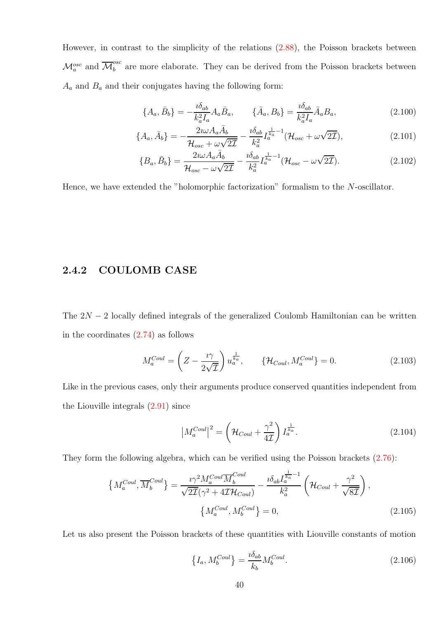However, in contrast to the simplicity of the relations [\(2.88\)](#page-36-1), the Poisson brackets between  $\mathcal{M}_a^{osc}$  and  $\overline{\mathcal{M}}_b^{osc}$  are more elaborate. They can be derived from the Poisson brackets between  $A_a$  and  $B_a$  and their conjugates having the following form:

<span id="page-39-5"></span><span id="page-39-4"></span><span id="page-39-3"></span>
$$
\{A_a, \bar{B}_b\} = -\frac{i\delta_{ab}}{k_a^2 I_a} A_a \bar{B}_a, \qquad \{\bar{A}_a, B_b\} = \frac{i\delta_{ab}}{k_a^2 I_a} \bar{A}_a B_a,\tag{2.100}
$$

$$
\{A_a, \bar{A}_b\} = -\frac{2i\omega A_a \bar{A}_b}{\mathcal{H}_{osc} + \omega\sqrt{2\mathcal{I}}} - \frac{i\delta_{ab}}{k_a^2} I_a^{\frac{1}{k_a} - 1}(\mathcal{H}_{osc} + \omega\sqrt{2\mathcal{I}}),\tag{2.101}
$$

$$
\{B_a, \bar{B}_b\} = \frac{2i\omega A_a \bar{A}_b}{\mathcal{H}_{osc} - \omega\sqrt{2\mathcal{I}}} - \frac{i\delta_{ab}}{k_a^2} I_a^{\frac{1}{k_a} - 1}(\mathcal{H}_{osc} - \omega\sqrt{2\mathcal{I}}). \tag{2.102}
$$

Hence, we have extended the "holomorphic factorization" formalism to the N-oscillator.

#### 2.4.2 COULOMB CASE

The  $2N-2$  locally defined integrals of the generalized Coulomb Hamiltonian can be written in the coordinates  $(2.74)$  as follows

<span id="page-39-0"></span>
$$
M_a^{Coul} = \left(Z - \frac{i\gamma}{2\sqrt{\mathcal{I}}}\right) u_a^{\frac{1}{k_a}}, \qquad \{\mathcal{H}_{Coul}, M_a^{Coul}\} = 0. \tag{2.103}
$$

Like in the previous cases, only their arguments produce conserved quantities independent from the Liouville integrals [\(2.91\)](#page-37-0) since

$$
\left| M_a^{Coul} \right|^2 = \left( \mathcal{H}_{Coul} + \frac{\gamma^2}{4\mathcal{I}} \right) I_a^{\frac{1}{k_a}}.
$$
\n(2.104)

They form the following algebra, which can be verified using the Poisson brackets [\(2.76\)](#page-35-1):

$$
\left\{ M_a^{Coul}, \overline{M}_b^{Coul}\right\} = \frac{i\gamma^2 M_a^{Coul} \overline{M}_b^{Coul}}{\sqrt{2\mathcal{I}}(\gamma^2 + 4\mathcal{I}\mathcal{H}_{Coul})} - \frac{i\delta_{ab} I_a^{\frac{1}{k_a} - 1}}{k_a^2} \left( \mathcal{H}_{Coul} + \frac{\gamma^2}{\sqrt{8\mathcal{I}}} \right),
$$
\n
$$
\left\{ M_a^{Coul}, M_b^{Coul} \right\} = 0,
$$
\n(2.105)

Let us also present the Poisson brackets of these quantities with Liouville constants of motion

<span id="page-39-2"></span><span id="page-39-1"></span>
$$
\left\{I_a, M_b^{Coul}\right\} = \frac{\imath \delta_{ab}}{k_b} M_b^{Coul}.\tag{2.106}
$$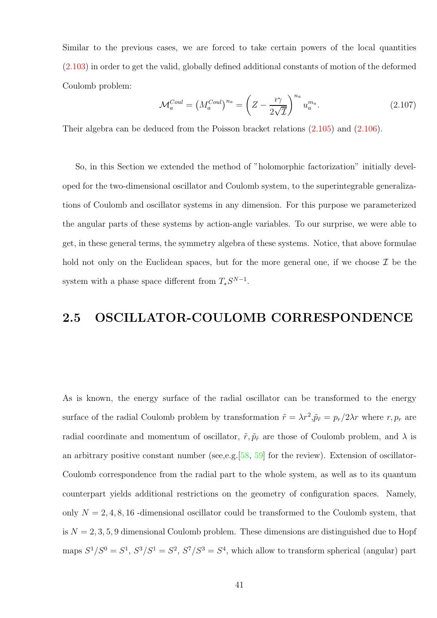Similar to the previous cases, we are forced to take certain powers of the local quantities [\(2.103\)](#page-39-0) in order to get the valid, globally defined additional constants of motion of the deformed Coulomb problem:

$$
\mathcal{M}_a^{Coul} = \left(M_a^{Coul}\right)^{n_a} = \left(Z - \frac{i\gamma}{2\sqrt{\mathcal{I}}}\right)^{n_a} u_a^{m_a}.
$$
\n(2.107)

Their algebra can be deduced from the Poisson bracket relations [\(2.105\)](#page-39-1) and [\(2.106\)](#page-39-2).

So, in this Section we extended the method of "holomorphic factorization" initially developed for the two-dimensional oscillator and Coulomb system, to the superintegrable generalizations of Coulomb and oscillator systems in any dimension. For this purpose we parameterized the angular parts of these systems by action-angle variables. To our surprise, we were able to get, in these general terms, the symmetry algebra of these systems. Notice, that above formulae hold not only on the Euclidean spaces, but for the more general one, if we choose  $\mathcal I$  be the system with a phase space different from  $T_*S^{N-1}$ .

# 2.5 OSCILLATOR-COULOMB CORRESPONDENCE

As is known, the energy surface of the radial oscillator can be transformed to the energy surface of the radial Coulomb problem by transformation  $\tilde{r} = \lambda r^2$ ,  $\tilde{p}_{\tilde{r}} = p_r/2\lambda r$  where  $r, p_r$  are radial coordinate and momentum of oscillator,  $\tilde{r}, \tilde{p}_{\tilde{r}}$  are those of Coulomb problem, and  $\lambda$  is an arbitrary positive constant number (see, e.g.  $[58, 59]$  $[58, 59]$  $[58, 59]$  for the review). Extension of oscillator-Coulomb correspondence from the radial part to the whole system, as well as to its quantum counterpart yields additional restrictions on the geometry of configuration spaces. Namely, only  $N = 2, 4, 8, 16$  -dimensional oscillator could be transformed to the Coulomb system, that is  $N = 2, 3, 5, 9$  dimensional Coulomb problem. These dimensions are distinguished due to Hopf maps  $S^1/S^0 = S^1$ ,  $S^3/S^1 = S^2$ ,  $S^7/S^3 = S^4$ , which allow to transform spherical (angular) part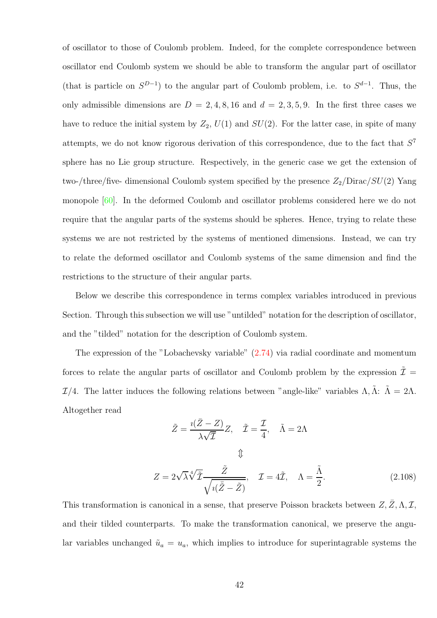of oscillator to those of Coulomb problem. Indeed, for the complete correspondence between oscillator end Coulomb system we should be able to transform the angular part of oscillator (that is particle on  $S^{D-1}$ ) to the angular part of Coulomb problem, i.e. to  $S^{d-1}$ . Thus, the only admissible dimensions are  $D = 2, 4, 8, 16$  and  $d = 2, 3, 5, 9$ . In the first three cases we have to reduce the initial system by  $Z_2$ ,  $U(1)$  and  $SU(2)$ . For the latter case, in spite of many attempts, we do not know rigorous derivation of this correspondence, due to the fact that  $S<sup>7</sup>$ sphere has no Lie group structure. Respectively, in the generic case we get the extension of two-/three/five- dimensional Coulomb system specified by the presence  $Z_2/D$ irac/ $SU(2)$  Yang monopole [\[60\]](#page-105-1). In the deformed Coulomb and oscillator problems considered here we do not require that the angular parts of the systems should be spheres. Hence, trying to relate these systems we are not restricted by the systems of mentioned dimensions. Instead, we can try to relate the deformed oscillator and Coulomb systems of the same dimension and find the restrictions to the structure of their angular parts.

Below we describe this correspondence in terms complex variables introduced in previous Section. Through this subsection we will use "untilded" notation for the description of oscillator, and the "tilded" notation for the description of Coulomb system.

The expression of the "Lobachevsky variable" [\(2.74\)](#page-35-0) via radial coordinate and momentum forces to relate the angular parts of oscillator and Coulomb problem by the expression  $\tilde{\mathcal{I}} =$ I/4. The latter induces the following relations between "angle-like" variables Λ,  $\tilde{\Lambda}$ :  $\tilde{\Lambda} = 2\Lambda$ . Altogether read

$$
\tilde{Z} = \frac{i(\bar{Z} - Z)}{\lambda \sqrt{\bar{Z}}} Z, \quad \tilde{\mathcal{I}} = \frac{\mathcal{I}}{4}, \quad \tilde{\Lambda} = 2\Lambda
$$
  

$$
\updownarrow
$$
  

$$
Z = 2\sqrt{\lambda} \sqrt[4]{\tilde{Z}} \frac{\tilde{Z}}{\sqrt{i(\tilde{Z} - \tilde{Z})}}, \quad \mathcal{I} = 4\tilde{\mathcal{I}}, \quad \Lambda = \frac{\tilde{\Lambda}}{2}.
$$
 (2.108)

This transformation is canonical in a sense, that preserve Poisson brackets between  $Z, \bar{Z}, \Lambda, \mathcal{I},$ and their tilded counterparts. To make the transformation canonical, we preserve the angular variables unchanged  $\tilde{u}_a = u_a$ , which implies to introduce for superintagrable systems the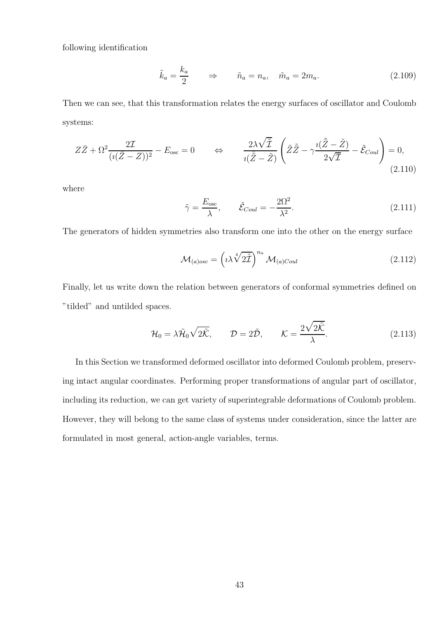following identification

$$
\tilde{k}_a = \frac{k_a}{2} \qquad \Rightarrow \qquad \tilde{n}_a = n_a, \quad \tilde{m}_a = 2m_a. \tag{2.109}
$$

Then we can see, that this transformation relates the energy surfaces of oscillator and Coulomb systems:

$$
Z\bar{Z} + \Omega^2 \frac{2\mathcal{I}}{(i(\bar{Z} - Z))^2} - E_{\text{osc}} = 0 \qquad \Leftrightarrow \qquad \frac{2\lambda\sqrt{\tilde{Z}}}{i(\bar{\tilde{Z}} - \tilde{Z})} \left(\tilde{Z}\tilde{\tilde{Z}} - \gamma \frac{i(\tilde{\tilde{Z}} - \tilde{Z})}{2\sqrt{\tilde{Z}}} - \tilde{\mathcal{E}}_{Coul}\right) = 0,
$$
\n(2.110)

where

$$
\tilde{\gamma} = \frac{E_{\text{osc}}}{\lambda}, \qquad \tilde{\mathcal{E}}_{Coul} = -\frac{2\Omega^2}{\lambda^2}.
$$
\n(2.111)

The generators of hidden symmetries also transform one into the other on the energy surface

$$
\mathcal{M}_{(a)osc} = \left(\iota\lambda \sqrt[4]{2\tilde{I}}\right)^{n_a} \mathcal{M}_{(a)Coul} \tag{2.112}
$$

Finally, let us write down the relation between generators of conformal symmetries defined on "tilded" and untilded spaces.

$$
\mathcal{H}_0 = \lambda \tilde{\mathcal{H}}_0 \sqrt{2\tilde{\mathcal{K}}}, \qquad \mathcal{D} = 2\tilde{\mathcal{D}}, \qquad \mathcal{K} = \frac{2\sqrt{2\tilde{\mathcal{K}}}}{\lambda}.
$$
 (2.113)

In this Section we transformed deformed oscillator into deformed Coulomb problem, preserving intact angular coordinates. Performing proper transformations of angular part of oscillator, including its reduction, we can get variety of superintegrable deformations of Coulomb problem. However, they will belong to the same class of systems under consideration, since the latter are formulated in most general, action-angle variables, terms.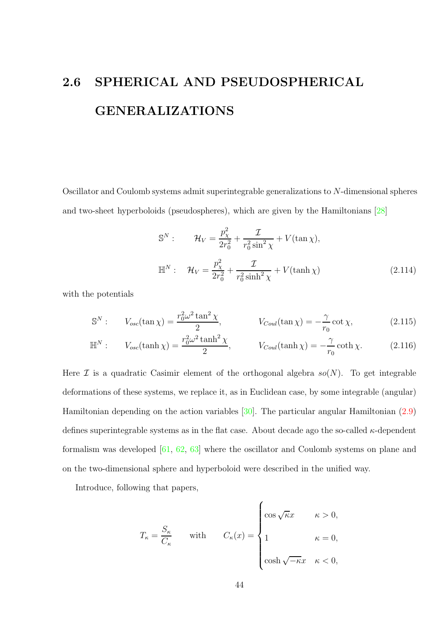# 2.6 SPHERICAL AND PSEUDOSPHERICAL GENERALIZATIONS

Oscillator and Coulomb systems admit superintegrable generalizations to N-dimensional spheres and two-sheet hyperboloids (pseudospheres), which are given by the Hamiltonians [\[28\]](#page-102-1)

<span id="page-43-1"></span><span id="page-43-0"></span>
$$
\mathbb{S}^{N}: \qquad \mathcal{H}_{V} = \frac{p_{\chi}^{2}}{2r_{0}^{2}} + \frac{\mathcal{I}}{r_{0}^{2}\sin^{2}\chi} + V(\tan\chi),
$$
  

$$
\mathbb{H}^{N}: \qquad \mathcal{H}_{V} = \frac{p_{\chi}^{2}}{2r_{0}^{2}} + \frac{\mathcal{I}}{r_{0}^{2}\sinh^{2}\chi} + V(\tanh\chi)
$$
(2.114)

with the potentials

$$
\mathbb{S}^N: \qquad V_{osc}(\tan \chi) = \frac{r_0^2 \omega^2 \tan^2 \chi}{2}, \qquad V_{Coul}(\tan \chi) = -\frac{\gamma}{r_0} \cot \chi, \tag{2.115}
$$

$$
\mathbb{H}^{N}: \qquad V_{osc}(\tanh \chi) = \frac{r_0^2 \omega^2 \tanh^2 \chi}{2}, \qquad V_{Coul}(\tanh \chi) = -\frac{\gamma}{r_0} \coth \chi. \tag{2.116}
$$

Here  $\mathcal I$  is a quadratic Casimir element of the orthogonal algebra  $so(N)$ . To get integrable deformations of these systems, we replace it, as in Euclidean case, by some integrable (angular) Hamiltonian depending on the action variables [\[30\]](#page-102-2). The particular angular Hamiltonian [\(2.9\)](#page-22-0) defines superintegrable systems as in the flat case. About decade ago the so-called  $\kappa$ -dependent formalism was developed [\[61,](#page-105-2) [62,](#page-105-3) [63\]](#page-105-4) where the oscillator and Coulomb systems on plane and on the two-dimensional sphere and hyperboloid were described in the unified way.

Introduce, following that papers,

$$
T_{\kappa} = \frac{S_{\kappa}}{C_{\kappa}} \quad \text{with} \quad C_{\kappa}(x) = \begin{cases} \cos \sqrt{\kappa}x & \kappa > 0, \\ 1 & \kappa = 0, \\ \cosh \sqrt{-\kappa}x & \kappa < 0, \end{cases}
$$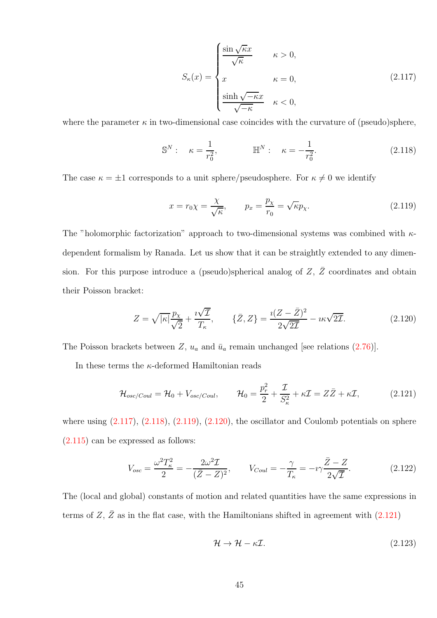<span id="page-44-0"></span>
$$
S_{\kappa}(x) = \begin{cases} \frac{\sin\sqrt{\kappa}x}{\sqrt{\kappa}} & \kappa > 0, \\ x & \kappa = 0, \\ \frac{\sinh\sqrt{-\kappa}x}{\sqrt{-\kappa}} & \kappa < 0, \end{cases}
$$
(2.117)

where the parameter  $\kappa$  in two-dimensional case coincides with the curvature of (pseudo)sphere,

<span id="page-44-1"></span>
$$
\mathbb{S}^{N}: \quad \kappa = \frac{1}{r_0^2}, \qquad \mathbb{H}^{N}: \quad \kappa = -\frac{1}{r_0^2}.
$$
 (2.118)

The case  $\kappa = \pm 1$  corresponds to a unit sphere/pseudosphere. For  $\kappa \neq 0$  we identify

<span id="page-44-2"></span>
$$
x = r_0 \chi = \frac{\chi}{\sqrt{\kappa}}, \qquad p_x = \frac{p_\chi}{r_0} = \sqrt{\kappa} p_\chi. \tag{2.119}
$$

The "holomorphic factorization" approach to two-dimensional systems was combined with  $\kappa$ dependent formalism by Ranada. Let us show that it can be straightly extended to any dimension. For this purpose introduce a (pseudo)spherical analog of  $Z$ ,  $\bar{Z}$  coordinates and obtain their Poisson bracket:

<span id="page-44-3"></span>
$$
Z = \sqrt{|\kappa|} \frac{p_\chi}{\sqrt{2}} + \frac{i\sqrt{\mathcal{I}}}{T_\kappa}, \qquad \{\bar{Z}, Z\} = \frac{i(Z - \bar{Z})^2}{2\sqrt{2\mathcal{I}}} - i\kappa\sqrt{2\mathcal{I}}.
$$
 (2.120)

The Poisson brackets between Z,  $u_a$  and  $\bar{u}_a$  remain unchanged [see relations [\(2.76\)](#page-35-1)].

In these terms the  $\kappa$ -deformed Hamiltonian reads

<span id="page-44-4"></span>
$$
\mathcal{H}_{osc/Coul} = \mathcal{H}_0 + V_{osc/Coul}, \qquad \mathcal{H}_0 = \frac{p_r^2}{2} + \frac{\mathcal{I}}{S_\kappa^2} + \kappa \mathcal{I} = Z\bar{Z} + \kappa \mathcal{I}, \tag{2.121}
$$

where using  $(2.117)$ ,  $(2.118)$ ,  $(2.119)$ ,  $(2.120)$ , the oscillator and Coulomb potentials on sphere  $(2.115)$  can be expressed as follows:

$$
V_{osc} = \frac{\omega^2 T_{\kappa}^2}{2} = -\frac{2\omega^2 \mathcal{I}}{(\bar{Z} - Z)^2}, \qquad V_{Coul} = -\frac{\gamma}{T_{\kappa}} = -i\gamma \frac{\bar{Z} - Z}{2\sqrt{\bar{Z}}}. \tag{2.122}
$$

The (local and global) constants of motion and related quantities have the same expressions in terms of  $Z$ ,  $\bar{Z}$  as in the flat case, with the Hamiltonians shifted in agreement with [\(2.121\)](#page-44-4)

$$
\mathcal{H} \to \mathcal{H} - \kappa \mathcal{I}.\tag{2.123}
$$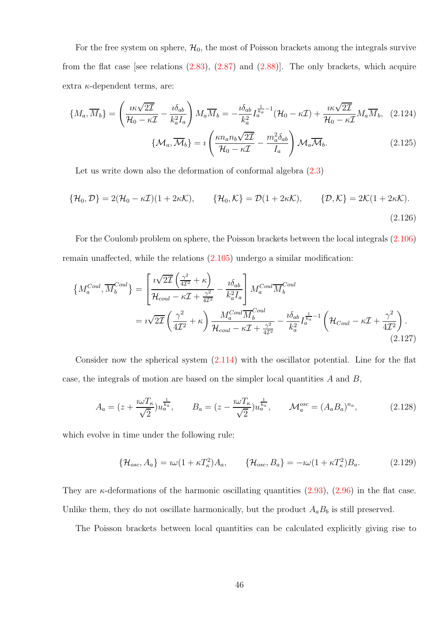For the free system on sphere,  $\mathcal{H}_0$ , the most of Poisson brackets among the integrals survive from the flat case [see relations  $(2.83)$ ,  $(2.87)$  and  $(2.88)$ ]. The only brackets, which acquire extra  $\kappa$ -dependent terms, are:

$$
\{M_a, \overline{M}_b\} = \left(\frac{i\kappa\sqrt{2\mathcal{I}}}{\mathcal{H}_0 - \kappa\mathcal{I}} - \frac{i\delta_{ab}}{k_a^2 I_a}\right) M_a \overline{M}_b = -\frac{i\delta_{ab}}{k_a^2} I_a^{\frac{1}{k_a} - 1} (\mathcal{H}_0 - \kappa\mathcal{I}) + \frac{i\kappa\sqrt{2\mathcal{I}}}{\mathcal{H}_0 - \kappa\mathcal{I}} M_a \overline{M}_b, \quad (2.124)
$$

$$
\{\mathcal{M}_a, \overline{\mathcal{M}}_b\} = i \left(\frac{\kappa n_a n_b \sqrt{2\mathcal{I}}}{\mathcal{H}_0 - \kappa\mathcal{I}} - \frac{m_a^2 \delta_{ab}}{I_a}\right) \mathcal{M}_a \overline{\mathcal{M}}_b. \tag{2.125}
$$

 $I_a$ 

Let us write down also the deformation of conformal algebra  $(2.3)$ 

$$
\{\mathcal{H}_0, \mathcal{D}\} = 2(\mathcal{H}_0 - \kappa \mathcal{I})(1 + 2\kappa \mathcal{K}), \qquad \{\mathcal{H}_0, \mathcal{K}\} = \mathcal{D}(1 + 2\kappa \mathcal{K}), \qquad \{\mathcal{D}, \mathcal{K}\} = 2\mathcal{K}(1 + 2\kappa \mathcal{K}).
$$
\n(2.126)

For the Coulomb problem on sphere, the Poisson brackets between the local integrals [\(2.106\)](#page-39-2) remain unaffected, while the relations [\(2.105\)](#page-39-1) undergo a similar modification:

<span id="page-45-0"></span>
$$
\left\{ M_a^{Coul}, \overline{M}_b^{Coul} \right\} = \left[ \frac{i\sqrt{2\mathcal{I}} \left( \frac{\gamma^2}{4\mathcal{I}^2} + \kappa \right)}{\mathcal{H}_{coul} - \kappa\mathcal{I} + \frac{\gamma^2}{4\mathcal{I}^2}} - \frac{i\delta_{ab}}{k_a^2 I_a} \right] M_a^{Coul} \overline{M}_b^{Coul} \n= i\sqrt{2\mathcal{I}} \left( \frac{\gamma^2}{4\mathcal{I}^2} + \kappa \right) \frac{M_a^{Coul} \overline{M}_b^{Coul}}{\mathcal{H}_{coul} - \kappa\mathcal{I} + \frac{\gamma^2}{4\mathcal{I}^2}} - \frac{i\delta_{ab}}{k_a^2} I_a^{\frac{1}{k_a} - 1} \left( \mathcal{H}_{Coul} - \kappa\mathcal{I} + \frac{\gamma^2}{4\mathcal{I}^2} \right). \tag{2.127}
$$

Consider now the spherical system [\(2.114\)](#page-43-1) with the oscillator potential. Line for the flat case, the integrals of motion are based on the simpler local quantities A and B,

$$
A_a = (z + \frac{i\omega T_\kappa}{\sqrt{2}})u_a^{\frac{1}{k_a}}, \qquad B_a = (z - \frac{i\omega T_\kappa}{\sqrt{2}})u_a^{\frac{1}{k_a}}, \qquad \mathcal{M}_a^{osc} = (A_a B_a)^{n_a}, \tag{2.128}
$$

which evolve in time under the following rule:

$$
\{\mathcal{H}_{osc}, A_a\} = i\omega (1 + \kappa T_\kappa^2) A_a, \qquad \{\mathcal{H}_{osc}, B_a\} = -i\omega (1 + \kappa T_\kappa^2) B_a. \tag{2.129}
$$

They are  $\kappa$ -deformations of the harmonic oscillating quantities [\(2.93\)](#page-38-1), [\(2.96\)](#page-38-2) in the flat case. Unlike them, they do not oscillate harmonically, but the product  $A_a B_b$  is still preserved.

The Poisson brackets between local quantities can be calculated explicitly giving rise to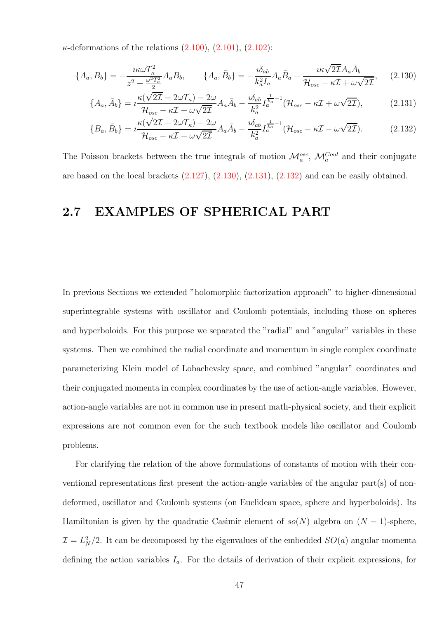$\kappa$ -deformations of the relations  $(2.100)$ ,  $(2.101)$ ,  $(2.102)$ :

$$
\{A_a, B_b\} = -\frac{i\kappa\omega T_\kappa^2}{z^2 + \frac{\omega^2 T_\kappa^2}{2}} A_a B_b, \qquad \{A_a, \bar{B}_b\} = -\frac{i\delta_{ab}}{k_a^2 I_a} A_a \bar{B}_a + \frac{i\kappa\sqrt{2\mathcal{I}} A_a \bar{A}_b}{\mathcal{H}_{osc} - \kappa \mathcal{I} + \omega\sqrt{2\mathcal{I}}}, \qquad (2.130)
$$

<span id="page-46-0"></span>
$$
\{A_a, \bar{A}_b\} = i\frac{\kappa(\sqrt{2\mathcal{I}} - 2\omega T_\kappa) - 2\omega}{\mathcal{H}_{osc} - \kappa \mathcal{I} + \omega\sqrt{2\mathcal{I}}}A_a\bar{A}_b - \frac{i\delta_{ab}}{k_a^2}I_a^{\frac{1}{k_a}-1}(\mathcal{H}_{osc} - \kappa \mathcal{I} + \omega\sqrt{2\mathcal{I}}),\tag{2.131}
$$

<span id="page-46-2"></span><span id="page-46-1"></span>
$$
\{B_a, \bar{B}_b\} = i \frac{\kappa(\sqrt{2\mathcal{I}} + 2\omega T_\kappa) + 2\omega}{\mathcal{H}_{osc} - \kappa \mathcal{I} - \omega \sqrt{2\mathcal{I}}} A_a \bar{A}_b - \frac{i \delta_{ab}}{k_a^2} I_a^{\frac{1}{k_a} - 1} (\mathcal{H}_{osc} - \kappa \mathcal{I} - \omega \sqrt{2\mathcal{I}}). \tag{2.132}
$$

The Poisson brackets between the true integrals of motion  $\mathcal{M}_a^{osc}$ ,  $\mathcal{M}_a^{Coul}$  and their conjugate are based on the local brackets  $(2.127)$ ,  $(2.130)$ ,  $(2.131)$ ,  $(2.132)$  and can be easily obtained.

# 2.7 EXAMPLES OF SPHERICAL PART

In previous Sections we extended "holomorphic factorization approach" to higher-dimensional superintegrable systems with oscillator and Coulomb potentials, including those on spheres and hyperboloids. For this purpose we separated the "radial" and "angular" variables in these systems. Then we combined the radial coordinate and momentum in single complex coordinate parameterizing Klein model of Lobachevsky space, and combined "angular" coordinates and their conjugated momenta in complex coordinates by the use of action-angle variables. However, action-angle variables are not in common use in present math-physical society, and their explicit expressions are not common even for the such textbook models like oscillator and Coulomb problems.

For clarifying the relation of the above formulations of constants of motion with their conventional representations first present the action-angle variables of the angular part(s) of nondeformed, oscillator and Coulomb systems (on Euclidean space, sphere and hyperboloids). Its Hamiltonian is given by the quadratic Casimir element of  $so(N)$  algebra on  $(N-1)$ -sphere,  $\mathcal{I} = L_N^2/2$ . It can be decomposed by the eigenvalues of the embedded  $SO(a)$  angular momenta defining the action variables  $I_a$ . For the details of derivation of their explicit expressions, for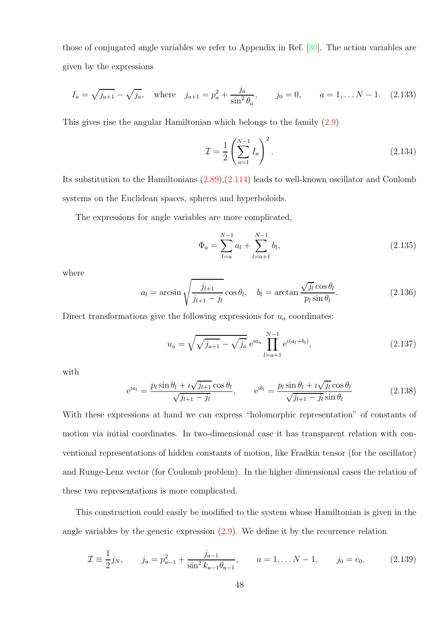those of conjugated angle variables we refer to Appendix in Ref. [\[30\]](#page-102-2). The action variables are given by the expressions

$$
I_a = \sqrt{j_{a+1}} - \sqrt{j_a}, \quad \text{where} \quad j_{a+1} = p_a^2 + \frac{j_a}{\sin^2 \theta_a}, \qquad j_0 = 0, \qquad a = 1, \dots N - 1. \tag{2.133}
$$

This gives rise the angular Hamiltonian which belongs to the family [\(2.9\)](#page-22-0)

$$
\mathcal{I} = \frac{1}{2} \left( \sum_{a=1}^{N-1} I_a \right)^2.
$$
 (2.134)

Its substitution to the Hamiltonians [\(2.89\)](#page-37-1),[\(2.114\)](#page-43-1) leads to well-known oscillator and Coulomb systems on the Euclidean spaces, spheres and hyperboloids.

The expressions for angle variables are more complicated,

$$
\Phi_a = \sum_{l=a}^{N-1} a_l + \sum_{l=a+1}^{N-1} b_l,\tag{2.135}
$$

where

$$
a_l = \arcsin\sqrt{\frac{j_{l+1}}{j_{l+1} - j_l}}\cos\theta_l, \quad b_l = \arctan\frac{\sqrt{j_l}\cos\theta_l}{p_l\sin\theta_l}.\tag{2.136}
$$

Direct transformations give the following expressions for  $u_a$  coordinates:

$$
u_a = \sqrt{\sqrt{j_{a+1}} - \sqrt{j_a}} e^{ia_a} \prod_{l=a+1}^{N-1} e^{i(a_l + b_l)}, \qquad (2.137)
$$

with

$$
e^{ia_l} = \frac{p_l \sin \theta_l + i\sqrt{j_{l+1}} \cos \theta_l}{\sqrt{j_{l+1} - j_l}}, \qquad e^{ib_l} = \frac{p_l \sin \theta_l + i\sqrt{j_l} \cos \theta_l}{\sqrt{j_{l+1} - j_l} \sin \theta_l}
$$
(2.138)

With these expressions at hand we can express "holomorphic representation" of constants of motion via initial coordinates. In two-dimensional case it has transparent relation with conventional representations of hidden constants of motion, like Fradkin tensor (for the oscillator) and Runge-Lenz vector (for Coulomb problem). In the higher dimensional cases the relation of these two representations is more complicated.

This construction could easily be modified to the system whose Hamiltonian is given in the angle variables by the generic expression [\(2.9\)](#page-22-0). We define it by the recurrence relation

$$
\mathcal{I} \equiv \frac{1}{2} j_N, \qquad j_a = p_{a-1}^2 + \frac{j_{a-1}}{\sin^2 k_{a-1} \theta_{a-1}}, \qquad a = 1, \dots N - 1, \qquad j_0 = c_0. \tag{2.139}
$$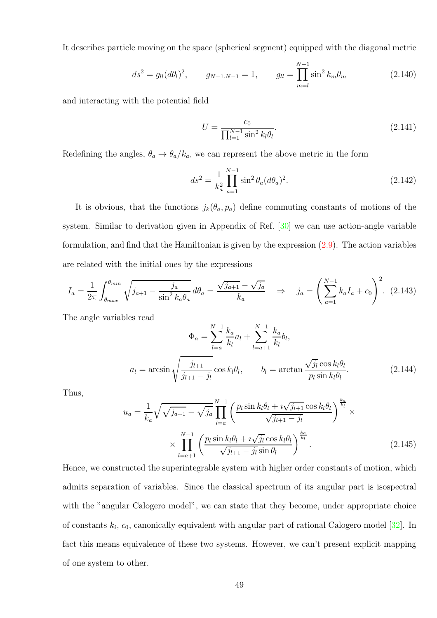It describes particle moving on the space (spherical segment) equipped with the diagonal metric

$$
ds^{2} = g_{ll}(d\theta_{l})^{2}, \qquad g_{N-1,N-1} = 1, \qquad g_{ll} = \prod_{m=l}^{N-1} \sin^{2} k_{m} \theta_{m}
$$
 (2.140)

and interacting with the potential field

$$
U = \frac{c_0}{\prod_{l=1}^{N-1} \sin^2 k_l \theta_l}.
$$
\n(2.141)

Redefining the angles,  $\theta_a \rightarrow \theta_a/k_a$ , we can represent the above metric in the form

$$
ds^{2} = \frac{1}{k_{a}^{2}} \prod_{a=1}^{N-1} \sin^{2} \theta_{a} (d\theta_{a})^{2}.
$$
 (2.142)

It is obvious, that the functions  $j_k(\theta_a, p_a)$  define commuting constants of motions of the system. Similar to derivation given in Appendix of Ref. [\[30\]](#page-102-2) we can use action-angle variable formulation, and find that the Hamiltonian is given by the expression [\(2.9\)](#page-22-0). The action variables are related with the initial ones by the expressions

$$
I_a = \frac{1}{2\pi} \int_{\theta_{max}}^{\theta_{min}} \sqrt{j_{a+1} - \frac{j_a}{\sin^2 k_a \theta_a}} \, d\theta_a = \frac{\sqrt{j_{a+1}} - \sqrt{j_a}}{k_a} \quad \Rightarrow \quad j_a = \left(\sum_{a=1}^{N-1} k_a I_a + c_0\right)^2. \tag{2.143}
$$

The angle variables read

$$
\Phi_a = \sum_{l=a}^{N-1} \frac{k_a}{k_l} a_l + \sum_{l=a+1}^{N-1} \frac{k_a}{k_l} b_l,
$$
  

$$
a_l = \arcsin \sqrt{\frac{j_{l+1}}{j_{l+1} - j_l}} \cos k_l \theta_l, \qquad b_l = \arctan \frac{\sqrt{j_l} \cos k_l \theta_l}{p_l \sin k_l \theta_l}.
$$
 (2.144)

Thus,

$$
u_{a} = \frac{1}{k_{a}} \sqrt{\sqrt{j_{a+1}} - \sqrt{j_{a}}} \prod_{l=a}^{N-1} \left( \frac{p_{l} \sin k_{l} \theta_{l} + i \sqrt{j_{l+1}} \cos k_{l} \theta_{l}}{\sqrt{j_{l+1} - j_{l}}} \right)^{\frac{k_{a}}{k_{l}}} \times \prod_{l=a+1}^{N-1} \left( \frac{p_{l} \sin k_{l} \theta_{l} + i \sqrt{j_{l}} \cos k_{l} \theta_{l}}{\sqrt{j_{l+1} - j_{l}} \sin \theta_{l}} \right)^{\frac{k_{a}}{k_{l}}}.
$$
\n(2.145)

Hence, we constructed the superintegrable system with higher order constants of motion, which admits separation of variables. Since the classical spectrum of its angular part is isospectral with the "angular Calogero model", we can state that they become, under appropriate choice of constants  $k_i$ ,  $c_0$ , canonically equivalent with angular part of rational Calogero model [\[32\]](#page-102-3). In fact this means equivalence of these two systems. However, we can't present explicit mapping of one system to other.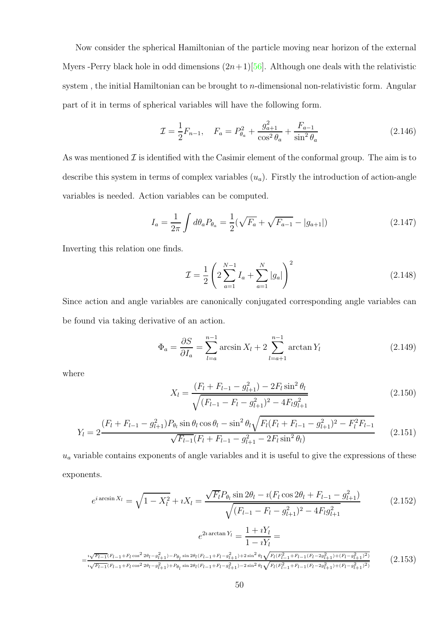Now consider the spherical Hamiltonian of the particle moving near horizon of the external Myers -Perry black hole in odd dimensions  $(2n+1)[56]$  $(2n+1)[56]$ . Although one deals with the relativistic system, the initial Hamiltonian can be brought to *n*-dimensional non-relativistic form. Angular part of it in terms of spherical variables will have the following form.

$$
\mathcal{I} = \frac{1}{2} F_{n-1}, \quad F_a = P_{\theta_a}^2 + \frac{g_{a+1}^2}{\cos^2 \theta_a} + \frac{F_{a-1}}{\sin^2 \theta_a} \tag{2.146}
$$

As was mentioned  $\mathcal I$  is identified with the Casimir element of the conformal group. The aim is to describe this system in terms of complex variables  $(u_a)$ . Firstly the introduction of action-angle variables is needed. Action variables can be computed.

$$
I_a = \frac{1}{2\pi} \int d\theta_a P_{\theta_a} = \frac{1}{2} (\sqrt{F_a} + \sqrt{F_{a-1}} - |g_{a+1}|)
$$
 (2.147)

Inverting this relation one finds.

$$
\mathcal{I} = \frac{1}{2} \left( 2 \sum_{a=1}^{N-1} I_a + \sum_{a=1}^{N} |g_a| \right)^2 \tag{2.148}
$$

Since action and angle variables are canonically conjugated corresponding angle variables can be found via taking derivative of an action.

$$
\Phi_a = \frac{\partial S}{\partial I_a} = \sum_{l=a}^{n-1} \arcsin X_l + 2 \sum_{l=a+1}^{n-1} \arctan Y_l \tag{2.149}
$$

where

$$
X_{l} = \frac{(F_{l} + F_{l-1} - g_{l+1}^{2}) - 2F_{l}\sin^{2}\theta_{l}}{\sqrt{(F_{l-1} - F_{l} - g_{l+1}^{2})^{2} - 4F_{l}g_{l+1}^{2}}}
$$
(2.150)

$$
Y_{l} = 2 \frac{(F_{l} + F_{l-1} - g_{l+1}^{2}) P_{\theta_{l}} \sin \theta_{l} \cos \theta_{l} - \sin^{2} \theta_{l} \sqrt{F_{l}(F_{l} + F_{l-1} - g_{l+1}^{2})^{2} - F_{l}^{2} F_{l-1}}}{\sqrt{F_{l-1}(F_{l} + F_{l-1} - g_{l+1}^{2} - 2F_{l} \sin^{2} \theta_{l})}}
$$
(2.151)

 $u_a$  variable contains exponents of angle variables and it is useful to give the expressions of these exponents.

$$
e^{i\arcsin X_l} = \sqrt{1 - X_l^2} + iX_l = \frac{\sqrt{F_l}P_{\theta_l}\sin 2\theta_l - i(F_l\cos 2\theta_l + F_{l-1} - g_{l+1}^2)}{\sqrt{(F_{l-1} - F_l - g_{l+1}^2)^2 - 4F_lg_{l+1}^2}}
$$
(2.152)

$$
e^{2i \arctan Y_l} = \frac{1 + iY_l}{1 - iY_l} =
$$
  

$$
= \frac{{}^{i}\sqrt{F_{l-1}(F_{l-1} + F_l \cos^2 2\theta_l - g_{l+1}^2) - P_{\theta_l} \sin 2\theta_l (F_{l-1} + F_l - g_{l+1}^2) + 2 \sin^2 \theta_l \sqrt{F_l(F_{l-1}^2 + F_{l-1}(F_l - 2g_{l+1}^2) + (F_l - g_{l+1}^2)^2)}}}}{{}^{\,i}\sqrt{F_{l-1}(F_{l-1} + F_l \cos^2 2\theta_l - g_{l+1}^2) + P_{\theta_l} \sin 2\theta_l (F_{l-1} + F_l - g_{l+1}^2) - 2 \sin^2 \theta_l \sqrt{F_l(F_{l-1}^2 + F_{l-1}(F_l - 2g_{l+1}^2) + (F_l - g_{l+1}^2)^2)}}}} \tag{2.153}
$$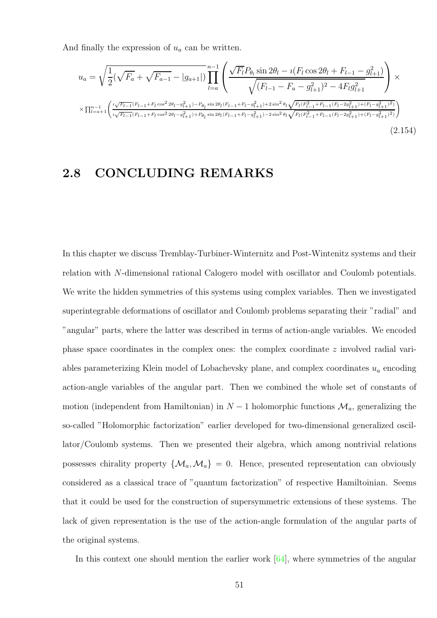And finally the expression of  $u_a$  can be written.

$$
u_{a} = \sqrt{\frac{1}{2}(\sqrt{F_{a}} + \sqrt{F_{a-1}} - |g_{a+1}|)} \prod_{l=a}^{n-1} \left( \frac{\sqrt{F_{l}} P_{\theta_{l}} \sin 2\theta_{l} - i(F_{l} \cos 2\theta_{l} + F_{l-1} - g_{l+1}^{2})}{\sqrt{(F_{l-1} - F_{a} - g_{l+1}^{2})^{2} - 4F_{l}g_{l+1}^{2}}} \right) \times \sqrt{\frac{1}{n-1} \left( \frac{i\sqrt{F_{l-1}(F_{l-1} + F_{l}\cos^{2}2\theta_{l} - g_{l+1}^{2}) - P_{\theta_{l}}\sin 2\theta_{l}(F_{l-1} + F_{l} - g_{l+1}^{2}) + 2\sin^{2}\theta_{l}\sqrt{F_{l}(F_{l-1}^{2} + F_{l-1}(F_{l} - 2g_{l+1}^{2}) + (F_{l} - g_{l+1}^{2})^{2}} \right)}}{\sqrt{\frac{1}{n-1} \left( \frac{i\sqrt{F_{l-1}(F_{l-1} + F_{l}\cos^{2}2\theta_{l} - g_{l+1}^{2}) - P_{\theta_{l}}\sin 2\theta_{l}(F_{l-1} + F_{l} - g_{l+1}^{2}) + 2\sin^{2}\theta_{l}\sqrt{F_{l}(F_{l-1}^{2} + F_{l-1}(F_{l} - 2g_{l+1}^{2}) + (F_{l} - g_{l+1}^{2})^{2}} \right)}} \right)}
$$
\n
$$
(2.154)
$$

### 2.8 CONCLUDING REMARKS

In this chapter we discuss Tremblay-Turbiner-Winternitz and Post-Wintenitz systems and their relation with N-dimensional rational Calogero model with oscillator and Coulomb potentials. We write the hidden symmetries of this systems using complex variables. Then we investigated superintegrable deformations of oscillator and Coulomb problems separating their "radial" and "angular" parts, where the latter was described in terms of action-angle variables. We encoded phase space coordinates in the complex ones: the complex coordinate z involved radial variables parameterizing Klein model of Lobachevsky plane, and complex coordinates  $u_a$  encoding action-angle variables of the angular part. Then we combined the whole set of constants of motion (independent from Hamiltonian) in  $N-1$  holomorphic functions  $\mathcal{M}_a$ , generalizing the so-called "Holomorphic factorization" earlier developed for two-dimensional generalized oscillator/Coulomb systems. Then we presented their algebra, which among nontrivial relations possesses chirality property  $\{M_a, M_a\} = 0$ . Hence, presented representation can obviously considered as a classical trace of "quantum factorization" of respective Hamiltoinian. Seems that it could be used for the construction of supersymmetric extensions of these systems. The lack of given representation is the use of the action-angle formulation of the angular parts of the original systems.

In this context one should mention the earlier work  $[64]$ , where symmetries of the angular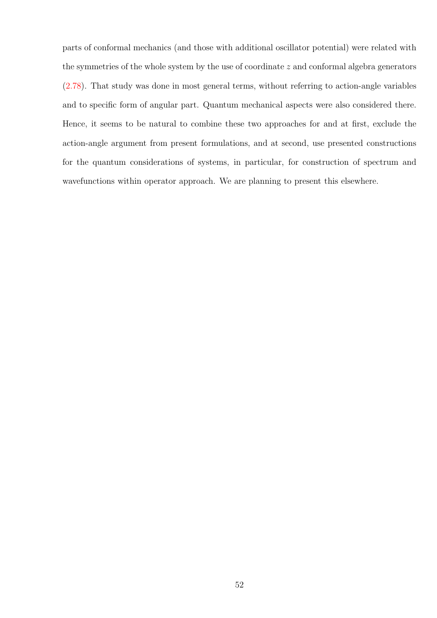parts of conformal mechanics (and those with additional oscillator potential) were related with the symmetries of the whole system by the use of coordinate  $z$  and conformal algebra generators [\(2.78\)](#page-35-4). That study was done in most general terms, without referring to action-angle variables and to specific form of angular part. Quantum mechanical aspects were also considered there. Hence, it seems to be natural to combine these two approaches for and at first, exclude the action-angle argument from present formulations, and at second, use presented constructions for the quantum considerations of systems, in particular, for construction of spectrum and wavefunctions within operator approach. We are planning to present this elsewhere.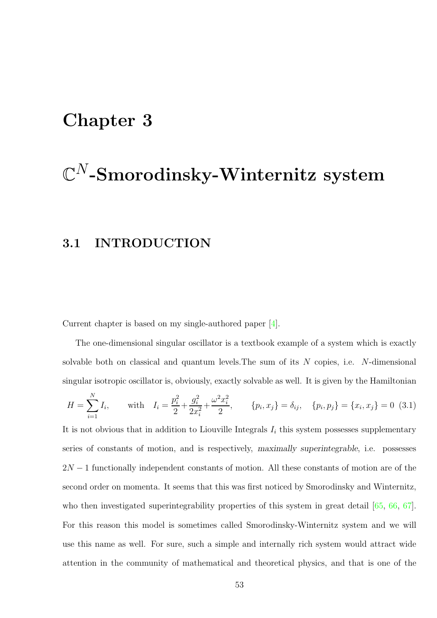# Chapter 3

# $\mathbb{C}^N\text{-}\mathbf{S}$ morodinsky-Winternitz system

# 3.1 INTRODUCTION

Current chapter is based on my single-authored paper [\[4\]](#page-100-0).

The one-dimensional singular oscillator is a textbook example of a system which is exactly solvable both on classical and quantum levels. The sum of its  $N$  copies, i.e.  $N$ -dimensional singular isotropic oscillator is, obviously, exactly solvable as well. It is given by the Hamiltonian

<span id="page-52-0"></span>
$$
H = \sum_{i=1}^{N} I_i, \quad \text{with} \quad I_i = \frac{p_i^2}{2} + \frac{g_i^2}{2x_i^2} + \frac{\omega^2 x_i^2}{2}, \quad \{p_i, x_j\} = \delta_{ij}, \quad \{p_i, p_j\} = \{x_i, x_j\} = 0 \tag{3.1}
$$

It is not obvious that in addition to Liouville Integrals  $I_i$  this system possesses supplementary series of constants of motion, and is respectively, maximally superintegrable, i.e. possesses  $2N-1$  functionally independent constants of motion. All these constants of motion are of the second order on momenta. It seems that this was first noticed by Smorodinsky and Winternitz, who then investigated superintegrability properties of this system in great detail [\[65,](#page-105-6) [66,](#page-105-7) [67\]](#page-105-8). For this reason this model is sometimes called Smorodinsky-Winternitz system and we will use this name as well. For sure, such a simple and internally rich system would attract wide attention in the community of mathematical and theoretical physics, and that is one of the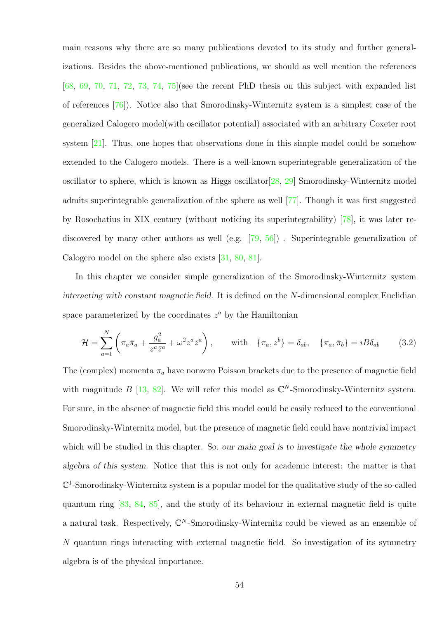main reasons why there are so many publications devoted to its study and further generalizations. Besides the above-mentioned publications, we should as well mention the references  $[68, 69, 70, 71, 72, 73, 74, 75]$  $[68, 69, 70, 71, 72, 73, 74, 75]$  $[68, 69, 70, 71, 72, 73, 74, 75]$  $[68, 69, 70, 71, 72, 73, 74, 75]$  $[68, 69, 70, 71, 72, 73, 74, 75]$  $[68, 69, 70, 71, 72, 73, 74, 75]$  $[68, 69, 70, 71, 72, 73, 74, 75]$  $[68, 69, 70, 71, 72, 73, 74, 75]$  $[68, 69, 70, 71, 72, 73, 74, 75]$  $[68, 69, 70, 71, 72, 73, 74, 75]$  $[68, 69, 70, 71, 72, 73, 74, 75]$  $[68, 69, 70, 71, 72, 73, 74, 75]$  $[68, 69, 70, 71, 72, 73, 74, 75]$  $[68, 69, 70, 71, 72, 73, 74, 75]$  $[68, 69, 70, 71, 72, 73, 74, 75]$  (see the recent PhD thesis on this subject with expanded list of references [\[76\]](#page-106-4)). Notice also that Smorodinsky-Winternitz system is a simplest case of the generalized Calogero model(with oscillator potential) associated with an arbitrary Coxeter root system [\[21\]](#page-101-0). Thus, one hopes that observations done in this simple model could be somehow extended to the Calogero models. There is a well-known superintegrable generalization of the oscillator to sphere, which is known as Higgs oscillator[\[28,](#page-102-1) [29\]](#page-102-4) Smorodinsky-Winternitz model admits superintegrable generalization of the sphere as well [\[77\]](#page-106-5). Though it was first suggested by Rosochatius in XIX century (without noticing its superintegrability) [\[78\]](#page-106-6), it was later re-discovered by many other authors as well (e.g. [\[79,](#page-106-7) [56\]](#page-104-1)). Superintegrable generalization of Calogero model on the sphere also exists [\[31,](#page-102-0) [80,](#page-106-8) [81\]](#page-106-9).

In this chapter we consider simple generalization of the Smorodinsky-Winternitz system interacting with constant magnetic field. It is defined on the N-dimensional complex Euclidian space parameterized by the coordinates  $z^a$  by the Hamiltonian

<span id="page-53-0"></span>
$$
\mathcal{H} = \sum_{a=1}^{N} \left( \pi_a \overline{\pi}_a + \frac{g_a^2}{z^a \overline{z}^a} + \omega^2 z^a \overline{z}^a \right), \quad \text{with} \quad \{\pi_a, z^b\} = \delta_{ab}, \quad \{\pi_a, \overline{\pi}_b\} = iB\delta_{ab} \tag{3.2}
$$

The (complex) momenta  $\pi_a$  have nonzero Poisson brackets due to the presence of magnetic field with magnitude  $B$  [\[13,](#page-101-1) [82\]](#page-107-0). We will refer this model as  $\mathbb{C}^N$ -Smorodinsky-Winternitz system. For sure, in the absence of magnetic field this model could be easily reduced to the conventional Smorodinsky-Winternitz model, but the presence of magnetic field could have nontrivial impact which will be studied in this chapter. So, our main goal is to investigate the whole symmetry algebra of this system. Notice that this is not only for academic interest: the matter is that  $\mathbb{C}^1$ -Smorodinsky-Winternitz system is a popular model for the qualitative study of the so-called quantum ring [\[83,](#page-107-1) [84,](#page-107-2) [85\]](#page-107-3), and the study of its behaviour in external magnetic field is quite a natural task. Respectively,  $\mathbb{C}^N$ -Smorodinsky-Winternitz could be viewed as an ensemble of N quantum rings interacting with external magnetic field. So investigation of its symmetry algebra is of the physical importance.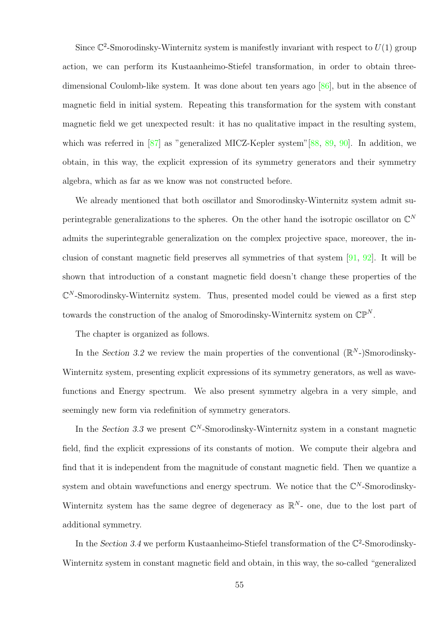Since  $\mathbb{C}^2$ -Smorodinsky-Winternitz system is manifestly invariant with respect to  $U(1)$  group action, we can perform its Kustaanheimo-Stiefel transformation, in order to obtain threedimensional Coulomb-like system. It was done about ten years ago [\[86\]](#page-107-4), but in the absence of magnetic field in initial system. Repeating this transformation for the system with constant magnetic field we get unexpected result: it has no qualitative impact in the resulting system, which was referred in [\[87\]](#page-107-5) as "generalized MICZ-Kepler system"[\[88,](#page-107-6) [89,](#page-107-7) [90\]](#page-107-8). In addition, we obtain, in this way, the explicit expression of its symmetry generators and their symmetry algebra, which as far as we know was not constructed before.

We already mentioned that both oscillator and Smorodinsky-Winternitz system admit superintegrable generalizations to the spheres. On the other hand the isotropic oscillator on  $\mathbb{C}^N$ admits the superintegrable generalization on the complex projective space, moreover, the inclusion of constant magnetic field preserves all symmetries of that system [\[91,](#page-107-9) [92\]](#page-107-10). It will be shown that introduction of a constant magnetic field doesn't change these properties of the  $\mathbb{C}^N$ -Smorodinsky-Winternitz system. Thus, presented model could be viewed as a first step towards the construction of the analog of Smorodinsky-Winternitz system on  $\mathbb{CP}^N$ .

The chapter is organized as follows.

In the Section 3.2 we review the main properties of the conventional  $(\mathbb{R}^N)$ Smorodinsky-Winternitz system, presenting explicit expressions of its symmetry generators, as well as wavefunctions and Energy spectrum. We also present symmetry algebra in a very simple, and seemingly new form via redefinition of symmetry generators.

In the Section 3.3 we present  $\mathbb{C}^N$ -Smorodinsky-Winternitz system in a constant magnetic field, find the explicit expressions of its constants of motion. We compute their algebra and find that it is independent from the magnitude of constant magnetic field. Then we quantize a system and obtain wavefunctions and energy spectrum. We notice that the  $\mathbb{C}^N$ -Smorodinsky-Winternitz system has the same degree of degeneracy as  $\mathbb{R}^{N}$ - one, due to the lost part of additional symmetry.

In the Section 3.4 we perform Kustaanheimo-Stiefel transformation of the  $\mathbb{C}^2$ -Smorodinsky-Winternitz system in constant magnetic field and obtain, in this way, the so-called "generalized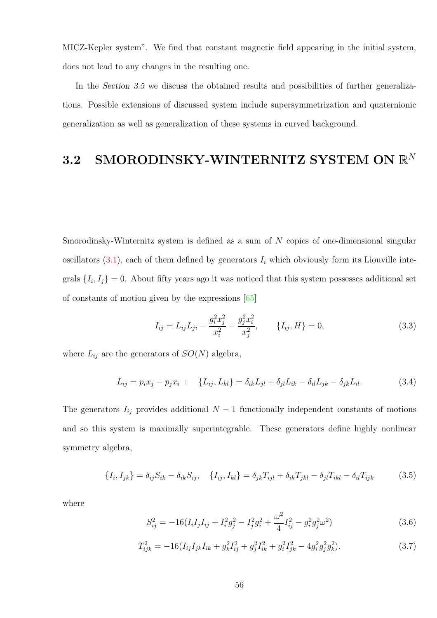MICZ-Kepler system". We find that constant magnetic field appearing in the initial system, does not lead to any changes in the resulting one.

In the Section 3.5 we discuss the obtained results and possibilities of further generalizations. Possible extensions of discussed system include supersymmetrization and quaternionic generalization as well as generalization of these systems in curved background.

# 3.2 SMORODINSKY-WINTERNITZ SYSTEM ON  $\mathbb{R}^N$

Smorodinsky-Winternitz system is defined as a sum of N copies of one-dimensional singular oscillators  $(3.1)$ , each of them defined by generators  $I_i$  which obviously form its Liouville integrals  $\{I_i, I_j\} = 0$ . About fifty years ago it was noticed that this system possesses additional set of constants of motion given by the expressions [\[65\]](#page-105-6)

$$
I_{ij} = L_{ij}L_{ji} - \frac{g_i^2 x_j^2}{x_i^2} - \frac{g_j^2 x_i^2}{x_j^2}, \qquad \{I_{ij}, H\} = 0,
$$
\n(3.3)

where  $L_{ij}$  are the generators of  $SO(N)$  algebra,

$$
L_{ij} = p_i x_j - p_j x_i : \quad \{L_{ij}, L_{kl}\} = \delta_{ik} L_{jl} + \delta_{jl} L_{ik} - \delta_{il} L_{jk} - \delta_{jk} L_{il}.
$$
 (3.4)

The generators  $I_{ij}$  provides additional  $N-1$  functionally independent constants of motions and so this system is maximally superintegrable. These generators define highly nonlinear symmetry algebra,

$$
\{I_i, I_{jk}\} = \delta_{ij} S_{ik} - \delta_{ik} S_{ij}, \quad \{I_{ij}, I_{kl}\} = \delta_{jk} T_{ijl} + \delta_{ik} T_{jkl} - \delta_{jl} T_{ikl} - \delta_{il} T_{ijk} \tag{3.5}
$$

where

$$
S_{ij}^2 = -16(I_i I_j I_{ij} + I_i^2 g_j^2 - I_j^2 g_i^2 + \frac{\omega^2}{4} I_{ij}^2 - g_i^2 g_j^2 \omega^2)
$$
\n(3.6)

$$
T_{ijk}^2 = -16(I_{ij}I_{jk}I_{ik} + g_k^2I_{ij}^2 + g_j^2I_{ik}^2 + g_i^2I_{jk}^2 - 4g_i^2g_j^2g_k^2). \tag{3.7}
$$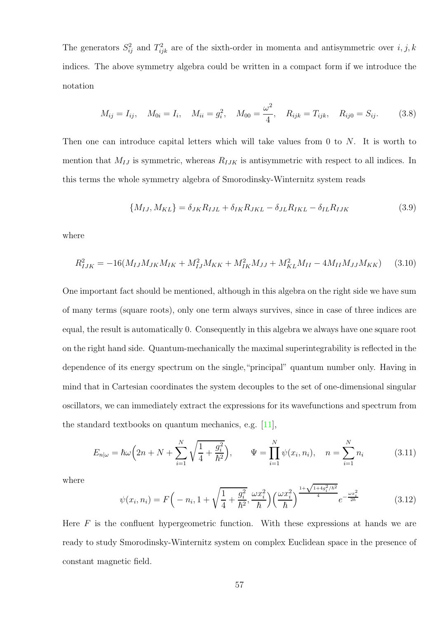The generators  $S_{ij}^2$  and  $T_{ijk}^2$  are of the sixth-order in momenta and antisymmetric over  $i, j, k$ indices. The above symmetry algebra could be written in a compact form if we introduce the notation

$$
M_{ij} = I_{ij}, \quad M_{0i} = I_i, \quad M_{ii} = g_i^2, \quad M_{00} = \frac{\omega^2}{4}, \quad R_{ijk} = T_{ijk}, \quad R_{ij0} = S_{ij}.
$$
 (3.8)

Then one can introduce capital letters which will take values from 0 to  $N$ . It is worth to mention that  $M_{IJ}$  is symmetric, whereas  $R_{IJK}$  is antisymmetric with respect to all indices. In this terms the whole symmetry algebra of Smorodinsky-Winternitz system reads

$$
\{M_{IJ}, M_{KL}\} = \delta_{JK} R_{IJL} + \delta_{IK} R_{JKL} - \delta_{JL} R_{IKL} - \delta_{IL} R_{IJK}
$$
\n(3.9)

where

$$
R_{IJK}^2 = -16(M_{IJ}M_{JK}M_{IK} + M_{IJ}^2M_{KK} + M_{IK}^2M_{JJ} + M_{KL}^2M_{II} - 4M_{II}M_{JJ}M_{KK})
$$
 (3.10)

One important fact should be mentioned, although in this algebra on the right side we have sum of many terms (square roots), only one term always survives, since in case of three indices are equal, the result is automatically 0. Consequently in this algebra we always have one square root on the right hand side. Quantum-mechanically the maximal superintegrability is reflected in the dependence of its energy spectrum on the single,"principal" quantum number only. Having in mind that in Cartesian coordinates the system decouples to the set of one-dimensional singular oscillators, we can immediately extract the expressions for its wavefunctions and spectrum from the standard textbooks on quantum mechanics, e.g.  $[11]$ ,

$$
E_{n|\omega} = \hbar\omega\left(2n + N + \sum_{i=1}^{N} \sqrt{\frac{1}{4} + \frac{g_i^2}{\hbar^2}}\right), \qquad \Psi = \prod_{i=1}^{N} \psi(x_i, n_i), \quad n = \sum_{i=1}^{N} n_i \tag{3.11}
$$

where

$$
\psi(x_i, n_i) = F\left(-n_i, 1 + \sqrt{\frac{1}{4} + \frac{g_i^2}{\hbar^2}}, \frac{\omega x_i^2}{\hbar}\right) \left(\frac{\omega x_i^2}{\hbar}\right)^{\frac{1 + \sqrt{1 + 4g_i^2/\hbar^2}}{4}} e^{-\frac{\omega x_i^2}{2\hbar}} \tag{3.12}
$$

Here  $F$  is the confluent hypergeometric function. With these expressions at hands we are ready to study Smorodinsky-Winternitz system on complex Euclidean space in the presence of constant magnetic field.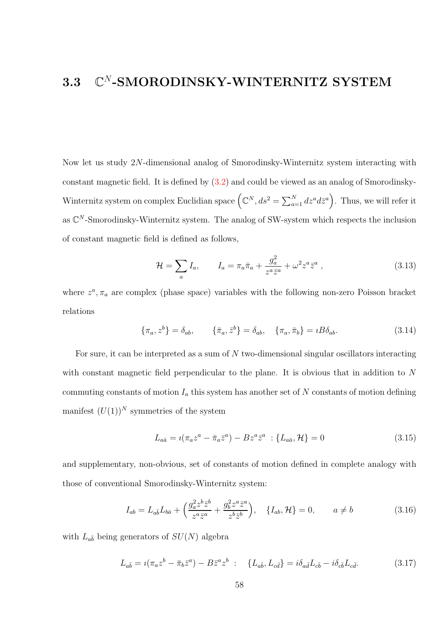#### 3.3 C  $\mathbb{C}^N$ -SMORODINSKY-WINTERNITZ SYSTEM

Now let us study 2N-dimensional analog of Smorodinsky-Winternitz system interacting with constant magnetic field. It is defined by [\(3.2\)](#page-53-0) and could be viewed as an analog of Smorodinsky-Winternitz system on complex Euclidian space  $(Q^N, ds^2 = \sum_{a=1}^N dz^a d\bar{z}^a)$ . Thus, we will refer it as  $\mathbb{C}^N$ -Smorodinsky-Winternitz system. The analog of SW-system which respects the inclusion of constant magnetic field is defined as follows,

$$
\mathcal{H} = \sum_a I_a, \qquad I_a = \pi_a \bar{\pi}_a + \frac{g_a^2}{z^a \bar{z}^a} + \omega^2 z^a \bar{z}^a \,, \tag{3.13}
$$

where  $z^a$ ,  $\pi_a$  are complex (phase space) variables with the following non-zero Poisson bracket relations

$$
\{\pi_a, z^b\} = \delta_{ab}, \qquad \{\bar{\pi}_a, \bar{z}^b\} = \delta_{ab}, \quad \{\pi_a, \bar{\pi}_b\} = iB\delta_{ab}.
$$
 (3.14)

For sure, it can be interpreted as a sum of N two-dimensional singular oscillators interacting with constant magnetic field perpendicular to the plane. It is obvious that in addition to N commuting constants of motion  $I_a$  this system has another set of N constants of motion defining manifest  $(U(1))^N$  symmetries of the system

$$
L_{a\bar{a}} = i(\pi_a z^a - \bar{\pi}_a \bar{z}^a) - B z^a \bar{z}^a \; : \{L_{a\bar{a}}, \mathcal{H}\} = 0 \tag{3.15}
$$

and supplementary, non-obvious, set of constants of motion defined in complete analogy with those of conventional Smorodinsky-Winternitz system:

$$
I_{ab} = L_{a\bar{b}}L_{b\bar{a}} + \left(\frac{g_a^2 z^b \bar{z}^b}{z^a \bar{z}^a} + \frac{g_b^2 z^a \bar{z}^a}{z^b \bar{z}^b}\right), \quad \{I_{ab}, \mathcal{H}\} = 0, \qquad a \neq b \tag{3.16}
$$

with  $L_{a\bar{b}}$  being generators of  $SU(N)$  algebra

<span id="page-57-0"></span>
$$
L_{a\bar{b}} = i(\pi_a z^b - \bar{\pi}_b \bar{z}^a) - B\bar{z}^a z^b : \quad \{L_{a\bar{b}}, L_{c\bar{d}}\} = i\delta_{a\bar{d}}L_{c\bar{b}} - i\delta_{c\bar{b}}L_{c\bar{d}}.
$$
 (3.17)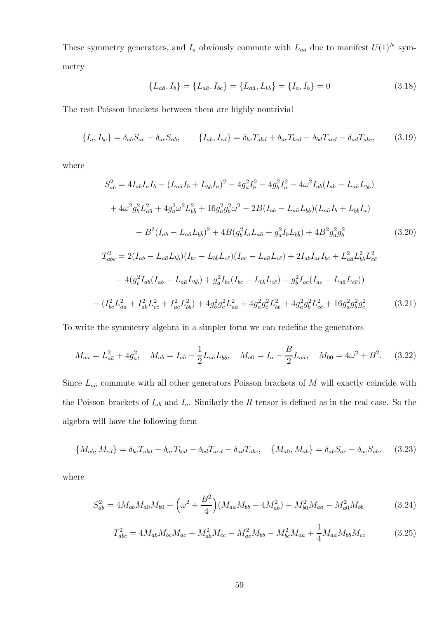These symmetry generators, and  $I_a$  obviously commute with  $L_{a\bar{a}}$  due to manifest  $U(1)^N$  symmetry

$$
\{L_{a\bar{a}}, I_b\} = \{L_{a\bar{a}}, I_{bc}\} = \{L_{a\bar{a}}, L_{b\bar{b}}\} = \{I_a, I_b\} = 0
$$
\n(3.18)

The rest Poisson brackets between them are highly nontrivial

$$
\{I_a, I_{bc}\} = \delta_{ab} S_{ac} - \delta_{ac} S_{ab}, \qquad \{I_{ab}, I_{cd}\} = \delta_{bc} T_{abd} + \delta_{ac} T_{bcd} - \delta_{bd} T_{acd} - \delta_{ad} T_{abc}, \qquad (3.19)
$$

where

$$
S_{ab}^{2} = 4I_{ab}I_{a}I_{b} - (L_{a\bar{a}}I_{b} + L_{b\bar{b}}I_{a})^{2} - 4g_{a}^{2}I_{b}^{2} - 4g_{b}^{2}I_{a}^{2} - 4\omega^{2}I_{ab}(I_{ab} - L_{a\bar{a}}L_{b\bar{b}})
$$
  
+  $4\omega^{2}g_{b}^{2}L_{a\bar{a}}^{2} + 4g_{a}^{2}\omega^{2}L_{b\bar{b}}^{2} + 16g_{a}^{2}g_{b}^{2}\omega^{2} - 2B(I_{ab} - L_{a\bar{a}}L_{b\bar{b}})(L_{a\bar{a}}I_{b} + L_{b\bar{b}}I_{a})$   
-  $B^{2}(I_{ab} - L_{a\bar{a}}L_{b\bar{b}})^{2} + 4B(g_{b}^{2}I_{a}L_{a\bar{a}} + g_{a}^{2}I_{b}L_{b\bar{b}}) + 4B^{2}g_{a}^{2}g_{b}^{2}$  (3.20)  

$$
T_{abc}^{2} = 2(I_{ab} - L_{a\bar{a}}L_{b\bar{b}})(I_{bc} - L_{b\bar{b}}L_{c\bar{c}})(I_{ac} - L_{a\bar{a}}L_{c\bar{c}}) + 2I_{ab}I_{ac}I_{bc} + L_{a\bar{a}}^{2}L_{b\bar{b}}^{2}L_{c\bar{c}}^{2}
$$
  
-  $4(g_{c}^{2}I_{ab}(I_{ab} - L_{a\bar{a}}L_{b\bar{b}}) + g_{a}^{2}I_{bc}(I_{bc} - L_{b\bar{b}}L_{c\bar{c}}) + g_{b}^{2}I_{ac}(I_{ac} - L_{a\bar{a}}L_{c\bar{c}}))$ 

$$
-(I_{bc}^2 L_{a\bar{a}}^2 + I_{ab}^2 L_{c\bar{c}}^2 + I_{ac}^2 L_{b\bar{b}}^2) + 4g_b^2 g_c^2 L_{a\bar{a}}^2 + 4g_a^2 g_c^2 L_{b\bar{b}}^2 + 4g_a^2 g_b^2 L_{c\bar{c}}^2 + 16g_a^2 g_b^2 g_c^2
$$
\n(3.21)

To write the symmetry algebra in a simpler form we can redefine the generators

$$
M_{aa} = L_{a\bar{a}}^2 + 4g_a^2, \quad M_{ab} = I_{ab} - \frac{1}{2}L_{a\bar{a}}L_{b\bar{b}}, \quad M_{a0} = I_a - \frac{B}{2}L_{a\bar{a}}, \quad M_{00} = 4\omega^2 + B^2. \tag{3.22}
$$

Since  $L_{a\bar{a}}$  commute with all other generators Poisson brackets of M will exactly coincide with the Poisson brackets of  $I_{ab}$  and  $I_a$ . Similarly the R tensor is defined as in the real case. So the algebra will have the following form

$$
\{M_{ab}, M_{cd}\} = \delta_{bc} T_{abd} + \delta_{ac} T_{bcd} - \delta_{bd} T_{acd} - \delta_{ad} T_{abc}, \quad \{M_{a0}, M_{ab}\} = \delta_{ab} S_{ac} - \delta_{ac} S_{ab}.
$$
 (3.23)

where

$$
S_{ab}^2 = 4M_{ab}M_{a0}M_{b0} + \left(\omega^2 + \frac{B^2}{4}\right)(M_{aa}M_{bb} - 4M_{ab}^2) - M_{b0}^2M_{aa} - M_{a0}^2M_{bb} \tag{3.24}
$$

$$
T_{abc}^2 = 4M_{ab}M_{bc}M_{ac} - M_{ab}^2M_{cc} - M_{ac}^2M_{bb} - M_{bc}^2M_{aa} + \frac{1}{4}M_{aa}M_{bb}M_{cc}
$$
 (3.25)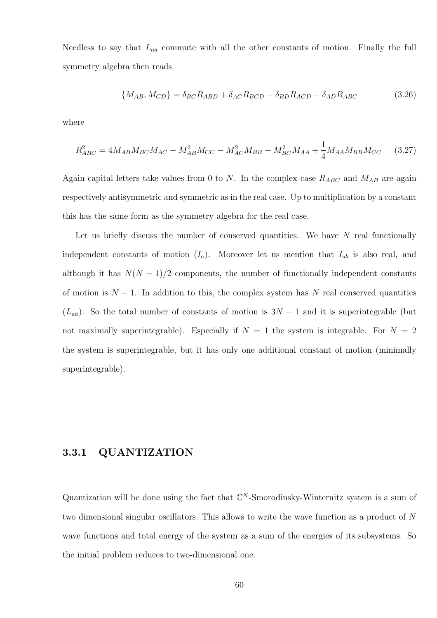Needless to say that  $L_{a\bar{a}}$  commute with all the other constants of motion. Finally the full symmetry algebra then reads

$$
\{M_{AB}, M_{CD}\} = \delta_{BC} R_{ABD} + \delta_{AC} R_{BCD} - \delta_{BD} R_{ACD} - \delta_{AD} R_{ABC}
$$
(3.26)

where

$$
R_{ABC}^2 = 4M_{AB}M_{BC}M_{AC} - M_{AB}^2M_{CC} - M_{AC}^2M_{BB} - M_{BC}^2M_{AA} + \frac{1}{4}M_{AA}M_{BB}M_{CC}
$$
 (3.27)

Again capital letters take values from 0 to N. In the complex case  $R_{ABC}$  and  $M_{AB}$  are again respectively antisymmetric and symmetric as in the real case. Up to multiplication by a constant this has the same form as the symmetry algebra for the real case.

Let us briefly discuss the number of conserved quantities. We have  $N$  real functionally independent constants of motion  $(I_a)$ . Moreover let us mention that  $I_{ab}$  is also real, and although it has  $N(N-1)/2$  components, the number of functionally independent constants of motion is  $N-1$ . In addition to this, the complex system has N real conserved quantities  $(L_{a\bar{a}})$ . So the total number of constants of motion is  $3N-1$  and it is superintegrable (but not maximally superintegrable). Especially if  $N = 1$  the system is integrable. For  $N = 2$ the system is superintegrable, but it has only one additional constant of motion (minimally superintegrable).

#### 3.3.1 QUANTIZATION

Quantization will be done using the fact that  $\mathbb{C}^N$ -Smorodinsky-Winternitz system is a sum of two dimensional singular oscillators. This allows to write the wave function as a product of N wave functions and total energy of the system as a sum of the energies of its subsystems. So the initial problem reduces to two-dimensional one.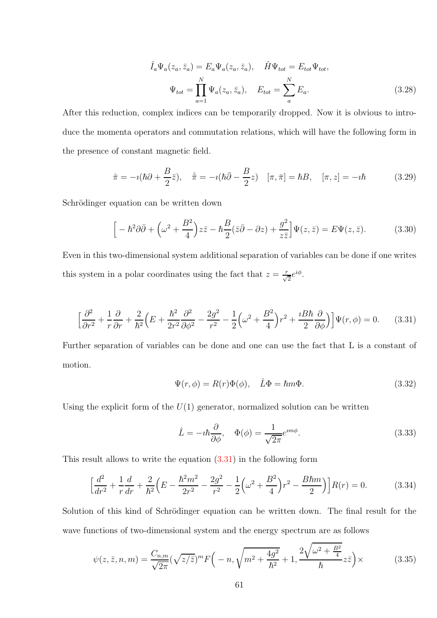$$
\hat{I}_a \Psi_a(z_a, \bar{z}_a) = E_a \Psi_a(z_a, \bar{z}_a), \quad \hat{H} \Psi_{tot} = E_{tot} \Psi_{tot},
$$

$$
\Psi_{tot} = \prod_{a=1}^N \Psi_a(z_a, \bar{z}_a), \quad E_{tot} = \sum_a^N E_a.
$$
(3.28)

After this reduction, complex indices can be temporarily dropped. Now it is obvious to introduce the momenta operators and commutation relations, which will have the following form in the presence of constant magnetic field.

$$
\hat{\pi} = -i(\hbar\partial + \frac{B}{2}\bar{z}), \quad \hat{\pi} = -i(\hbar\bar{\partial} - \frac{B}{2}z) \quad [\pi, \bar{\pi}] = \hbar B, \quad [\pi, z] = -i\hbar \tag{3.29}
$$

Schrödinger equation can be written down

$$
\[ -\hbar^2 \partial \bar{\partial} + \left(\omega^2 + \frac{B^2}{4}\right) z\bar{z} - \hbar \frac{B}{2} (\bar{z}\bar{\partial} - \partial z) + \frac{g^2}{z\bar{z}} \] \Psi(z, \bar{z}) = E \Psi(z, \bar{z}). \tag{3.30}
$$

Even in this two-dimensional system additional separation of variables can be done if one writes this system in a polar coordinates using the fact that  $z = \frac{r}{\sqrt{2}}e^{i\phi}$ .

<span id="page-60-0"></span>
$$
\left[\frac{\partial^2}{\partial r^2} + \frac{1}{r}\frac{\partial}{\partial r} + \frac{2}{\hbar^2} \left(E + \frac{\hbar^2}{2r^2}\frac{\partial^2}{\partial \phi^2} - \frac{2g^2}{r^2} - \frac{1}{2} \left(\omega^2 + \frac{B^2}{4}\right)r^2 + \frac{iB\hbar}{2}\frac{\partial}{\partial \phi}\right)\right] \Psi(r,\phi) = 0. \tag{3.31}
$$

Further separation of variables can be done and one can use the fact that L is a constant of motion.

$$
\Psi(r,\phi) = R(r)\Phi(\phi), \quad \hat{L}\Phi = \hbar m\Phi. \tag{3.32}
$$

Using the explicit form of the  $U(1)$  generator, normalized solution can be written

$$
\hat{L} = -i\hbar \frac{\partial}{\partial \phi}, \quad \Phi(\phi) = \frac{1}{\sqrt{2\pi}} e^{im\phi}.
$$
\n(3.33)

This result allows to write the equation [\(3.31\)](#page-60-0) in the following form

$$
\left[\frac{d^2}{dr^2} + \frac{1}{r}\frac{d}{dr} + \frac{2}{\hbar^2} \left(E - \frac{\hbar^2 m^2}{2r^2} - \frac{2g^2}{r^2} - \frac{1}{2} \left(\omega^2 + \frac{B^2}{4}\right)r^2 - \frac{B\hbar m}{2}\right)\right] R(r) = 0.
$$
 (3.34)

Solution of this kind of Schrödinger equation can be written down. The final result for the wave functions of two-dimensional system and the energy spectrum are as follows

$$
\psi(z,\bar{z},n,m) = \frac{C_{n,m}}{\sqrt{2\pi}} (\sqrt{z/\bar{z}})^m F\left(-n, \sqrt{m^2 + \frac{4g^2}{\hbar^2}} + 1, \frac{2\sqrt{\omega^2 + \frac{B^2}{4}}}{\hbar} z\bar{z}\right) \times
$$
 (3.35)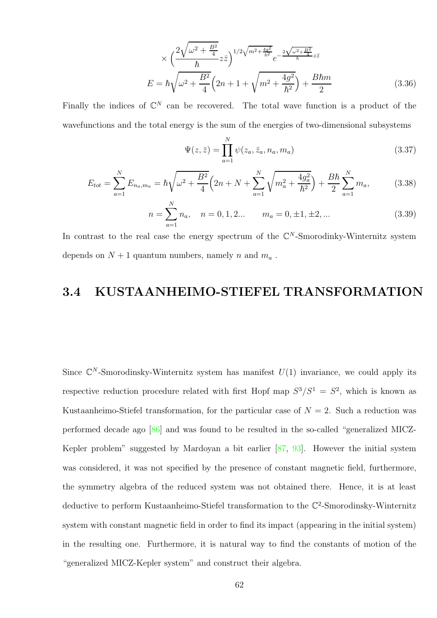$$
\times \left(\frac{2\sqrt{\omega^2 + \frac{B^2}{4}}}{\hbar} z\bar{z}\right)^{1/2\sqrt{m^2 + \frac{4g^2}{\hbar}^2}} e^{-\frac{2\sqrt{\omega^2 + \frac{B^2}{4}}}{\hbar} z\bar{z}}
$$

$$
E = \hbar \sqrt{\omega^2 + \frac{B^2}{4}} \left(2n + 1 + \sqrt{m^2 + \frac{4g^2}{\hbar^2}}\right) + \frac{B\hbar m}{2}
$$
(3.36)

Finally the indices of  $\mathbb{C}^N$  can be recovered. The total wave function is a product of the wavefunctions and the total energy is the sum of the energies of two-dimensional subsystems

$$
\Psi(z,\bar{z}) = \prod_{a=1}^{N} \psi(z_a, \bar{z}_a, n_a, m_a)
$$
\n(3.37)

$$
E_{tot} = \sum_{a=1}^{N} E_{n_a, m_a} = \hbar \sqrt{\omega^2 + \frac{B^2}{4}} \left( 2n + N + \sum_{a=1}^{N} \sqrt{m_a^2 + \frac{4g_a^2}{\hbar^2}} \right) + \frac{B\hbar}{2} \sum_{a=1}^{N} m_a, \tag{3.38}
$$

$$
n = \sum_{a=1}^{N} n_a, \quad n = 0, 1, 2... \qquad m_a = 0, \pm 1, \pm 2, ... \tag{3.39}
$$

In contrast to the real case the energy spectrum of the  $\mathbb{C}^N$ -Smorodinky-Winternitz system depends on  $N + 1$  quantum numbers, namely n and  $m_a$ .

### 3.4 KUSTAANHEIMO-STIEFEL TRANSFORMATION

Since  $\mathbb{C}^N$ -Smorodinsky-Winternitz system has manifest  $U(1)$  invariance, we could apply its respective reduction procedure related with first Hopf map  $S^3/S^1 = S^2$ , which is known as Kustaanheimo-Stiefel transformation, for the particular case of  $N = 2$ . Such a reduction was performed decade ago [\[86\]](#page-107-4) and was found to be resulted in the so-called "generalized MICZ-Kepler problem" suggested by Mardoyan a bit earlier [\[87,](#page-107-5) [93\]](#page-107-11). However the initial system was considered, it was not specified by the presence of constant magnetic field, furthermore, the symmetry algebra of the reduced system was not obtained there. Hence, it is at least deductive to perform Kustaanheimo-Stiefel transformation to the  $\mathbb{C}^2$ -Smorodinsky-Winternitz system with constant magnetic field in order to find its impact (appearing in the initial system) in the resulting one. Furthermore, it is natural way to find the constants of motion of the "generalized MICZ-Kepler system" and construct their algebra.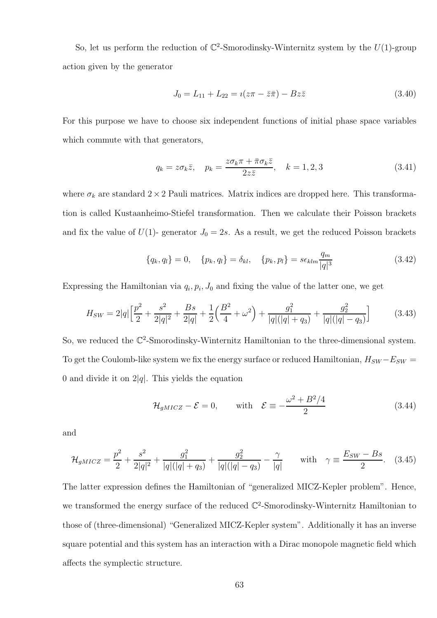So, let us perform the reduction of  $\mathbb{C}^2$ -Smorodinsky-Winternitz system by the  $U(1)$ -group action given by the generator

$$
J_0 = L_{11} + L_{22} = i(z\pi - \bar{z}\bar{\pi}) - Bz\bar{z}
$$
\n(3.40)

For this purpose we have to choose six independent functions of initial phase space variables which commute with that generators,

$$
q_k = z \sigma_k \bar{z}, \quad p_k = \frac{z \sigma_k \pi + \bar{\pi} \sigma_k \bar{z}}{2z \bar{z}}, \quad k = 1, 2, 3 \tag{3.41}
$$

where  $\sigma_k$  are standard  $2 \times 2$  Pauli matrices. Matrix indices are dropped here. This transformation is called Kustaanheimo-Stiefel transformation. Then we calculate their Poisson brackets and fix the value of  $U(1)$ - generator  $J_0 = 2s$ . As a result, we get the reduced Poisson brackets

$$
\{q_k, q_l\} = 0, \quad \{p_k, q_l\} = \delta_{kl}, \quad \{p_k, p_l\} = s\epsilon_{klm} \frac{q_m}{|q|^3}
$$
(3.42)

Expressing the Hamiltonian via  $q_i, p_i, J_0$  and fixing the value of the latter one, we get

$$
H_{SW} = 2|q| \left[ \frac{p^2}{2} + \frac{s^2}{2|q|^2} + \frac{Bs}{2|q|} + \frac{1}{2} \left( \frac{B^2}{4} + \omega^2 \right) + \frac{g_1^2}{|q|(|q| + q_3)} + \frac{g_2^2}{|q|(|q| - q_3)} \right]
$$
(3.43)

So, we reduced the  $\mathbb{C}^2$ -Smorodinsky-Winternitz Hamiltonian to the three-dimensional system. To get the Coulomb-like system we fix the energy surface or reduced Hamiltonian,  $H_{SW} - E_{SW} =$ 0 and divide it on  $2|q|$ . This yields the equation

$$
\mathcal{H}_{gMICZ} - \mathcal{E} = 0, \quad \text{with} \quad \mathcal{E} \equiv -\frac{\omega^2 + B^2/4}{2} \tag{3.44}
$$

and

$$
\mathcal{H}_{gMICZ} = \frac{p^2}{2} + \frac{s^2}{2|q|^2} + \frac{g_1^2}{|q|(|q|+q_3)} + \frac{g_2^2}{|q|(|q|-q_3)} - \frac{\gamma}{|q|} \quad \text{with} \quad \gamma \equiv \frac{E_{SW} - Bs}{2}.\tag{3.45}
$$

The latter expression defines the Hamiltonian of "generalized MICZ-Kepler problem". Hence, we transformed the energy surface of the reduced  $\mathbb{C}^2$ -Smorodinsky-Winternitz Hamiltonian to those of (three-dimensional) "Generalized MICZ-Kepler system". Additionally it has an inverse square potential and this system has an interaction with a Dirac monopole magnetic field which affects the symplectic structure.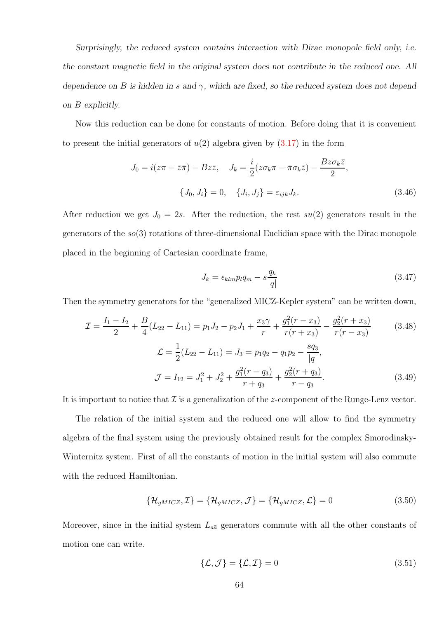Surprisingly, the reduced system contains interaction with Dirac monopole field only, i.e. the constant magnetic field in the original system does not contribute in the reduced one. All dependence on B is hidden in s and  $\gamma$ , which are fixed, so the reduced system does not depend on B explicitly.

Now this reduction can be done for constants of motion. Before doing that it is convenient to present the initial generators of  $u(2)$  algebra given by  $(3.17)$  in the form

$$
J_0 = i(z\pi - \bar{z}\bar{\pi}) - Bz\bar{z}, \quad J_k = \frac{i}{2}(z\sigma_k\pi - \bar{\pi}\sigma_k\bar{z}) - \frac{Bz\sigma_k\bar{z}}{2},
$$

$$
\{J_0, J_i\} = 0, \quad \{J_i, J_j\} = \varepsilon_{ijk}J_k.
$$
(3.46)

After reduction we get  $J_0 = 2s$ . After the reduction, the rest  $su(2)$  generators result in the generators of the  $so(3)$  rotations of three-dimensional Euclidian space with the Dirac monopole placed in the beginning of Cartesian coordinate frame,

$$
J_k = \epsilon_{klm} p_l q_m - s \frac{q_k}{|q|} \tag{3.47}
$$

Then the symmetry generators for the "generalized MICZ-Kepler system" can be written down,

$$
\mathcal{I} = \frac{I_1 - I_2}{2} + \frac{B}{4}(L_{22} - L_{11}) = p_1 J_2 - p_2 J_1 + \frac{x_3 \gamma}{r} + \frac{g_1^2 (r - x_3)}{r(r + x_3)} - \frac{g_2^2 (r + x_3)}{r(r - x_3)}
$$
(3.48)  

$$
\mathcal{L} = \frac{1}{2}(L_{22} - L_{11}) = J_3 = p_1 q_2 - q_1 p_2 - \frac{s q_3}{|q|},
$$

$$
\mathcal{J} = I_{12} = J_1^2 + J_2^2 + \frac{g_1^2 (r - q_3)}{r + q_3} + \frac{g_2^2 (r + q_3)}{r - q_3}.
$$
(3.49)

It is important to notice that  $\mathcal I$  is a generalization of the z-component of the Runge-Lenz vector.

The relation of the initial system and the reduced one will allow to find the symmetry algebra of the final system using the previously obtained result for the complex Smorodinsky-Winternitz system. First of all the constants of motion in the initial system will also commute with the reduced Hamiltonian.

$$
\{\mathcal{H}_{gMICZ}, \mathcal{I}\} = \{\mathcal{H}_{gMICZ}, \mathcal{J}\} = \{\mathcal{H}_{gMICZ}, \mathcal{L}\} = 0 \tag{3.50}
$$

Moreover, since in the initial system  $L_{a\bar{a}}$  generators commute with all the other constants of motion one can write.

$$
\{\mathcal{L}, \mathcal{J}\} = \{\mathcal{L}, \mathcal{I}\} = 0 \tag{3.51}
$$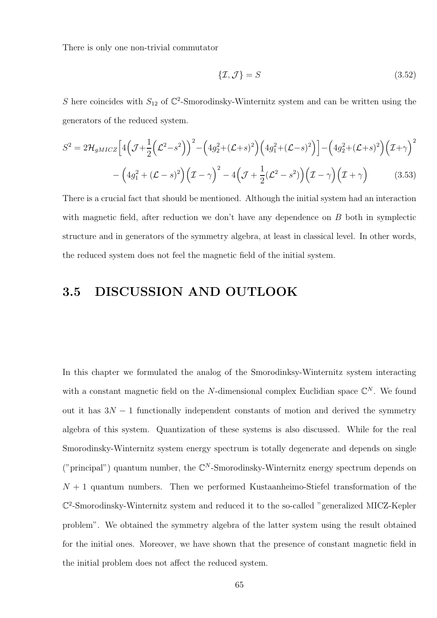There is only one non-trivial commutator

$$
\{\mathcal{I},\mathcal{J}\}=S\tag{3.52}
$$

S here coincides with  $S_{12}$  of  $\mathbb{C}^2$ -Smorodinsky-Winternitz system and can be written using the generators of the reduced system.

$$
S^{2} = 2\mathcal{H}_{gMICZ} \Big[ 4\Big(\mathcal{J} + \frac{1}{2}\Big(\mathcal{L}^{2} - s^{2}\Big)\Big)^{2} - \Big(4g_{2}^{2} + (\mathcal{L} + s)^{2}\Big) \Big(4g_{1}^{2} + (\mathcal{L} - s)^{2}\Big) \Big] - \Big(4g_{2}^{2} + (\mathcal{L} + s)^{2}\Big) \Big(\mathcal{I} + \gamma\Big)^{2}
$$

$$
- \Big(4g_{1}^{2} + (\mathcal{L} - s)^{2}\Big) \Big(\mathcal{I} - \gamma\Big)^{2} - 4\Big(\mathcal{J} + \frac{1}{2}(\mathcal{L}^{2} - s^{2})\Big) \Big(\mathcal{I} - \gamma\Big) \Big(\mathcal{I} + \gamma\Big) \tag{3.53}
$$

There is a crucial fact that should be mentioned. Although the initial system had an interaction with magnetic field, after reduction we don't have any dependence on B both in symplectic structure and in generators of the symmetry algebra, at least in classical level. In other words, the reduced system does not feel the magnetic field of the initial system.

# 3.5 DISCUSSION AND OUTLOOK

In this chapter we formulated the analog of the Smorodinksy-Winternitz system interacting with a constant magnetic field on the N-dimensional complex Euclidian space  $\mathbb{C}^N$ . We found out it has  $3N-1$  functionally independent constants of motion and derived the symmetry algebra of this system. Quantization of these systems is also discussed. While for the real Smorodinsky-Winternitz system energy spectrum is totally degenerate and depends on single ("principal") quantum number, the  $\mathbb{C}^N$ -Smorodinsky-Winternitz energy spectrum depends on  $N + 1$  quantum numbers. Then we performed Kustaanheimo-Stiefel transformation of the C 2 -Smorodinsky-Winternitz system and reduced it to the so-called "generalized MICZ-Kepler problem". We obtained the symmetry algebra of the latter system using the result obtained for the initial ones. Moreover, we have shown that the presence of constant magnetic field in the initial problem does not affect the reduced system.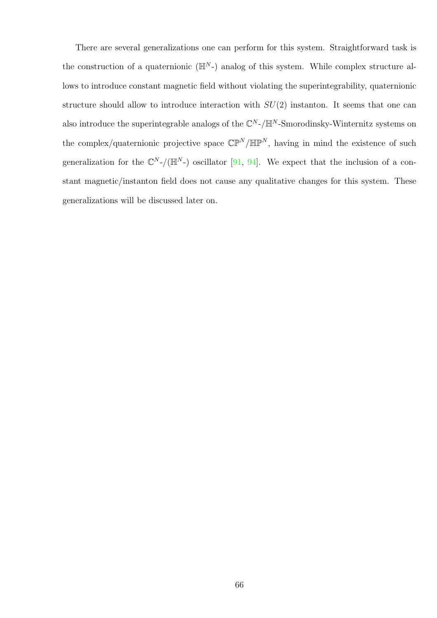There are several generalizations one can perform for this system. Straightforward task is the construction of a quaternionic  $(\mathbb{H}^N)$  analog of this system. While complex structure allows to introduce constant magnetic field without violating the superintegrability, quaternionic structure should allow to introduce interaction with  $SU(2)$  instanton. It seems that one can also introduce the superintegrable analogs of the  $\mathbb{C}^N$ -/ $\mathbb{H}^N$ -Smorodinsky-Winternitz systems on the complex/quaternionic projective space  $\mathbb{CP}^N/\mathbb{HP}^N$ , having in mind the existence of such generalization for the  $\mathbb{C}^N$ -/( $\mathbb{H}^N$ -) oscillator [\[91,](#page-107-9) [94\]](#page-108-0). We expect that the inclusion of a constant magnetic/instanton field does not cause any qualitative changes for this system. These generalizations will be discussed later on.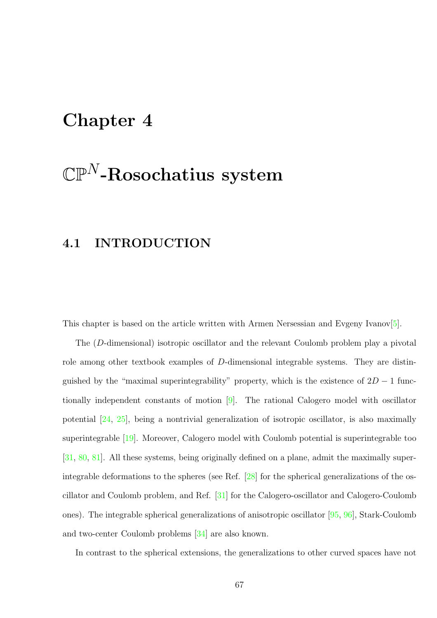# Chapter 4

# $\mathbb{CP}^N$ -Rosochatius system

# 4.1 INTRODUCTION

This chapter is based on the article written with Armen Nersessian and Evgeny Ivanov[\[5\]](#page-100-1).

The (D-dimensional) isotropic oscillator and the relevant Coulomb problem play a pivotal role among other textbook examples of D-dimensional integrable systems. They are distinguished by the "maximal superintegrability" property, which is the existence of  $2D - 1$  functionally independent constants of motion [\[9\]](#page-100-2). The rational Calogero model with oscillator potential [\[24,](#page-102-5) [25\]](#page-102-6), being a nontrivial generalization of isotropic oscillator, is also maximally superintegrable [\[19\]](#page-101-3). Moreover, Calogero model with Coulomb potential is superintegrable too [\[31,](#page-102-0) [80,](#page-106-8) [81\]](#page-106-9). All these systems, being originally defined on a plane, admit the maximally superintegrable deformations to the spheres (see Ref. [\[28\]](#page-102-1) for the spherical generalizations of the oscillator and Coulomb problem, and Ref. [\[31\]](#page-102-0) for the Calogero-oscillator and Calogero-Coulomb ones). The integrable spherical generalizations of anisotropic oscillator [\[95,](#page-108-1) [96\]](#page-108-2), Stark-Coulomb and two-center Coulomb problems [\[34\]](#page-102-7) are also known.

In contrast to the spherical extensions, the generalizations to other curved spaces have not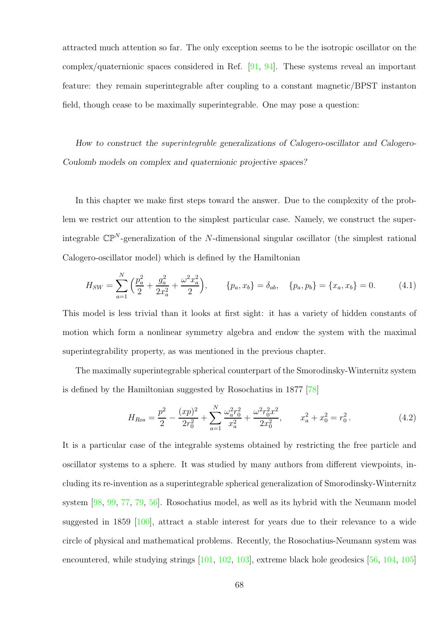attracted much attention so far. The only exception seems to be the isotropic oscillator on the complex/quaternionic spaces considered in Ref. [\[91,](#page-107-9) [94\]](#page-108-0). These systems reveal an important feature: they remain superintegrable after coupling to a constant magnetic/BPST instanton field, though cease to be maximally superintegrable. One may pose a question:

How to construct the superintegrable generalizations of Calogero-oscillator and Calogero-Coulomb models on complex and quaternionic projective spaces?

In this chapter we make first steps toward the answer. Due to the complexity of the problem we restrict our attention to the simplest particular case. Namely, we construct the superintegrable  $\mathbb{CP}^N$ -generalization of the N-dimensional singular oscillator (the simplest rational Calogero-oscillator model) which is defined by the Hamiltonian

$$
H_{SW} = \sum_{a=1}^{N} \left( \frac{p_a^2}{2} + \frac{g_a^2}{2x_a^2} + \frac{\omega^2 x_a^2}{2} \right), \qquad \{p_a, x_b\} = \delta_{ab}, \quad \{p_a, p_b\} = \{x_a, x_b\} = 0. \tag{4.1}
$$

This model is less trivial than it looks at first sight: it has a variety of hidden constants of motion which form a nonlinear symmetry algebra and endow the system with the maximal superintegrability property, as was mentioned in the previous chapter.

The maximally superintegrable spherical counterpart of the Smorodinsky-Winternitz system is defined by the Hamiltonian suggested by Rosochatius in 1877 [\[78\]](#page-106-6)

<span id="page-67-0"></span>
$$
H_{Ros} = \frac{p^2}{2} - \frac{(xp)^2}{2r_0^2} + \sum_{a=1}^{N} \frac{\omega_a^2 r_0^2}{x_a^2} + \frac{\omega^2 r_0^2 x^2}{2x_0^2}, \qquad x_a^2 + x_0^2 = r_0^2. \tag{4.2}
$$

It is a particular case of the integrable systems obtained by restricting the free particle and oscillator systems to a sphere. It was studied by many authors from different viewpoints, including its re-invention as a superintegrable spherical generalization of Smorodinsky-Winternitz system [\[98,](#page-108-3) [99,](#page-108-4) [77,](#page-106-5) [79,](#page-106-7) [56\]](#page-104-1). Rosochatius model, as well as its hybrid with the Neumann model suggested in 1859 [\[100\]](#page-108-5), attract a stable interest for years due to their relevance to a wide circle of physical and mathematical problems. Recently, the Rosochatius-Neumann system was encountered, while studying strings  $[101, 102, 103]$  $[101, 102, 103]$  $[101, 102, 103]$  $[101, 102, 103]$ , extreme black hole geodesics [\[56,](#page-104-1) [104,](#page-109-0) [105\]](#page-109-1)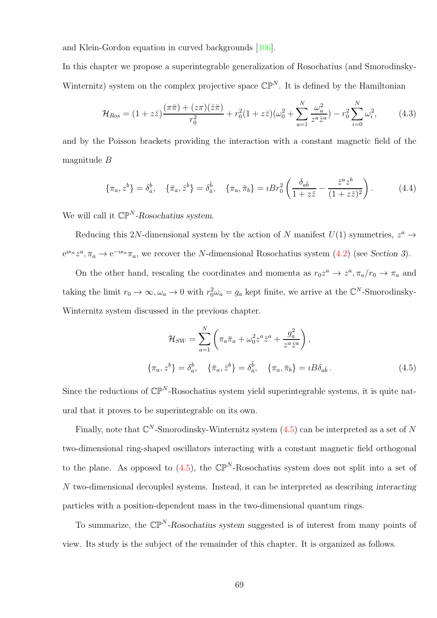and Klein-Gordon equation in curved backgrounds [\[106\]](#page-109-2).

In this chapter we propose a superintegrable generalization of Rosochatius (and Smorodinsky-Winternitz) system on the complex projective space  $\mathbb{CP}^N$ . It is defined by the Hamiltonian

$$
\mathcal{H}_{Ros} = (1 + z\bar{z}) \frac{(\pi\bar{\pi}) + (z\pi)(\bar{z}\bar{\pi})}{r_0^2} + r_0^2 (1 + z\bar{z}) (\omega_0^2 + \sum_{a=1}^N \frac{\omega_a^2}{z^a \bar{z}^a}) - r_0^2 \sum_{i=0}^N \omega_i^2, \tag{4.3}
$$

and by the Poisson brackets providing the interaction with a constant magnetic field of the magnitude B

<span id="page-68-1"></span>
$$
\{\pi_a, z^b\} = \delta_a^b, \quad \{\bar{\pi}_a, \bar{z}^b\} = \delta_{\bar{a}}^{\bar{b}}, \quad \{\pi_a, \bar{\pi}_b\} = iBr_0^2 \left(\frac{\delta_{a\bar{b}}}{1 + z\bar{z}} - \frac{\bar{z}^a z^b}{(1 + z\bar{z})^2}\right). \tag{4.4}
$$

We will call it  $\mathbb{CP}^N$ -Rosochatius system.

Reducing this 2N-dimensional system by the action of N manifest  $U(1)$  symmetries,  $z^a \rightarrow$  $e^{i\kappa_a}z^a$ ,  $\pi_a \to e^{-i\kappa_a}\pi_a$ , we recover the N-dimensional Rosochatius system [\(4.2\)](#page-67-0) (see Section 3).

On the other hand, rescaling the coordinates and momenta as  $r_0 z^a \to z^a, \pi_a/r_0 \to \pi_a$  and taking the limit  $r_0 \to \infty, \omega_a \to 0$  with  $r_0^2 \omega_a = g_a$  kept finite, we arrive at the  $\mathbb{C}^N$ -Smorodinsky-Winternitz system discussed in the previous chapter.

<span id="page-68-0"></span>
$$
\mathcal{H}_{SW} = \sum_{a=1}^{N} \left( \pi_a \bar{\pi}_a + \omega_0^2 z^a \bar{z}^a + \frac{g_a^2}{z^a \bar{z}^a} \right),
$$
  

$$
\{\pi_a, z^b\} = \delta_a^b, \quad \{\bar{\pi}_a, \bar{z}^b\} = \delta_{\bar{a}}^{\bar{b}}, \quad \{\pi_a, \bar{\pi}_b\} = iB\delta_{a\bar{b}}.
$$
 (4.5)

Since the reductions of  $\mathbb{CP}^N$ -Rosochatius system yield superintegrable systems, it is quite natural that it proves to be superintegrable on its own.

Finally, note that  $\mathbb{C}^N$ -Smorodinsky-Winternitz system  $(4.5)$  can be interpreted as a set of N two-dimensional ring-shaped oscillators interacting with a constant magnetic field orthogonal to the plane. As opposed to  $(4.5)$ , the  $\mathbb{CP}^N$ -Rosochatius system does not split into a set of N two-dimensional decoupled systems. Instead, it can be interpreted as describing interacting particles with a position-dependent mass in the two-dimensional quantum rings.

To summarize, the  $\mathbb{CP}^N$ -Rosochatius system suggested is of interest from many points of view. Its study is the subject of the remainder of this chapter. It is organized as follows.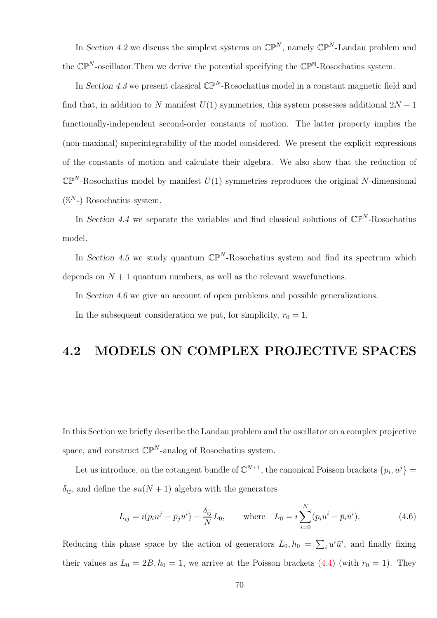In Section 4.2 we discuss the simplest systems on  $\mathbb{CP}^N$ , namely  $\mathbb{CP}^N$ -Landau problem and the  $\mathbb{CP}^N$ -oscillator. Then we derive the potential specifying the  $\mathbb{CP}^N$ -Rosochatius system.

In Section 4.3 we present classical  $\mathbb{CP}^N$ -Rosochatius model in a constant magnetic field and find that, in addition to N manifest  $U(1)$  symmetries, this system possesses additional  $2N - 1$ functionally-independent second-order constants of motion. The latter property implies the (non-maximal) superintegrability of the model considered. We present the explicit expressions of the constants of motion and calculate their algebra. We also show that the reduction of  $\mathbb{CP}^N$ -Rosochatius model by manifest  $U(1)$  symmetries reproduces the original N-dimensional  $(S^N-)$  Rosochatius system.

In Section 4.4 we separate the variables and find classical solutions of  $\mathbb{CP}^N$ -Rosochatius model.

In Section 4.5 we study quantum  $\mathbb{CP}^N$ -Rosochatius system and find its spectrum which depends on  $N + 1$  quantum numbers, as well as the relevant wavefunctions.

In Section 4.6 we give an account of open problems and possible generalizations.

In the subsequent consideration we put, for simplicity,  $r_0 = 1$ .

# 4.2 MODELS ON COMPLEX PROJECTIVE SPACES

In this Section we briefly describe the Landau problem and the oscillator on a complex projective space, and construct  $\mathbb{CP}^N$ -analog of Rosochatius system.

Let us introduce, on the cotangent bundle of  $\mathbb{C}^{N+1}$ , the canonical Poisson brackets  $\{p_i, u^j\} =$  $\delta_{ij}$ , and define the  $su(N+1)$  algebra with the generators

<span id="page-69-0"></span>
$$
L_{i\bar{j}} = i(p_i u^j - \bar{p}_j \bar{u}^i) - \frac{\delta_{i\bar{j}}}{N} L_0, \quad \text{where} \quad L_0 = i \sum_{i=0}^N (p_i u^i - \bar{p}_i \bar{u}^i).
$$
 (4.6)

Reducing this phase space by the action of generators  $L_0$ ,  $h_0 = \sum_i u^i \bar{u}^i$ , and finally fixing their values as  $L_0 = 2B$ ,  $h_0 = 1$ , we arrive at the Poisson brackets [\(4.4\)](#page-68-1) (with  $r_0 = 1$ ). They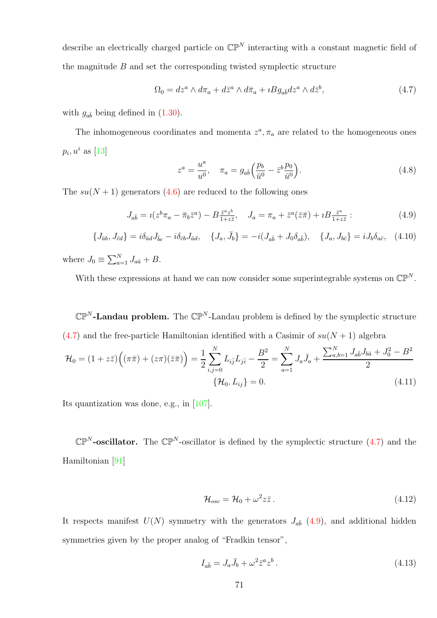describe an electrically charged particle on  $\mathbb{CP}^N$  interacting with a constant magnetic field of the magnitude  $B$  and set the corresponding twisted symplectic structure

<span id="page-70-0"></span>
$$
\Omega_0 = dz^a \wedge d\pi_a + d\bar{z}^a \wedge d\bar{\pi}_a + iBg_{a\bar{b}}dz^a \wedge d\bar{z}^b,\tag{4.7}
$$

with  $g_{a\bar{b}}$  being defined in  $(1.30)$ .

The inhomogeneous coordinates and momenta  $z^a$ ,  $\pi_a$  are related to the homogeneous ones  $p_i, u^i$  as [\[13\]](#page-101-1)

$$
z^{a} = \frac{u^{a}}{u^{0}}, \quad \pi_{a} = g_{a\bar{b}} \left( \frac{p_{b}}{\bar{u}^{0}} - \bar{z}^{b} \frac{p_{0}}{\bar{u}^{0}} \right).
$$
 (4.8)

<span id="page-70-1"></span>The  $su(N + 1)$  generators [\(4.6\)](#page-69-0) are reduced to the following ones

$$
J_{a\bar{b}} = i(z^b \pi_a - \bar{\pi}_b \bar{z}^a) - B_{1+z\bar{z}}^{\bar{z}^a \bar{z}^b}, \quad J_a = \pi_a + \bar{z}^a(\bar{z}\bar{\pi}) + iB_{1+z\bar{z}}^{\bar{z}^a}:
$$
\n
$$
(4.9)
$$

$$
\{J_{\bar{a}b}, J_{\bar{c}d}\} = i\delta_{\bar{a}d}J_{\bar{b}c} - i\delta_{\bar{c}b}J_{\bar{a}d}, \quad \{J_a, \bar{J}_b\} = -i(J_{a\bar{b}} + J_0\delta_{a\bar{b}}), \quad \{J_a, J_{b\bar{c}}\} = iJ_b\delta_{a\bar{c}}, \quad (4.10)
$$

where  $J_0 \equiv \sum_{a=1}^{N} J_{a\bar{a}} + B$ .

With these expressions at hand we can now consider some superintegrable systems on  $\mathbb{CP}^N$ .

 $\mathbb{CP}^N$ -Landau problem. The  $\mathbb{CP}^N$ -Landau problem is defined by the symplectic structure  $(4.7)$  and the free-particle Hamiltonian identified with a Casimir of  $su(N + 1)$  algebra

$$
\mathcal{H}_0 = (1 + z\bar{z}) \left( (\pi \bar{\pi}) + (z\pi)(\bar{z}\bar{\pi}) \right) = \frac{1}{2} \sum_{i,j=0}^N L_{i\bar{j}} L_{j\bar{i}} - \frac{B^2}{2} = \sum_{a=1}^N J_a \bar{J}_a + \frac{\sum_{a,b=1}^N J_{a\bar{b}} J_{b\bar{a}} + J_0^2 - B^2}{2}
$$

$$
\{\mathcal{H}_0, L_{i\bar{j}}\} = 0.
$$
(4.11)

Its quantization was done, e.g., in [\[107\]](#page-109-3).

 $\mathbb{CP}^N$ -oscillator. The  $\mathbb{CP}^N$ -oscillator is defined by the symplectic structure [\(4.7\)](#page-70-0) and the Hamiltonian [\[91\]](#page-107-9)

<span id="page-70-2"></span>
$$
\mathcal{H}_{osc} = \mathcal{H}_0 + \omega^2 z \bar{z} \,. \tag{4.12}
$$

It respects manifest  $U(N)$  symmetry with the generators  $J_{a\bar{b}}(4.9)$  $J_{a\bar{b}}(4.9)$ , and additional hidden symmetries given by the proper analog of "Fradkin tensor",

$$
I_{a\bar{b}} = J_a \bar{J}_b + \omega^2 \bar{z}^a z^b. \tag{4.13}
$$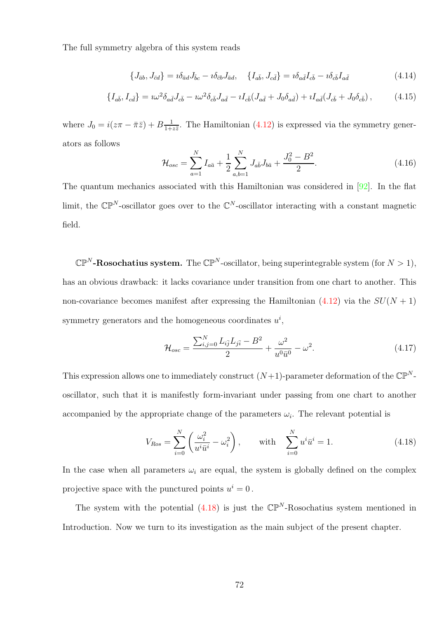The full symmetry algebra of this system reads

$$
\{J_{\bar{a}b}, J_{\bar{c}d}\} = i\delta_{\bar{a}d}J_{\bar{b}c} - i\delta_{\bar{c}b}J_{\bar{a}d}, \quad \{I_{a\bar{b}}, J_{c\bar{d}}\} = i\delta_{a\bar{d}}I_{c\bar{b}} - i\delta_{c\bar{b}}I_{a\bar{d}} \tag{4.14}
$$

$$
\{I_{a\bar{b}}, I_{c\bar{d}}\} = i\omega^2 \delta_{a\bar{d}} J_{c\bar{b}} - i\omega^2 \delta_{c\bar{b}} J_{a\bar{d}} - iI_{c\bar{b}} (J_{a\bar{d}} + J_0 \delta_{a\bar{d}}) + iI_{a\bar{d}} (J_{c\bar{b}} + J_0 \delta_{c\bar{b}}) ,\qquad(4.15)
$$

where  $J_0 = i(z\pi - \bar{\pi}\bar{z}) + B\frac{1}{1+z}$  $\frac{1}{1+z\overline{z}}$ . The Hamiltonian [\(4.12\)](#page-70-2) is expressed via the symmetry generators as follows

$$
\mathcal{H}_{osc} = \sum_{a=1}^{N} I_{a\bar{a}} + \frac{1}{2} \sum_{a,b=1}^{N} J_{a\bar{b}} J_{b\bar{a}} + \frac{J_0^2 - B^2}{2}.
$$
\n(4.16)

The quantum mechanics associated with this Hamiltonian was considered in [\[92\]](#page-107-10). In the flat limit, the  $\mathbb{CP}^N$ -oscillator goes over to the  $\mathbb{C}^N$ -oscillator interacting with a constant magnetic field.

 $\mathbb{CP}^N$ -Rosochatius system. The  $\mathbb{CP}^N$ -oscillator, being superintegrable system (for  $N > 1$ ), has an obvious drawback: it lacks covariance under transition from one chart to another. This non-covariance becomes manifest after expressing the Hamiltonian  $(4.12)$  via the  $SU(N + 1)$ symmetry generators and the homogeneous coordinates  $u^i$ ,

$$
\mathcal{H}_{osc} = \frac{\sum_{i,j=0}^{N} L_{i\bar{j}} L_{j\bar{i}} - B^2}{2} + \frac{\omega^2}{u^0 \bar{u}^0} - \omega^2.
$$
\n(4.17)

This expression allows one to immediately construct  $(N+1)$ -parameter deformation of the  $\mathbb{CP}^N$ oscillator, such that it is manifestly form-invariant under passing from one chart to another accompanied by the appropriate change of the parameters  $\omega_i$ . The relevant potential is

<span id="page-71-0"></span>
$$
V_{Ros} = \sum_{i=0}^{N} \left( \frac{\omega_i^2}{u^i \bar{u}^i} - \omega_i^2 \right), \quad \text{with} \quad \sum_{i=0}^{N} u^i \bar{u}^i = 1.
$$
 (4.18)

In the case when all parameters  $\omega_i$  are equal, the system is globally defined on the complex projective space with the punctured points  $u^i = 0$ .

The system with the potential  $(4.18)$  is just the  $\mathbb{CP}^N$ -Rosochatius system mentioned in Introduction. Now we turn to its investigation as the main subject of the present chapter.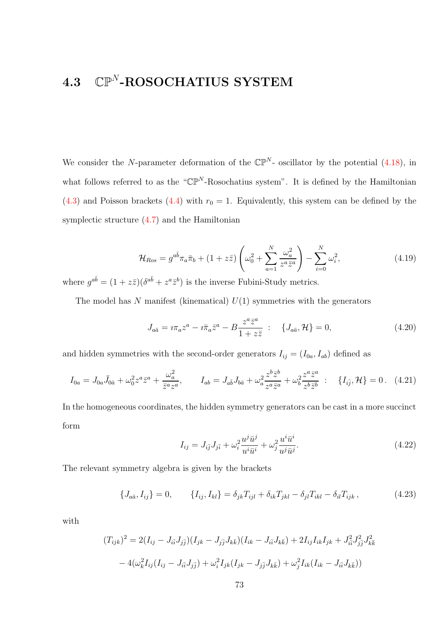### $\bullet$  4.3  $\mathbb{CP}^N\text{-}\mathrm{ROSOCHATIUS}$  SYSTEM

We consider the N-parameter deformation of the  $\mathbb{CP}^{N}$ - oscillator by the potential [\(4.18\)](#page-71-0), in what follows referred to as the " $\mathbb{CP}^N$ -Rosochatius system". It is defined by the Hamiltonian [\(4.3\)](#page-68-0) and Poisson brackets [\(4.4\)](#page-68-1) with  $r_0 = 1$ . Equivalently, this system can be defined by the symplectic structure [\(4.7\)](#page-70-0) and the Hamiltonian

<span id="page-72-0"></span>
$$
\mathcal{H}_{Ros} = g^{a\bar{b}} \pi_a \bar{\pi}_b + (1 + z\bar{z}) \left( \omega_0^2 + \sum_{a=1}^N \frac{\omega_a^2}{z^a \bar{z}^a} \right) - \sum_{i=0}^N \omega_i^2, \tag{4.19}
$$

where  $g^{a\bar{b}} = (1 + z\bar{z})(\delta^{a\bar{b}} + z^a \bar{z}^b)$  is the inverse Fubini-Study metrics.

The model has N manifest (kinematical)  $U(1)$  symmetries with the generators

$$
J_{a\bar{a}} = i\pi_a z^a - i\bar{\pi}_a \bar{z}^a - B \frac{z^a \bar{z}^a}{1 + z \bar{z}} : \quad \{J_{a\bar{a}}, \mathcal{H}\} = 0,
$$
\n(4.20)

and hidden symmetries with the second-order generators  $I_{ij} = (I_{0a}, I_{ab})$  defined as

$$
I_{0a} = J_{0a}\bar{J}_{0\bar{a}} + \omega_0^2 z^a \bar{z}^a + \frac{\omega_a^2}{\bar{z}^a z^a}, \qquad I_{ab} = J_{a\bar{b}}J_{b\bar{a}} + \omega_a^2 \frac{z^b \bar{z}^b}{z^a \bar{z}^a} + \omega_b^2 \frac{z^a \bar{z}^a}{z^b \bar{z}^b} \; : \; \{I_{i\bar{j}}, \mathcal{H}\} = 0 \; . \tag{4.21}
$$

In the homogeneous coordinates, the hidden symmetry generators can be cast in a more succinct form

$$
I_{ij} = J_{i\bar{j}} J_{j\bar{i}} + \omega_i^2 \frac{u^j \bar{u}^j}{u^i \bar{u}^i} + \omega_j^2 \frac{u^i \bar{u}^i}{u^j \bar{u}^j}.
$$
\n(4.22)

The relevant symmetry algebra is given by the brackets

$$
\{J_{a\bar{a}}, I_{ij}\} = 0, \qquad \{I_{ij}, I_{kl}\} = \delta_{jk} T_{ijl} + \delta_{ik} T_{jkl} - \delta_{jl} T_{ikl} - \delta_{il} T_{ijk}, \qquad (4.23)
$$

with

$$
(T_{ijk})^2 = 2(I_{ij} - J_{i\bar{i}l}J_{j\bar{j}})(I_{jk} - J_{j\bar{j}l}J_{k\bar{k}})(I_{ik} - J_{i\bar{i}l}J_{k\bar{k}}) + 2I_{ij}I_{ik}I_{jk} + J_{i\bar{i}l}^2J_{j\bar{j}}^2J_{k\bar{k}}^2
$$

$$
-4(\omega_k^2I_{ij}(I_{ij} - J_{i\bar{i}l}J_{j\bar{j}}) + \omega_i^2I_{jk}(I_{jk} - J_{j\bar{j}}J_{k\bar{k}}) + \omega_j^2I_{ik}(I_{ik} - J_{i\bar{i}l}J_{k\bar{k}}))
$$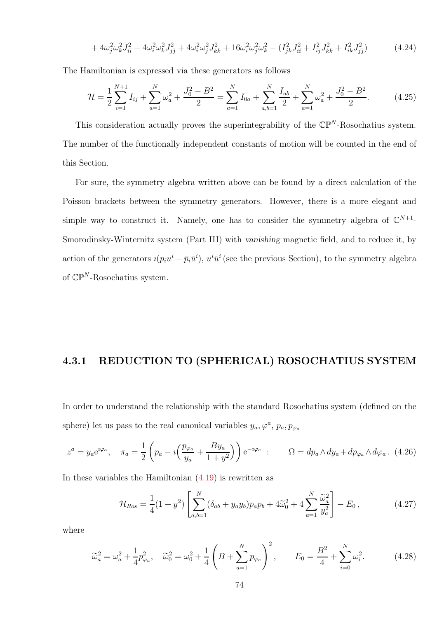$$
+4\omega_j^2 \omega_k^2 J_{i\bar{i}}^2 + 4\omega_i^2 \omega_k^2 J_{j\bar{j}}^2 + 4\omega_i^2 \omega_j^2 J_{k\bar{k}}^2 + 16\omega_i^2 \omega_j^2 \omega_k^2 - (I_{jk}^2 J_{i\bar{i}}^2 + I_{ij}^2 J_{k\bar{k}}^2 + I_{ik}^2 J_{j\bar{j}}^2)
$$
(4.24)

The Hamiltonian is expressed via these generators as follows

$$
\mathcal{H} = \frac{1}{2} \sum_{i=1}^{N+1} I_{ij} + \sum_{a=1}^{N} \omega_a^2 + \frac{J_0^2 - B^2}{2} = \sum_{a=1}^{N} I_{0a} + \sum_{a,b=1}^{N} \frac{I_{ab}}{2} + \sum_{a=1}^{N} \omega_a^2 + \frac{J_0^2 - B^2}{2}.
$$
 (4.25)

This consideration actually proves the superintegrability of the  $\mathbb{CP}^N$ -Rosochatius system. The number of the functionally independent constants of motion will be counted in the end of this Section.

For sure, the symmetry algebra written above can be found by a direct calculation of the Poisson brackets between the symmetry generators. However, there is a more elegant and simple way to construct it. Namely, one has to consider the symmetry algebra of  $\mathbb{C}^{N+1}$ -Smorodinsky-Winternitz system (Part III) with vanishing magnetic field, and to reduce it, by action of the generators  $i(p_iu^i - \bar{p}_i\bar{u}^i)$ ,  $u^i\bar{u}^i$  (see the previous Section), to the symmetry algebra of  $\mathbb{CP}^N$ -Rosochatius system.

#### 4.3.1 REDUCTION TO (SPHERICAL) ROSOCHATIUS SYSTEM

In order to understand the relationship with the standard Rosochatius system (defined on the sphere) let us pass to the real canonical variables  $y_a, \varphi^a, p_a, p_{\varphi_a}$ 

<span id="page-73-0"></span>
$$
z^{a} = y_{a}e^{i\varphi_{a}}, \quad \pi_{a} = \frac{1}{2}\left(p_{a} - i\left(\frac{p_{\varphi_{a}}}{y_{a}} + \frac{By_{a}}{1+y^{2}}\right)\right)e^{-i\varphi_{a}} : \qquad \Omega = dp_{a} \wedge dy_{a} + dp_{\varphi_{a}} \wedge d\varphi_{a}.
$$
 (4.26)

In these variables the Hamiltonian  $(4.19)$  is rewritten as

<span id="page-73-1"></span>
$$
\mathcal{H}_{Ros} = \frac{1}{4}(1+y^2) \left[ \sum_{a,b=1}^{N} (\delta_{ab} + y_a y_b) p_a p_b + 4\tilde{\omega}_0^2 + 4 \sum_{a=1}^{N} \frac{\tilde{\omega}_a^2}{y_a^2} \right] - E_0, \qquad (4.27)
$$

where

<span id="page-73-2"></span>
$$
\widetilde{\omega}_a^2 = \omega_a^2 + \frac{1}{4} p_{\varphi_a}^2, \quad \widetilde{\omega}_0^2 = \omega_0^2 + \frac{1}{4} \left( B + \sum_{a=1}^N p_{\varphi_a} \right)^2, \qquad E_0 = \frac{B^2}{4} + \sum_{i=0}^N \omega_i^2. \tag{4.28}
$$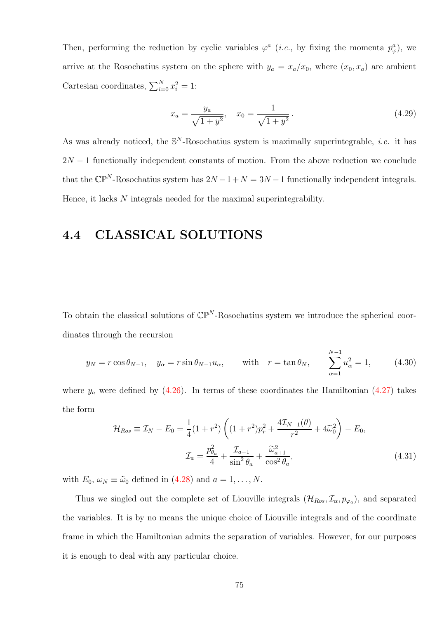Then, performing the reduction by cyclic variables  $\varphi^a$  (*i.e.*, by fixing the momenta  $p^a_\varphi$ ), we arrive at the Rosochatius system on the sphere with  $y_a = x_a/x_0$ , where  $(x_0, x_a)$  are ambient Cartesian coordinates,  $\sum_{i=0}^{N} x_i^2 = 1$ :

$$
x_a = \frac{y_a}{\sqrt{1+y^2}}, \quad x_0 = \frac{1}{\sqrt{1+y^2}}.\tag{4.29}
$$

As was already noticed, the  $\mathbb{S}^N$ -Rosochatius system is maximally superintegrable, *i.e.* it has  $2N-1$  functionally independent constants of motion. From the above reduction we conclude that the  $\mathbb{CP}^N$ -Rosochatius system has  $2N - 1 + N = 3N - 1$  functionally independent integrals. Hence, it lacks N integrals needed for the maximal superintegrability.

#### 4.4 CLASSICAL SOLUTIONS

To obtain the classical solutions of  $\mathbb{CP}^N$ -Rosochatius system we introduce the spherical coordinates through the recursion

<span id="page-74-0"></span>
$$
y_N = r \cos \theta_{N-1}, \quad y_\alpha = r \sin \theta_{N-1} u_\alpha, \quad \text{with} \quad r = \tan \theta_N, \quad \sum_{\alpha=1}^{N-1} u_\alpha^2 = 1,
$$
 (4.30)

where  $y_a$  were defined by [\(4.26\)](#page-73-0). In terms of these coordinates the Hamiltonian [\(4.27\)](#page-73-1) takes the form

$$
\mathcal{H}_{Ros} \equiv \mathcal{I}_N - E_0 = \frac{1}{4} (1 + r^2) \left( (1 + r^2) p_r^2 + \frac{4 \mathcal{I}_{N-1}(\theta)}{r^2} + 4 \widetilde{\omega}_0^2 \right) - E_0,
$$
  

$$
\mathcal{I}_a = \frac{p_{\theta_a}^2}{4} + \frac{\mathcal{I}_{a-1}}{\sin^2 \theta_a} + \frac{\widetilde{\omega}_{a+1}^2}{\cos^2 \theta_a},
$$
(4.31)

with  $E_0, \omega_N \equiv \tilde{\omega}_0$  defined in [\(4.28\)](#page-73-2) and  $a = 1, \ldots, N$ .

Thus we singled out the complete set of Liouville integrals  $(\mathcal{H}_{Ros}, \mathcal{I}_{\alpha}, p_{\varphi_a})$ , and separated the variables. It is by no means the unique choice of Liouville integrals and of the coordinate frame in which the Hamiltonian admits the separation of variables. However, for our purposes it is enough to deal with any particular choice.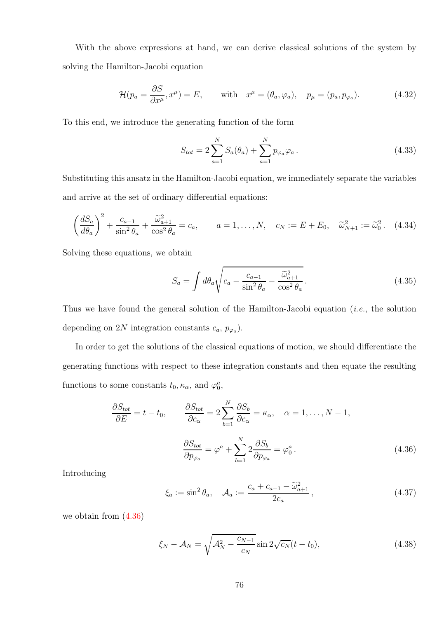With the above expressions at hand, we can derive classical solutions of the system by solving the Hamilton-Jacobi equation

$$
\mathcal{H}(p_a = \frac{\partial S}{\partial x^\mu}, x^\mu) = E, \quad \text{with} \quad x^\mu = (\theta_a, \varphi_a), \quad p_\mu = (p_a, p_{\varphi_a}). \tag{4.32}
$$

To this end, we introduce the generating function of the form

$$
S_{tot} = 2\sum_{a=1}^{N} S_a(\theta_a) + \sum_{a=1}^{N} p_{\varphi_a} \varphi_a.
$$
 (4.33)

Substituting this ansatz in the Hamilton-Jacobi equation, we immediately separate the variables and arrive at the set of ordinary differential equations:

$$
\left(\frac{dS_a}{d\theta_a}\right)^2 + \frac{c_{a-1}}{\sin^2\theta_a} + \frac{\widetilde{\omega}_{a+1}^2}{\cos^2\theta_a} = c_a, \qquad a = 1, \dots, N, \quad c_N := E + E_0, \quad \widetilde{\omega}_{N+1}^2 := \widetilde{\omega}_0^2. \tag{4.34}
$$

Solving these equations, we obtain

$$
S_a = \int d\theta_a \sqrt{c_a - \frac{c_{a-1}}{\sin^2 \theta_a} - \frac{\widetilde{\omega}_{a+1}^2}{\cos^2 \theta_a}}.
$$
 (4.35)

Thus we have found the general solution of the Hamilton-Jacobi equation (i.e., the solution depending on 2N integration constants  $c_a$ ,  $p_{\varphi_a}$ ).

In order to get the solutions of the classical equations of motion, we should differentiate the generating functions with respect to these integration constants and then equate the resulting functions to some constants  $t_0, \kappa_\alpha$ , and  $\varphi_0^a$ ,

$$
\frac{\partial S_{tot}}{\partial E} = t - t_0, \qquad \frac{\partial S_{tot}}{\partial c_{\alpha}} = 2 \sum_{b=1}^{N} \frac{\partial S_b}{\partial c_{\alpha}} = \kappa_{\alpha}, \quad \alpha = 1, ..., N - 1,
$$
  

$$
\frac{\partial S_{tot}}{\partial p_{\varphi_a}} = \varphi^a + \sum_{b=1}^{N} 2 \frac{\partial S_b}{\partial p_{\varphi_a}} = \varphi_0^a.
$$
(4.36)

Introducing

<span id="page-75-0"></span>
$$
\xi_a := \sin^2 \theta_a, \quad \mathcal{A}_a := \frac{c_a + c_{a-1} - \widetilde{\omega}_{a+1}^2}{2c_a},\tag{4.37}
$$

we obtain from [\(4.36\)](#page-75-0)

$$
\xi_N - A_N = \sqrt{A_N^2 - \frac{c_{N-1}}{c_N}} \sin 2\sqrt{c_N}(t - t_0),
$$
\n(4.38)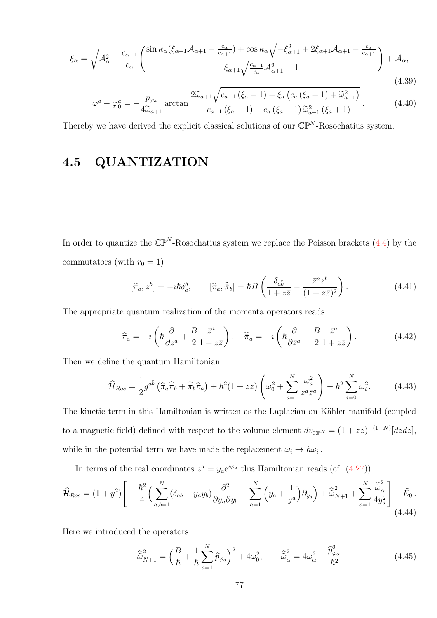$$
\xi_{\alpha} = \sqrt{\mathcal{A}_{\alpha}^2 - \frac{c_{\alpha-1}}{c_{\alpha}}} \left( \frac{\sin \kappa_{\alpha} (\xi_{\alpha+1} \mathcal{A}_{\alpha+1} - \frac{c_{\alpha}}{c_{\alpha+1}}) + \cos \kappa_{\alpha} \sqrt{-\xi_{\alpha+1}^2 + 2\xi_{\alpha+1} \mathcal{A}_{\alpha+1} - \frac{c_{\alpha}}{c_{\alpha+1}}}}{\xi_{\alpha+1} \sqrt{\frac{c_{\alpha+1}}{c_{\alpha}}} \mathcal{A}_{\alpha+1}^2 - 1} \right) + \mathcal{A}_{\alpha},
$$
\n(4.39)

$$
\varphi^{a} - \varphi_{0}^{a} = -\frac{p_{\varphi_{a}}}{4\tilde{\omega}_{a+1}} \arctan \frac{2\tilde{\omega}_{a+1}\sqrt{c_{a-1}\left(\xi_{a}-1\right)-\xi_{a}\left(c_{a}\left(\xi_{a}-1\right)+\tilde{\omega}_{a+1}^{2}\right)}}{-c_{a-1}\left(\xi_{a}-1\right)+c_{a}\left(\xi_{a}-1\right)\tilde{\omega}_{a+1}^{2}\left(\xi_{a}+1\right)}.
$$
(4.40)

Thereby we have derived the explicit classical solutions of our  $\mathbb{CP}^N$ -Rosochatius system.

#### 4.5 QUANTIZATION

In order to quantize the  $\mathbb{CP}^N$ -Rosochatius system we replace the Poisson brackets [\(4.4\)](#page-68-1) by the commutators (with  $r_0 = 1$ )

$$
[\widehat{\pi}_a, z^b] = -i\hbar \delta_a^b, \qquad [\widehat{\pi}_a, \widehat{\overline{\pi}}_b] = \hbar B \left( \frac{\delta_{a\bar{b}}}{1 + z\bar{z}} - \frac{\bar{z}^a z^b}{(1 + z\bar{z})^2} \right). \tag{4.41}
$$

The appropriate quantum realization of the momenta operators reads

$$
\widehat{\pi}_a = -\imath \left( \hbar \frac{\partial}{\partial z^a} + \frac{B}{2} \frac{\bar{z}^a}{1 + z \bar{z}} \right), \quad \widehat{\bar{\pi}}_a = -\imath \left( \hbar \frac{\partial}{\partial \bar{z}^a} - \frac{B}{2} \frac{\bar{z}^a}{1 + z \bar{z}} \right). \tag{4.42}
$$

Then we define the quantum Hamiltonian

<span id="page-76-1"></span>
$$
\widehat{\mathcal{H}}_{Ros} = \frac{1}{2} g^{a\overline{b}} \left( \widehat{\pi}_a \widehat{\overline{\pi}}_b + \widehat{\overline{\pi}}_b \widehat{\pi}_a \right) + \hbar^2 (1 + z\overline{z}) \left( \omega_0^2 + \sum_{a=1}^N \frac{\omega_a^2}{z^a \overline{z}^a} \right) - \hbar^2 \sum_{i=0}^N \omega_i^2.
$$
 (4.43)

The kinetic term in this Hamiltonian is written as the Laplacian on Kähler manifold (coupled to a magnetic field) defined with respect to the volume element  $dv_{\mathbb{CP}^N} = (1 + z\overline{z})^{-(1+N)}[dzd\overline{z}]$ , while in the potential term we have made the replacement  $\omega_i \to \hbar \omega_i$ .

In terms of the real coordinates  $z^a = y_a e^{i\varphi_a}$  this Hamiltonian reads (cf. [\(4.27\)](#page-73-1))

<span id="page-76-0"></span>
$$
\widehat{\mathcal{H}}_{Ros} = (1+y^2) \Bigg[ -\frac{\hbar^2}{4} \Big( \sum_{a,b=1}^N (\delta_{ab} + y_a y_b) \frac{\partial^2}{\partial y_a \partial y_b} + \sum_{a=1}^N \Big( y_a + \frac{1}{y^a} \Big) \partial_{y_a} \Big) + \widehat{\widetilde{\omega}}_{N+1}^2 + \sum_{a=1}^N \frac{\widehat{\widetilde{\omega}}_a^2}{4y_a^2} \Bigg] - \widetilde{E}_0 \,. \tag{4.44}
$$

Here we introduced the operators

$$
\widehat{\omega}_{N+1}^2 = \left(\frac{B}{\hbar} + \frac{1}{\hbar} \sum_{a=1}^N \widehat{p}_{\varphi_a}\right)^2 + 4\omega_0^2, \qquad \widehat{\omega}_{\alpha}^2 = 4\omega_{\alpha}^2 + \frac{\widehat{p}_{\varphi_{\alpha}}^2}{\hbar^2}
$$
(4.45)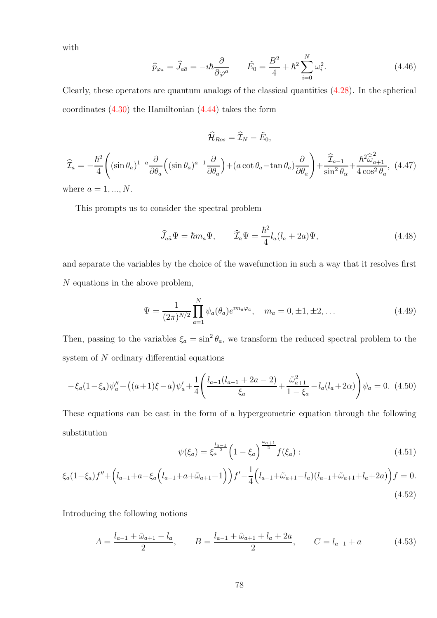with

$$
\widehat{p}_{\varphi_a} = \widehat{J}_{a\bar{a}} = -i\hbar \frac{\partial}{\partial \varphi^a} \qquad \tilde{E}_0 = \frac{B^2}{4} + \hbar^2 \sum_{i=0}^N \omega_i^2. \tag{4.46}
$$

Clearly, these operators are quantum analogs of the classical quantities [\(4.28\)](#page-73-2). In the spherical coordinates  $(4.30)$  the Hamiltonian  $(4.44)$  takes the form

$$
\widehat{\mathcal{I}}_{a} = -\frac{\hbar^{2}}{4} \Biggl( (\sin \theta_{a})^{1-a} \frac{\partial}{\partial \theta_{a}} \Bigl( (\sin \theta_{a})^{a-1} \frac{\partial}{\partial \theta_{a}} \Bigr) + (a \cot \theta_{a} - \tan \theta_{a}) \frac{\partial}{\partial \theta_{a}} \Biggr) + \frac{\widehat{\mathcal{I}}_{a-1}}{\sin^{2} \theta_{\alpha}} + \frac{\hbar^{2} \widehat{\omega}_{a+1}^{2}}{4 \cos^{2} \theta_{a}}, \tag{4.47}
$$

 $\widehat{\mathcal{H}}_{Ros} = \widehat{\mathcal{I}}_{N} - \tilde{E}_{0},$ 

where  $a = 1, ..., N$ .

This prompts us to consider the spectral problem

$$
\widehat{J}_{a\bar{a}}\Psi = \hbar m_a \Psi, \qquad \widehat{\mathcal{I}}_a\Psi = \frac{\hbar^2}{4}l_a(l_a + 2a)\Psi, \qquad (4.48)
$$

and separate the variables by the choice of the wavefunction in such a way that it resolves first N equations in the above problem,

$$
\Psi = \frac{1}{(2\pi)^{N/2}} \prod_{a=1}^{N} \psi_a(\theta_a) e^{im_a \varphi_a}, \quad m_a = 0, \pm 1, \pm 2, \dots
$$
 (4.49)

Then, passing to the variables  $\xi_a = \sin^2 \theta_a$ , we transform the reduced spectral problem to the system of  $N$  ordinary differential equations

$$
-\xi_a(1-\xi_a)\psi_a'' + \left((a+1)\xi-a\right)\psi_a' + \frac{1}{4}\left(\frac{l_{a-1}(l_{a-1}+2a-2)}{\xi_a} + \frac{\tilde{\omega}_{a+1}^2}{1-\xi_a} - l_a(l_a+2\alpha)\right)\psi_a = 0. \tag{4.50}
$$

These equations can be cast in the form of a hypergeometric equation through the following substitution

$$
\psi(\xi_a) = \xi_a^{\frac{l_{a-1}}{2}} \left( 1 - \xi_a \right)^{\frac{\omega_{a+1}}{2}} f(\xi_a) : \tag{4.51}
$$

$$
\xi_a(1-\xi_a)f'' + \left(l_{a-1} + a - \xi_a\left(l_{a-1} + a + \tilde{\omega}_{a+1} + 1\right)\right)f' - \frac{1}{4}\left(l_{a-1} + \tilde{\omega}_{a+1} - l_a\right)\left(l_{a-1} + \tilde{\omega}_{a+1} + l_a + 2a\right)f = 0.
$$
\n(4.52)

Introducing the following notions

$$
A = \frac{l_{a-1} + \tilde{\omega}_{a+1} - l_a}{2}, \qquad B = \frac{l_{a-1} + \tilde{\omega}_{a+1} + l_a + 2a}{2}, \qquad C = l_{a-1} + a \tag{4.53}
$$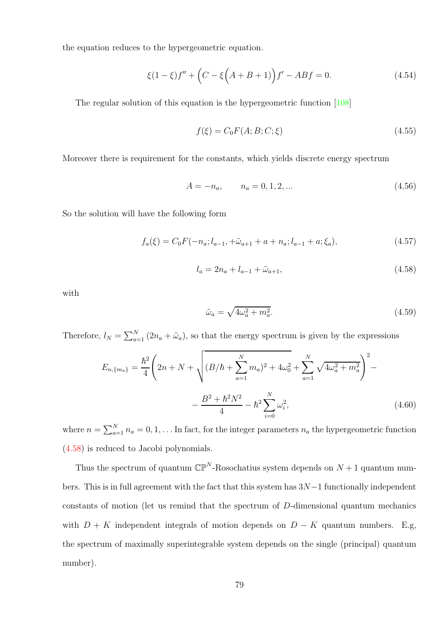the equation reduces to the hypergeometric equation.

$$
\xi(1-\xi)f'' + \left(C - \xi\left(A+B+1\right)\right)f' - ABf = 0.\tag{4.54}
$$

The regular solution of this equation is the hypergeometric function [\[108\]](#page-109-0)

$$
f(\xi) = C_0 F(A; B; C; \xi)
$$
\n(4.55)

Moreover there is requirement for the constants, which yields discrete energy spectrum

$$
A = -n_a, \qquad n_a = 0, 1, 2, \dots \tag{4.56}
$$

So the solution will have the following form

$$
f_a(\xi) = C_0 F(-n_a; l_{a-1}, +\tilde{\omega}_{a+1} + a + n_a; l_{a-1} + a; \xi_a),
$$
\n(4.57)

<span id="page-78-0"></span>
$$
l_a = 2n_a + l_{a-1} + \tilde{\omega}_{a+1},\tag{4.58}
$$

with

$$
\tilde{\omega}_a = \sqrt{4\omega_a^2 + m_a^2}.\tag{4.59}
$$

Therefore,  $l_N = \sum_{a=1}^N (2n_a + \tilde{\omega}_a)$ , so that the energy spectrum is given by the expressions

$$
E_{n,\{m_a\}} = \frac{\hbar^2}{4} \left( 2n + N + \sqrt{(B/\hbar + \sum_{a=1}^{N} m_a)^2 + 4\omega_0^2} + \sum_{a=1}^{N} \sqrt{4\omega_a^2 + m_a^2} \right)^2 - \frac{B^2 + \hbar^2 N^2}{4} - \hbar^2 \sum_{i=0}^{N} \omega_i^2,
$$
\n(4.60)

where  $n = \sum_{a=1}^{N} n_a = 0, 1, \ldots$  In fact, for the integer parameters  $n_a$  the hypergeometric function [\(4.58\)](#page-78-0) is reduced to Jacobi polynomials.

Thus the spectrum of quantum  $\mathbb{CP}^N$ -Rosochatius system depends on  $N+1$  quantum numbers. This is in full agreement with the fact that this system has 3N−1 functionally independent constants of motion (let us remind that the spectrum of D-dimensional quantum mechanics with  $D + K$  independent integrals of motion depends on  $D - K$  quantum numbers. E.g, the spectrum of maximally superintegrable system depends on the single (principal) quantum number).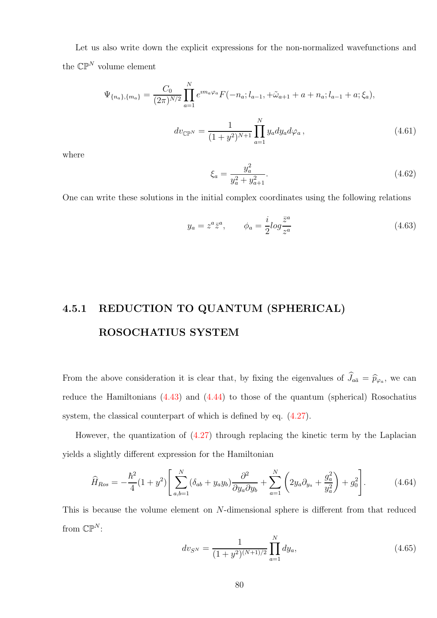Let us also write down the explicit expressions for the non-normalized wavefunctions and the  $\mathbb{CP}^N$  volume element

$$
\Psi_{\{n_a\},\{m_a\}} = \frac{C_0}{(2\pi)^{N/2}} \prod_{a=1}^N e^{im_a \varphi_a} F(-n_a; l_{a-1}, +\tilde{\omega}_{a+1} + a + n_a; l_{a-1} + a; \xi_a),
$$

$$
dv_{\mathbb{CP}^N} = \frac{1}{(1+y^2)^{N+1}} \prod_{a=1}^N y_a dy_a d\varphi_a, \qquad (4.61)
$$

where

<span id="page-79-1"></span>
$$
\xi_a = \frac{y_a^2}{y_a^2 + y_{a+1}^2}.\tag{4.62}
$$

One can write these solutions in the initial complex coordinates using the following relations

$$
y_a = z^a \bar{z}^a, \qquad \phi_a = \frac{i}{2} \log \frac{\bar{z}^a}{z^a}
$$
\n
$$
(4.63)
$$

## 4.5.1 REDUCTION TO QUANTUM (SPHERICAL) ROSOCHATIUS SYSTEM

From the above consideration it is clear that, by fixing the eigenvalues of  $J_{a\bar{a}} = \hat{p}_{\varphi_a}$ , we can reduce the Hamiltonians  $(4.43)$  and  $(4.44)$  to those of the quantum (spherical) Rosochatius system, the classical counterpart of which is defined by eq.  $(4.27)$ .

However, the quantization of  $(4.27)$  through replacing the kinetic term by the Laplacian yields a slightly different expression for the Hamiltonian

<span id="page-79-0"></span>
$$
\widehat{H}_{Ros} = -\frac{\hbar^2}{4}(1+y^2) \left[ \sum_{a,b=1}^{N} (\delta_{ab} + y_a y_b) \frac{\partial^2}{\partial y_a \partial y_b} + \sum_{a=1}^{N} \left( 2y_a \partial_{y_a} + \frac{g_a^2}{y_a^2} \right) + g_0^2 \right].
$$
\n(4.64)

This is because the volume element on N-dimensional sphere is different from that reduced from  $\mathbb{CP}^N$ :

$$
dv_{S^N} = \frac{1}{(1+y^2)^{(N+1)/2}} \prod_{a=1}^N dy_a,
$$
\n(4.65)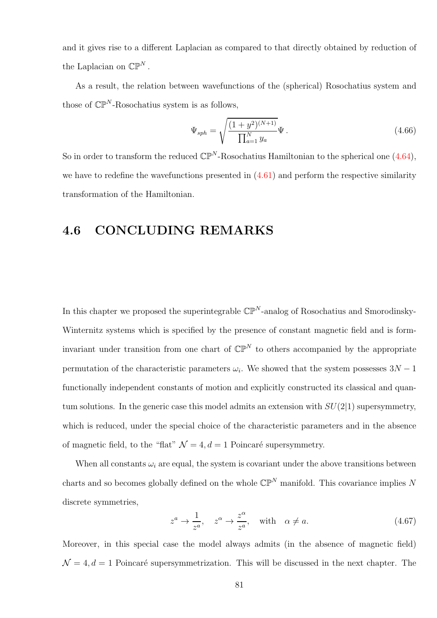and it gives rise to a different Laplacian as compared to that directly obtained by reduction of the Laplacian on  $\mathbb{CP}^N$ .

As a result, the relation between wavefunctions of the (spherical) Rosochatius system and those of  $\mathbb{CP}^N$ -Rosochatius system is as follows,

$$
\Psi_{sph} = \sqrt{\frac{(1+y^2)^{(N+1)}}{\prod_{a=1}^{N} y_a}} \Psi.
$$
\n(4.66)

So in order to transform the reduced  $\mathbb{CP}^N$ -Rosochatius Hamiltonian to the spherical one [\(4.64\)](#page-79-0), we have to redefine the wavefunctions presented in  $(4.61)$  and perform the respective similarity transformation of the Hamiltonian.

#### 4.6 CONCLUDING REMARKS

In this chapter we proposed the superintegrable  $\mathbb{CP}^N$ -analog of Rosochatius and Smorodinsky-Winternitz systems which is specified by the presence of constant magnetic field and is forminvariant under transition from one chart of  $\mathbb{CP}^N$  to others accompanied by the appropriate permutation of the characteristic parameters  $\omega_i$ . We showed that the system possesses  $3N - 1$ functionally independent constants of motion and explicitly constructed its classical and quantum solutions. In the generic case this model admits an extension with  $SU(2|1)$  supersymmetry, which is reduced, under the special choice of the characteristic parameters and in the absence of magnetic field, to the "flat"  $\mathcal{N} = 4, d = 1$  Poincaré supersymmetry.

When all constants  $\omega_i$  are equal, the system is covariant under the above transitions between charts and so becomes globally defined on the whole  $\mathbb{CP}^N$  manifold. This covariance implies N discrete symmetries,

$$
z^a \to \frac{1}{z^a}, \quad z^\alpha \to \frac{z^\alpha}{z^a}, \quad \text{with} \quad \alpha \neq a.
$$
 (4.67)

Moreover, in this special case the model always admits (in the absence of magnetic field)  $\mathcal{N} = 4, d = 1$  Poincaré supersymmetrization. This will be discussed in the next chapter. The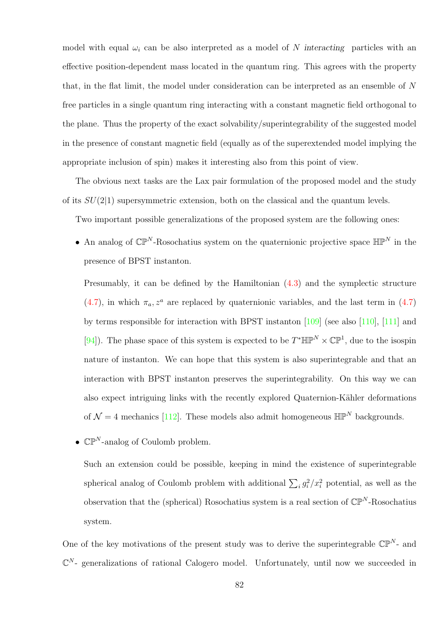model with equal  $\omega_i$  can be also interpreted as a model of N interacting particles with an effective position-dependent mass located in the quantum ring. This agrees with the property that, in the flat limit, the model under consideration can be interpreted as an ensemble of  $N$ free particles in a single quantum ring interacting with a constant magnetic field orthogonal to the plane. Thus the property of the exact solvability/superintegrability of the suggested model in the presence of constant magnetic field (equally as of the superextended model implying the appropriate inclusion of spin) makes it interesting also from this point of view.

The obvious next tasks are the Lax pair formulation of the proposed model and the study of its  $SU(2|1)$  supersymmetric extension, both on the classical and the quantum levels.

Two important possible generalizations of the proposed system are the following ones:

• An analog of  $\mathbb{CP}^N$ -Rosochatius system on the quaternionic projective space  $\mathbb{HP}^N$  in the presence of BPST instanton.

Presumably, it can be defined by the Hamiltonian [\(4.3\)](#page-68-0) and the symplectic structure  $(4.7)$ , in which  $\pi_a$ ,  $z^a$  are replaced by quaternionic variables, and the last term in  $(4.7)$ by terms responsible for interaction with BPST instanton [\[109\]](#page-109-1) (see also [\[110\]](#page-109-2), [\[111\]](#page-109-3) and [\[94\]](#page-108-0)). The phase space of this system is expected to be  $T^* \mathbb{HP}^N \times \mathbb{CP}^1$ , due to the isospin nature of instanton. We can hope that this system is also superintegrable and that an interaction with BPST instanton preserves the superintegrability. On this way we can also expect intriguing links with the recently explored Quaternion-Kähler deformations of  $\mathcal{N}=4$  mechanics [\[112\]](#page-109-4). These models also admit homogeneous  $\mathbb{HP}^N$  backgrounds.

•  $\mathbb{CP}^N$ -analog of Coulomb problem.

Such an extension could be possible, keeping in mind the existence of superintegrable spherical analog of Coulomb problem with additional  $\sum_i g_i^2 / x_i^2$  potential, as well as the observation that the (spherical) Rosochatius system is a real section of  $\mathbb{CP}^N$ -Rosochatius system.

One of the key motivations of the present study was to derive the superintegrable  $\mathbb{CP}^{N}$ - and  $\mathbb{C}^N$ - generalizations of rational Calogero model. Unfortunately, until now we succeeded in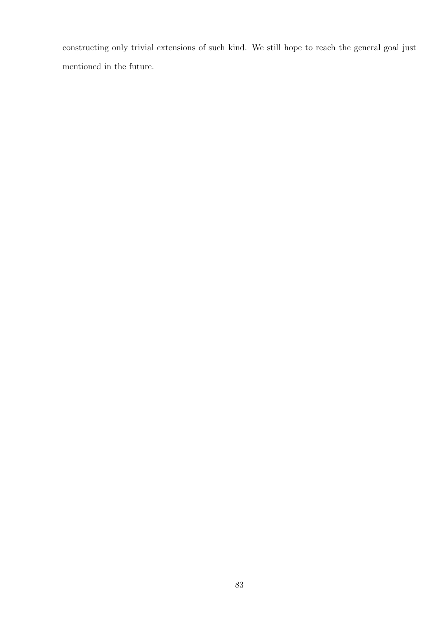constructing only trivial extensions of such kind. We still hope to reach the general goal just mentioned in the future.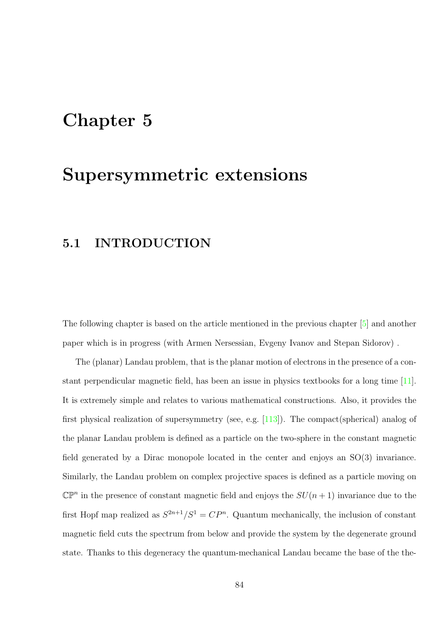## Chapter 5

## Supersymmetric extensions

#### 5.1 INTRODUCTION

The following chapter is based on the article mentioned in the previous chapter [\[5\]](#page-100-0) and another paper which is in progress (with Armen Nersessian, Evgeny Ivanov and Stepan Sidorov) .

The (planar) Landau problem, that is the planar motion of electrons in the presence of a constant perpendicular magnetic field, has been an issue in physics textbooks for a long time [\[11\]](#page-101-0). It is extremely simple and relates to various mathematical constructions. Also, it provides the first physical realization of supersymmetry (see, e.g. [\[113\]](#page-109-5)). The compact(spherical) analog of the planar Landau problem is defined as a particle on the two-sphere in the constant magnetic field generated by a Dirac monopole located in the center and enjoys an SO(3) invariance. Similarly, the Landau problem on complex projective spaces is defined as a particle moving on  $\mathbb{CP}^n$  in the presence of constant magnetic field and enjoys the  $SU(n+1)$  invariance due to the first Hopf map realized as  $S^{2n+1}/S^1 = CP^n$ . Quantum mechanically, the inclusion of constant magnetic field cuts the spectrum from below and provide the system by the degenerate ground state. Thanks to this degeneracy the quantum-mechanical Landau became the base of the the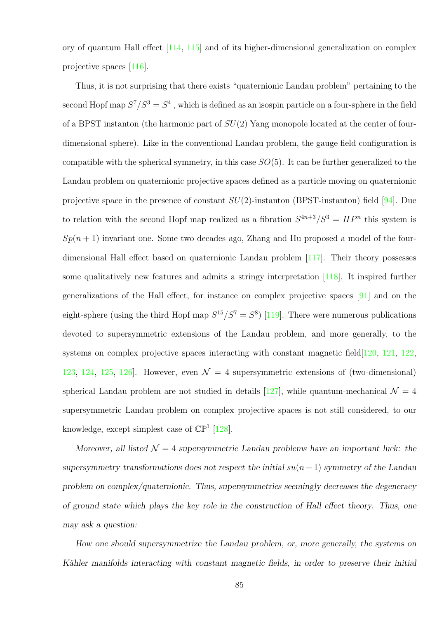ory of quantum Hall effect [\[114,](#page-110-0) [115\]](#page-110-1) and of its higher-dimensional generalization on complex projective spaces [\[116\]](#page-110-2).

Thus, it is not surprising that there exists "quaternionic Landau problem" pertaining to the second Hopf map  $S^7/S^3 = S^4$ , which is defined as an isospin particle on a four-sphere in the field of a BPST instanton (the harmonic part of  $SU(2)$  Yang monopole located at the center of fourdimensional sphere). Like in the conventional Landau problem, the gauge field configuration is compatible with the spherical symmetry, in this case  $SO(5)$ . It can be further generalized to the Landau problem on quaternionic projective spaces defined as a particle moving on quaternionic projective space in the presence of constant  $SU(2)$ -instanton (BPST-instanton) field [\[94\]](#page-108-0). Due to relation with the second Hopf map realized as a fibration  $S^{4n+3}/S^3 = HP^n$  this system is  $Sp(n + 1)$  invariant one. Some two decades ago, Zhang and Hu proposed a model of the fourdimensional Hall effect based on quaternionic Landau problem [\[117\]](#page-110-3). Their theory possesses some qualitatively new features and admits a stringy interpretation [\[118\]](#page-110-4). It inspired further generalizations of the Hall effect, for instance on complex projective spaces [\[91\]](#page-107-0) and on the eight-sphere (using the third Hopf map  $S^{15}/S^7 = S^8$ ) [\[119\]](#page-110-5). There were numerous publications devoted to supersymmetric extensions of the Landau problem, and more generally, to the systems on complex projective spaces interacting with constant magnetic field [\[120,](#page-110-6) [121,](#page-110-7) [122,](#page-110-8) [123,](#page-110-9) [124,](#page-111-0) [125,](#page-111-1) 126. However, even  $\mathcal{N} = 4$  supersymmetric extensions of (two-dimensional) spherical Landau problem are not studied in details [\[127\]](#page-111-3), while quantum-mechanical  $\mathcal{N} = 4$ supersymmetric Landau problem on complex projective spaces is not still considered, to our knowledge, except simplest case of  $\mathbb{CP}^1$  [\[128\]](#page-111-4).

Moreover, all listed  $\mathcal{N} = 4$  supersymmetric Landau problems have an important luck: the supersymmetry transformations does not respect the initial  $su(n + 1)$  symmetry of the Landau problem on complex/quaternionic. Thus, supersymmetries seemingly decreases the degeneracy of ground state which plays the key role in the construction of Hall effect theory. Thus, one may ask a question:

How one should supersymmetrize the Landau problem, or, more generally, the systems on Kähler manifolds interacting with constant magnetic fields, in order to preserve their initial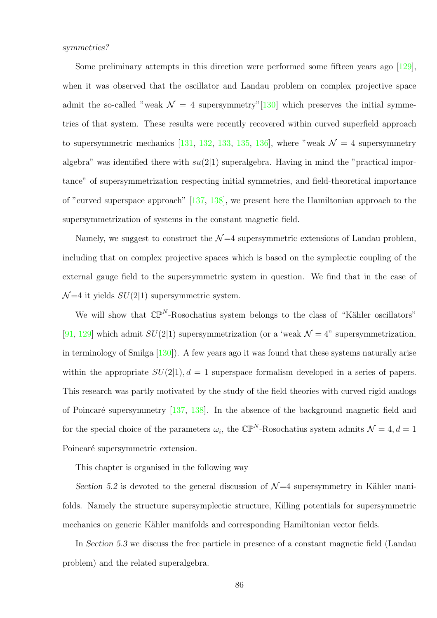symmetries?

Some preliminary attempts in this direction were performed some fifteen years ago [\[129\]](#page-111-5), when it was observed that the oscillator and Landau problem on complex projective space admit the so-called "weak  $\mathcal{N} = 4$  supersymmetry"[\[130\]](#page-111-6) which preserves the initial symmetries of that system. These results were recently recovered within curved superfield approach to supersymmetric mechanics [\[131,](#page-111-7) [132,](#page-111-8) [133,](#page-111-9) [135,](#page-112-0) [136\]](#page-112-1), where "weak  $\mathcal{N} = 4$  supersymmetry algebra" was identified there with  $su(2|1)$  superalgebra. Having in mind the "practical importance" of supersymmetrization respecting initial symmetries, and field-theoretical importance of "curved superspace approach" [\[137,](#page-112-2) [138\]](#page-112-3), we present here the Hamiltonian approach to the supersymmetrization of systems in the constant magnetic field.

Namely, we suggest to construct the  $\mathcal{N}=4$  supersymmetric extensions of Landau problem, including that on complex projective spaces which is based on the symplectic coupling of the external gauge field to the supersymmetric system in question. We find that in the case of  $\mathcal{N}=4$  it yields  $SU(2|1)$  supersymmetric system.

We will show that  $\mathbb{CP}^N$ -Rosochatius system belongs to the class of "Kähler oscillators" [\[91,](#page-107-0) [129\]](#page-111-5) which admit  $SU(2|1)$  supersymmetrization (or a 'weak  $\mathcal{N}=4$ " supersymmetrization, in terminology of Smilga [\[130\]](#page-111-6)). A few years ago it was found that these systems naturally arise within the appropriate  $SU(2|1)$ ,  $d=1$  superspace formalism developed in a series of papers. This research was partly motivated by the study of the field theories with curved rigid analogs of Poincaré supersymmetry  $[137, 138]$  $[137, 138]$ . In the absence of the background magnetic field and for the special choice of the parameters  $\omega_i$ , the  $\mathbb{CP}^N$ -Rosochatius system admits  $\mathcal{N} = 4, d = 1$ Poincaré supersymmetric extension.

This chapter is organised in the following way

Section 5.2 is devoted to the general discussion of  $\mathcal{N}=4$  supersymmetry in Kähler manifolds. Namely the structure supersymplectic structure, Killing potentials for supersymmetric mechanics on generic Kähler manifolds and corresponding Hamiltonian vector fields.

In Section 5.3 we discuss the free particle in presence of a constant magnetic field (Landau problem) and the related superalgebra.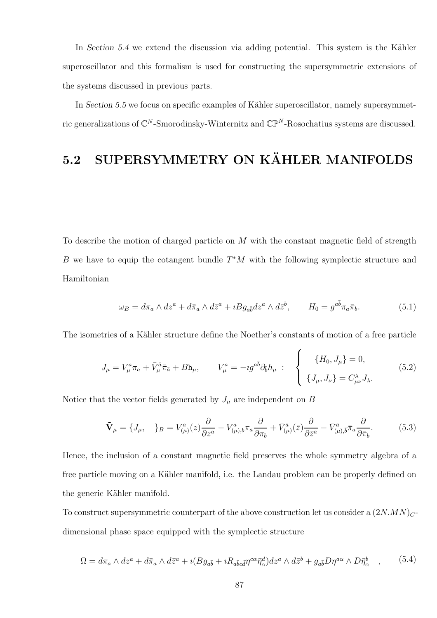In Section 5.4 we extend the discussion via adding potential. This system is the Kähler superoscillator and this formalism is used for constructing the supersymmetric extensions of the systems discussed in previous parts.

In Section 5.5 we focus on specific examples of Kähler superoscillator, namely supersymmetric generalizations of  $\mathbb{C}^N$ -Smorodinsky-Winternitz and  $\mathbb{CP}^N$ -Rosochatius systems are discussed.

## 5.2 SUPERSYMMETRY ON KÄHLER MANIFOLDS

To describe the motion of charged particle on M with the constant magnetic field of strength B we have to equip the cotangent bundle  $T^*M$  with the following symplectic structure and Hamiltonian

<span id="page-86-3"></span>
$$
\omega_B = d\pi_a \wedge dz^a + d\bar{\pi}_a \wedge d\bar{z}^a + iBg_{a\bar{b}}dz^a \wedge d\bar{z}^b, \qquad H_0 = g^{a\bar{b}}\pi_a\bar{\pi}_b.
$$
 (5.1)

The isometries of a Kähler structure define the Noether's constants of motion of a free particle

<span id="page-86-2"></span>
$$
J_{\mu} = V_{\mu}^{a} \pi_{a} + \bar{V}_{\mu}^{\bar{a}} \bar{\pi}_{\bar{a}} + B \mathbf{h}_{\mu}, \qquad V_{\mu}^{a} = -ig^{a\bar{b}} \partial_{\bar{b}} h_{\mu} : \begin{cases} \{H_{0}, J_{\mu}\} = 0, \\ \{J_{\mu}, J_{\nu}\} = C_{\mu\nu}^{\lambda} J_{\lambda}. \end{cases} (5.2)
$$

Notice that the vector fields generated by  $J_{\mu}$  are independent on B

<span id="page-86-1"></span>
$$
\tilde{\mathbf{V}}_{\mu} = \{J_{\mu}, \quad\}_{B} = V^{a}_{(\mu)}(z)\frac{\partial}{\partial z^{a}} - V^{a}_{(\mu),b}\pi_{a}\frac{\partial}{\partial \pi_{b}} + \bar{V}^{\bar{a}}_{(\mu)}(\bar{z})\frac{\partial}{\partial \bar{z}^{a}} - \bar{V}^{\bar{a}}_{(\mu),\bar{b}}\bar{\pi}_{a}\frac{\partial}{\partial \bar{\pi}_{b}}.
$$
(5.3)

Hence, the inclusion of a constant magnetic field preserves the whole symmetry algebra of a free particle moving on a Kähler manifold, i.e. the Landau problem can be properly defined on the generic Kähler manifold.

To construct supersymmetric counterpart of the above construction let us consider a  $(2N MN)_{C}$ dimensional phase space equipped with the symplectic structure

<span id="page-86-0"></span>
$$
\Omega = d\pi_a \wedge dz^a + d\bar{\pi}_a \wedge d\bar{z}^a + \imath (Bg_{a\bar{b}} + \imath R_{a\bar{b}c\bar{d}}\eta^{c\alpha}\bar{\eta}^d_{\alpha}) dz^a \wedge d\bar{z}^b + g_{a\bar{b}}D\eta^{a\alpha} \wedge D\bar{\eta}^b_{\alpha} \quad , \tag{5.4}
$$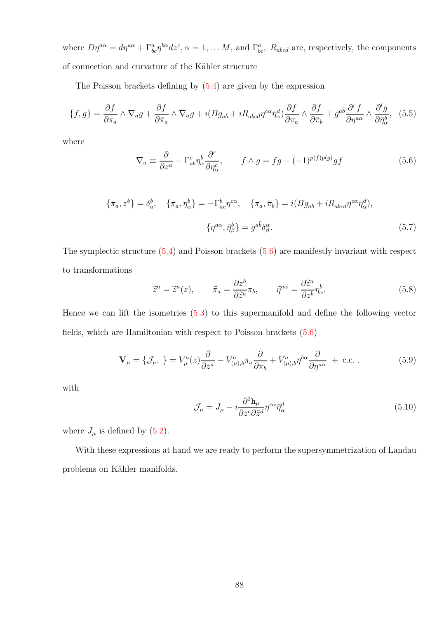where  $D\eta^{a\alpha} = d\eta^{a\alpha} + \Gamma^a_{bc}\eta^{b\alpha}dz^c$ ,  $\alpha = 1, \ldots M$ , and  $\Gamma^a_{bc}$ ,  $R_{a\bar{b}c\bar{d}}$  are, respectively, the components of connection and curvature of the Kähler structure

The Poisson brackets defining by [\(5.4\)](#page-86-0) are given by the expression

$$
\{f,g\} = \frac{\partial f}{\partial \pi_a} \wedge \nabla_a g + \frac{\partial f}{\partial \bar{\pi}_a} \wedge \bar{\nabla}_a g + \iota (Bg_{a\bar{b}} + \iota R_{a\bar{b}c\bar{d}} \eta^{c\alpha} \bar{\eta}^d_{\alpha}) \frac{\partial f}{\partial \pi_a} \wedge \frac{\partial f}{\partial \bar{\pi}_b} + g^{a\bar{b}} \frac{\partial^r f}{\partial \eta^{a\alpha}} \wedge \frac{\partial^l g}{\partial \bar{\eta}^b_{\alpha}}, \tag{5.5}
$$

where

<span id="page-87-0"></span>
$$
\nabla_a \equiv \frac{\partial}{\partial z^a} - \Gamma^c_{ab} \eta^b_\alpha \frac{\partial^r}{\partial \eta^c_\alpha}, \qquad f \wedge g = fg - (-1)^{p(f)p(g)} gf \tag{5.6}
$$

$$
\{\pi_a, z^b\} = \delta_a^b, \quad \{\pi_a, \eta_\alpha^b\} = -\Gamma_{ac}^b \eta^{c\alpha}, \quad \{\pi_a, \bar{\pi}_b\} = i(Bg_{a\bar{b}} + iR_{a\bar{b}c\bar{d}}\eta^{c\alpha}\bar{\eta}_\alpha^d),
$$

$$
\{\eta^{a\alpha}, \bar{\eta}_\beta^b\} = g^{a\bar{b}}\delta_\beta^\alpha. \tag{5.7}
$$

The symplectic structure [\(5.4\)](#page-86-0) and Poisson brackets [\(5.6\)](#page-87-0) are manifestly invariant with respect to transformations

$$
\tilde{z}^a = \tilde{z}^a(z), \qquad \tilde{\pi}_a = \frac{\partial z^b}{\partial \tilde{z}^a} \pi_b, \qquad \tilde{\eta}^{a\alpha} = \frac{\partial \tilde{z}^a}{\partial z^b} \eta^b_\alpha.
$$
 (5.8)

Hence we can lift the isometries [\(5.3\)](#page-86-1) to this supermanifold and define the following vector fields, which are Hamiltonian with respect to Poisson brackets [\(5.6\)](#page-87-0)

<span id="page-87-1"></span>
$$
\mathbf{V}_{\mu} = \{ \mathcal{J}_{\mu}, \} = V_{\mu}^{a}(z) \frac{\partial}{\partial z^{a}} - V_{(\mu),b}^{a} \pi_{a} \frac{\partial}{\partial \pi_{b}} + V_{(\mu),b}^{a} \eta^{b\alpha} \frac{\partial}{\partial \eta^{a\alpha}} + \text{c.c.} ,
$$
 (5.9)

with

$$
\mathcal{J}_{\mu} = J_{\mu} - i \frac{\partial^2 \mathbf{h}_{\mu}}{\partial z^c \partial \bar{z}^d} \eta^{c\alpha} \bar{\eta}^d_{\alpha} \tag{5.10}
$$

where  $J_{\mu}$  is defined by [\(5.2\)](#page-86-2).

With these expressions at hand we are ready to perform the supersymmetrization of Landau problems on Kähler manifolds.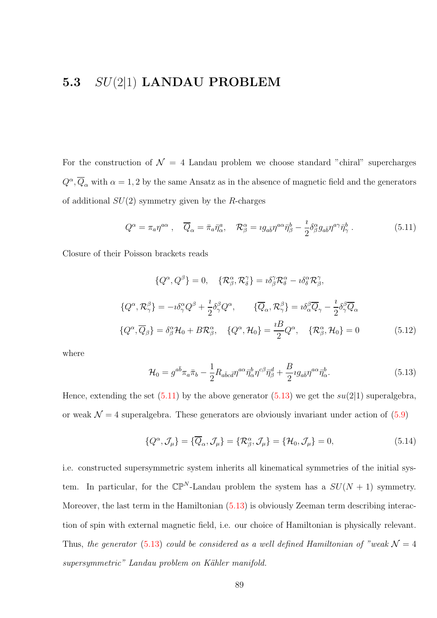#### 5.3  $SU(2|1)$  LANDAU PROBLEM

For the construction of  $\mathcal{N} = 4$  Landau problem we choose standard "chiral" supercharges  $Q^{\alpha}, \overline{Q}_{\alpha}$  with  $\alpha = 1, 2$  by the same Ansatz as in the absence of magnetic field and the generators of additional  $SU(2)$  symmetry given by the R-charges

<span id="page-88-0"></span>
$$
Q^{\alpha} = \pi_a \eta^{a\alpha} , \quad \overline{Q}_{\alpha} = \bar{\pi}_a \bar{\eta}^a_{\alpha} , \quad \mathcal{R}^{\alpha}_{\beta} = i g_{a\bar{b}} \eta^{a\alpha} \bar{\eta}^b_{\beta} - \frac{i}{2} \delta^{\alpha}_{\beta} g_{a\bar{b}} \eta^{a\gamma} \bar{\eta}^b_{\gamma} . \tag{5.11}
$$

Closure of their Poisson brackets reads

$$
\{Q^{\alpha}, Q^{\beta}\} = 0, \quad \{\mathcal{R}^{\alpha}_{\beta}, \mathcal{R}^{\gamma}_{\delta}\} = i\delta^{\gamma}_{\beta} \mathcal{R}^{\alpha}_{\delta} - i\delta^{\alpha}_{\delta} \mathcal{R}^{\gamma}_{\beta},
$$
  

$$
\{Q^{\alpha}, \mathcal{R}^{\beta}_{\gamma}\} = -i\delta^{\alpha}_{\gamma} Q^{\beta} + \frac{i}{2} \delta^{\beta}_{\gamma} Q^{\alpha}, \qquad \{\overline{Q}_{\alpha}, \mathcal{R}^{\beta}_{\gamma}\} = i\delta^{\beta}_{\alpha} \overline{Q}_{\gamma} - \frac{i}{2} \delta^{\beta}_{\gamma} \overline{Q}_{\alpha}
$$
  

$$
\{Q^{\alpha}, \overline{Q}_{\beta}\} = \delta^{\alpha}_{\beta} \mathcal{H}_{0} + B \mathcal{R}^{\alpha}_{\beta}, \quad \{Q^{\alpha}, \mathcal{H}_{0}\} = \frac{iB}{2} Q^{\alpha}, \quad \{\mathcal{R}^{\alpha}_{\beta}, \mathcal{H}_{0}\} = 0
$$
(5.12)

where

<span id="page-88-1"></span>
$$
\mathcal{H}_0 = g^{a\bar{b}}\pi_a \bar{\pi}_b - \frac{1}{2} R_{a\bar{b}c\bar{d}} \eta^{a\alpha} \bar{\eta}^b_{\alpha} \eta^{c\beta} \bar{\eta}^d_{\beta} + \frac{B}{2} i g_{a\bar{b}} \eta^{a\alpha} \bar{\eta}^b_{\alpha}.
$$
\n(5.13)

Hence, extending the set  $(5.11)$  by the above generator  $(5.13)$  we get the  $su(2|1)$  superalgebra, or weak  $\mathcal{N} = 4$  superalgebra. These generators are obviously invariant under action of [\(5.9\)](#page-87-1)

$$
\{Q^{\alpha}, \mathcal{J}_{\mu}\} = \{\overline{Q}_{\alpha}, \mathcal{J}_{\mu}\} = \{\mathcal{R}_{\beta}^{\alpha}, \mathcal{J}_{\mu}\} = \{\mathcal{H}_{0}, \mathcal{J}_{\mu}\} = 0, \tag{5.14}
$$

i.e. constructed supersymmetric system inherits all kinematical symmetries of the initial system. In particular, for the  $\mathbb{CP}^N$ -Landau problem the system has a  $SU(N + 1)$  symmetry. Moreover, the last term in the Hamiltonian [\(5.13\)](#page-88-1) is obviously Zeeman term describing interaction of spin with external magnetic field, i.e. our choice of Hamiltonian is physically relevant. Thus, the generator [\(5.13\)](#page-88-1) could be considered as a well defined Hamiltonian of "weak  $\mathcal{N} = 4$ supersymmetric" Landau problem on Kähler manifold.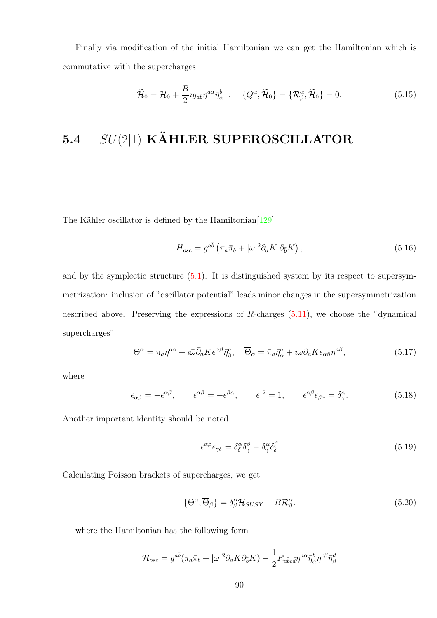Finally via modification of the initial Hamiltonian we can get the Hamiltonian which is commutative with the supercharges

$$
\widetilde{\mathcal{H}}_0 = \mathcal{H}_0 + \frac{B}{2} i g_{a\bar{b}} \eta^{a\alpha} \overline{\eta}^b_{\alpha} : \quad \{Q^{\alpha}, \widetilde{\mathcal{H}}_0\} = \{\mathcal{R}^{\alpha}_{\beta}, \widetilde{\mathcal{H}}_0\} = 0. \tag{5.15}
$$

## 5.4  $SU(2|1)$  KÄHLER SUPEROSCILLATOR

The Kähler oscillator is defined by the Hamiltonian<sup>[\[129\]](#page-111-5)</sup>

$$
H_{osc} = g^{a\bar{b}} \left( \pi_a \bar{\pi}_b + |\omega|^2 \partial_a K \partial_{\bar{b}} K \right), \qquad (5.16)
$$

and by the symplectic structure [\(5.1\)](#page-86-3). It is distinguished system by its respect to supersymmetrization: inclusion of "oscillator potential" leads minor changes in the supersymmetrization described above. Preserving the expressions of  $R$ -charges  $(5.11)$ , we choose the "dynamical" supercharges"

$$
\Theta^{\alpha} = \pi_a \eta^{a\alpha} + i\bar{\omega}\bar{\partial}_a K \epsilon^{\alpha\beta} \bar{\eta}^a_{\beta}, \quad \overline{\Theta}_{\alpha} = \bar{\pi}_a \bar{\eta}^a_{\alpha} + i\omega \partial_a K \epsilon_{\alpha\beta} \eta^{a\beta}, \tag{5.17}
$$

where

$$
\overline{\epsilon_{\alpha\beta}} = -\epsilon^{\alpha\beta}, \qquad \epsilon^{\alpha\beta} = -\epsilon^{\beta\alpha}, \qquad \epsilon^{12} = 1, \qquad \epsilon^{\alpha\beta}\epsilon_{\beta\gamma} = \delta^{\alpha}_{\gamma}.
$$
 (5.18)

Another important identity should be noted.

$$
\epsilon^{\alpha\beta}\epsilon_{\gamma\delta} = \delta^{\alpha}_{\delta}\delta^{\beta}_{\gamma} - \delta^{\alpha}_{\gamma}\delta^{\beta}_{\delta} \tag{5.19}
$$

Calculating Poisson brackets of supercharges, we get

$$
\{\Theta^{\alpha}, \overline{\Theta}_{\beta}\} = \delta^{\alpha}_{\beta} \mathcal{H}_{SUSY} + B \mathcal{R}^{\alpha}_{\beta}.
$$
\n(5.20)

where the Hamiltonian has the following form

$$
\mathcal{H}_{osc} = g^{a\bar{b}}(\pi_a \bar{\pi}_b + |\omega|^2 \partial_a K \partial_{\bar{b}} K) - \frac{1}{2} R_{a\bar{b}c\bar{d}} \eta^{a\alpha} \bar{\eta}^b_{\alpha} \eta^{c\beta} \bar{\eta}^d_{\beta}
$$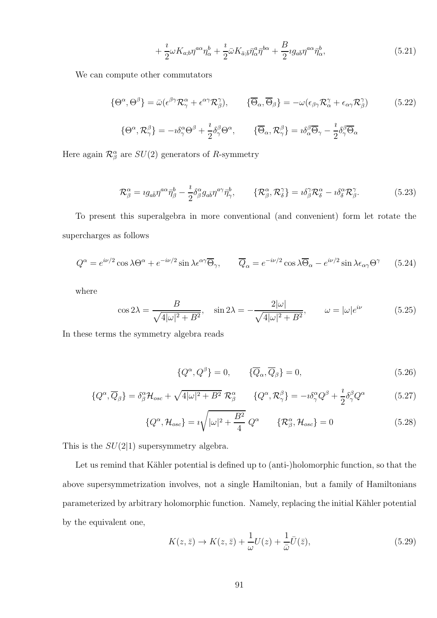$$
+\frac{\imath}{2}\omega K_{a;b}\eta^{a\alpha}\eta^{b}_{\alpha}+\frac{\imath}{2}\bar{\omega}K_{\bar{a};\bar{b}}\bar{\eta}^{a}_{\alpha}\bar{\eta}^{b\alpha}+\frac{B}{2}\imath g_{a\bar{b}}\eta^{a\alpha}\bar{\eta}^{b}_{\alpha},\tag{5.21}
$$

We can compute other commutators

$$
\{\Theta^{\alpha}, \Theta^{\beta}\} = \bar{\omega}(\epsilon^{\beta\gamma}\mathcal{R}_{\gamma}^{\alpha} + \epsilon^{\alpha\gamma}\mathcal{R}_{\beta}^{\gamma}), \qquad \{\overline{\Theta}_{\alpha}, \overline{\Theta}_{\beta}\} = -\omega(\epsilon_{\beta\gamma}\mathcal{R}_{\alpha}^{\gamma} + \epsilon_{\alpha\gamma}\mathcal{R}_{\beta}^{\gamma})
$$
(5.22)

$$
\{\Theta^{\alpha},\mathcal{R}_{\gamma}^{\beta}\}=-\imath\delta_{\gamma}^{\alpha}\Theta^{\beta}+\frac{\imath}{2}\delta_{\gamma}^{\beta}\Theta^{\alpha},\t\qquad\t\{\overline{\Theta}_{\alpha},\mathcal{R}_{\gamma}^{\beta}\}=\imath\delta_{\alpha}^{\beta}\overline{\Theta}_{\gamma}-\frac{\imath}{2}\delta_{\gamma}^{\beta}\overline{\Theta}_{\alpha}
$$

Here again  $\mathcal{R}^{\alpha}_{\beta}$  are  $SU(2)$  generators of R-symmetry

$$
\mathcal{R}_{\beta}^{\alpha} = i g_{a\bar{b}} \eta^{a\alpha} \bar{\eta}_{\beta}^{b} - \frac{i}{2} \delta^{\alpha}_{\beta} g_{a\bar{b}} \eta^{a\gamma} \bar{\eta}_{\gamma}^{b}, \qquad \{\mathcal{R}_{\beta}^{\alpha}, \mathcal{R}_{\delta}^{\gamma}\} = i \delta^{\gamma}_{\beta} \mathcal{R}_{\delta}^{\alpha} - i \delta^{\alpha}_{\delta} \mathcal{R}_{\beta}^{\gamma}.
$$
 (5.23)

To present this superalgebra in more conventional (and convenient) form let rotate the supercharges as follows

$$
Q^{\alpha} = e^{i\nu/2} \cos \lambda \Theta^{\alpha} + e^{-i\nu/2} \sin \lambda \epsilon^{\alpha \gamma} \overline{\Theta}_{\gamma}, \qquad \overline{Q}_{\alpha} = e^{-i\nu/2} \cos \lambda \overline{\Theta}_{\alpha} - e^{i\nu/2} \sin \lambda \epsilon_{\alpha \gamma} \Theta^{\gamma} \qquad (5.24)
$$

where

$$
\cos 2\lambda = \frac{B}{\sqrt{4|\omega|^2 + B^2}}, \quad \sin 2\lambda = -\frac{2|\omega|}{\sqrt{4|\omega|^2 + B^2}}, \qquad \omega = |\omega|e^{i\nu} \tag{5.25}
$$

In these terms the symmetry algebra reads

$$
\{Q^{\alpha}, Q^{\beta}\} = 0, \qquad \{\overline{Q}_{\alpha}, \overline{Q}_{\beta}\} = 0, \tag{5.26}
$$

$$
\{Q^{\alpha}, \overline{Q}_{\beta}\} = \delta^{\alpha}_{\beta} \mathcal{H}_{osc} + \sqrt{4|\omega|^2 + B^2} \mathcal{R}^{\alpha}_{\beta} \qquad \{Q^{\alpha}, \mathcal{R}^{\beta}_{\gamma}\} = -i\delta^{\alpha}_{\gamma} Q^{\beta} + \frac{i}{2} \delta^{\beta}_{\gamma} Q^{\alpha} \qquad (5.27)
$$

$$
\{Q^{\alpha}, \mathcal{H}_{osc}\} = i\sqrt{|\omega|^2 + \frac{B^2}{4}} Q^{\alpha} \qquad \{\mathcal{R}^{\alpha}_{\beta}, \mathcal{H}_{osc}\} = 0 \qquad (5.28)
$$

This is the  $SU(2|1)$  supersymmetry algebra.

Let us remind that Kähler potential is defined up to (anti-)holomorphic function, so that the above supersymmetrization involves, not a single Hamiltonian, but a family of Hamiltonians parameterized by arbitrary holomorphic function. Namely, replacing the initial Kähler potential by the equivalent one,

$$
K(z,\bar{z}) \to K(z,\bar{z}) + \frac{1}{\omega}U(z) + \frac{1}{\bar{\omega}}\bar{U}(\bar{z}),\tag{5.29}
$$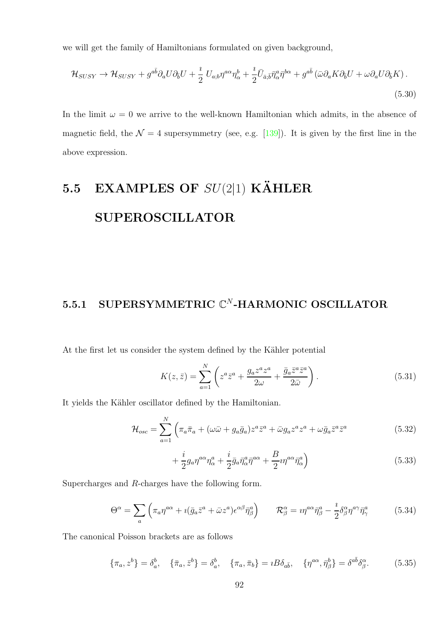we will get the family of Hamiltonians formulated on given background,

$$
\mathcal{H}_{SUSY} \to \mathcal{H}_{SUSY} + g^{a\bar{b}} \partial_a U \partial_{\bar{b}} U + \frac{\imath}{2} U_{a;b} \eta^{a\alpha} \eta^b_{\alpha} + \frac{\imath}{2} \bar{U}_{\bar{a};\bar{b}} \bar{\eta}^a_{\alpha} \bar{\eta}^{b\alpha} + g^{a\bar{b}} \left( \bar{\omega} \partial_a K \partial_{\bar{b}} U + \omega \partial_a U \partial_{\bar{b}} K \right).
$$
\n
$$
(5.30)
$$

In the limit  $\omega = 0$  we arrive to the well-known Hamiltonian which admits, in the absence of magnetic field, the  $\mathcal{N} = 4$  supersymmetry (see, e.g. [\[139\]](#page-112-4)). It is given by the first line in the above expression.

# 5.5 EXAMPLES OF  $SU(2|1)$  KÄHLER SUPEROSCILLATOR

#### 5.5.1 SUPERSYMMETRIC  $\mathbb{C}^N$ -HARMONIC OSCILLATOR

At the first let us consider the system defined by the Kähler potential

$$
K(z,\bar{z}) = \sum_{a=1}^{N} \left( z^a \bar{z}^a + \frac{g_a z^a z^a}{2\omega} + \frac{\bar{g}_a \bar{z}^a \bar{z}^a}{2\bar{\omega}} \right). \tag{5.31}
$$

It yields the Kähler oscillator defined by the Hamiltonian.

$$
\mathcal{H}_{osc} = \sum_{a=1}^{N} \left( \pi_a \bar{\pi}_a + (\omega \bar{\omega} + g_a \bar{g}_a) z^a \bar{z}^a + \bar{\omega} g_a z^a z^a + \omega \bar{g}_a \bar{z}^a \bar{z}^a \right)
$$
(5.32)

$$
+\frac{i}{2}g_a\eta^{a\alpha}\eta^a_\alpha+\frac{i}{2}\bar{g}_a\bar{\eta}^a_\alpha\bar{\eta}^{a\alpha}+\frac{B}{2}i\eta^{a\alpha}\bar{\eta}^a_\alpha\Big) \tag{5.33}
$$

Supercharges and R-charges have the following form.

$$
\Theta^{\alpha} = \sum_{a} \left( \pi_a \eta^{a\alpha} + i(\bar{g}_a \bar{z}^a + \bar{\omega} z^a) \epsilon^{\alpha \beta} \bar{\eta}^a_{\beta} \right) \qquad \mathcal{R}^{\alpha}_{\beta} = i \eta^{a\alpha} \bar{\eta}^a_{\beta} - \frac{i}{2} \delta^{\alpha}_{\beta} \eta^{a\gamma} \bar{\eta}^a_{\gamma} \tag{5.34}
$$

The canonical Poisson brackets are as follows

$$
\{\pi_a, z^b\} = \delta_a^b, \quad \{\bar{\pi}_a, \bar{z}^b\} = \delta_a^b, \quad \{\pi_a, \bar{\pi}_b\} = iB\delta_{a\bar{b}}, \quad \{\eta^{a\alpha}, \bar{\eta}^b_{\beta}\} = \delta^{a\bar{b}}\delta_\beta^\alpha. \tag{5.35}
$$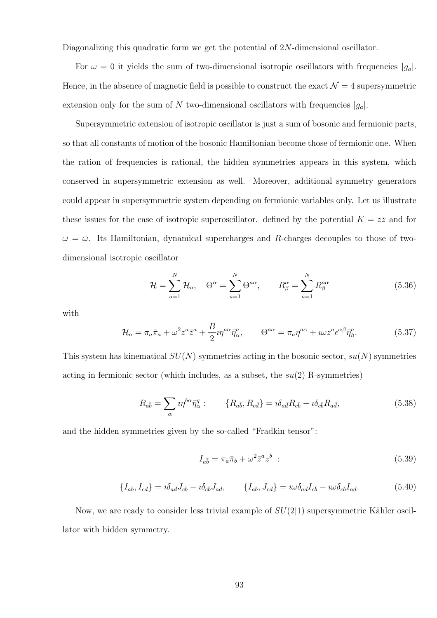Diagonalizing this quadratic form we get the potential of 2N-dimensional oscillator.

For  $\omega = 0$  it yields the sum of two-dimensional isotropic oscillators with frequencies  $|g_a|$ . Hence, in the absence of magnetic field is possible to construct the exact  $\mathcal{N}=4$  supersymmetric extension only for the sum of N two-dimensional oscillators with frequencies  $|g_a|$ .

Supersymmetric extension of isotropic oscillator is just a sum of bosonic and fermionic parts, so that all constants of motion of the bosonic Hamiltonian become those of fermionic one. When the ration of frequencies is rational, the hidden symmetries appears in this system, which conserved in supersymmetric extension as well. Moreover, additional symmetry generators could appear in supersymmetric system depending on fermionic variables only. Let us illustrate these issues for the case of isotropic superoscillator. defined by the potential  $K = z\overline{z}$  and for  $\omega = \bar{\omega}$ . Its Hamiltonian, dynamical supercharges and R-charges decouples to those of twodimensional isotropic oscillator

$$
\mathcal{H} = \sum_{a=1}^{N} \mathcal{H}_a, \quad \Theta^{\alpha} = \sum_{a=1}^{N} \Theta^{a\alpha}, \qquad R^{\alpha}_{\beta} = \sum_{a=1}^{N} R^{\alpha\alpha}_{\beta} \tag{5.36}
$$

with

$$
\mathcal{H}_a = \pi_a \bar{\pi}_a + \omega^2 z^a \bar{z}^a + \frac{B}{2} i \eta^{a\alpha} \bar{\eta}^a_\alpha, \qquad \Theta^{a\alpha} = \pi_a \eta^{a\alpha} + i \omega z^a \epsilon^{\alpha \beta} \bar{\eta}^a_\beta. \tag{5.37}
$$

This system has kinematical  $SU(N)$  symmetries acting in the bosonic sector,  $su(N)$  symmetries acting in fermionic sector (which includes, as a subset, the  $su(2)$  R-symmetries)

$$
R_{a\bar{b}} = \sum_{\alpha} i\eta^{b\alpha} \bar{\eta}^q_{\alpha} : \qquad \{R_{a\bar{b}}, R_{c\bar{d}}\} = i\delta_{a\bar{d}} R_{c\bar{b}} - i\delta_{c\bar{b}} R_{a\bar{d}}, \tag{5.38}
$$

and the hidden symmetries given by the so-called "Fradkin tensor":

$$
I_{a\bar{b}} = \pi_a \bar{\pi}_b + \omega^2 \bar{z}^a z^b \tag{5.39}
$$

$$
\{I_{a\bar{b}}, I_{c\bar{d}}\} = i\delta_{a\bar{d}}J_{c\bar{b}} - i\delta_{c\bar{b}}J_{a\bar{d}}, \qquad \{I_{a\bar{b}}, J_{c\bar{d}}\} = i\omega\delta_{a\bar{d}}I_{c\bar{b}} - i\omega\delta_{c\bar{b}}I_{a\bar{d}}.
$$
(5.40)

Now, we are ready to consider less trivial example of  $SU(2|1)$  supersymmetric Kähler oscillator with hidden symmetry.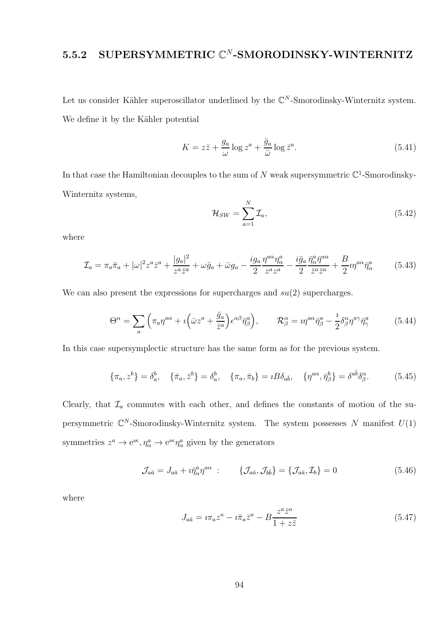#### 5.5.2 SUPERSYMMETRIC  $\mathbb{C}^N$ -SMORODINSKY-WINTERNITZ

Let us consider Kähler superoscillator underlined by the  $\mathbb{C}^N$ -Smorodinsky-Winternitz system. We define it by the Kähler potential

$$
K = z\bar{z} + \frac{g_a}{\omega} \log z^a + \frac{\bar{g}_a}{\bar{\omega}} \log \bar{z}^a.
$$
 (5.41)

In that case the Hamiltonian decouples to the sum of N weak supersymmetric  $\mathbb{C}^1$ -Smorodinsky-Winternitz systems,

$$
\mathcal{H}_{SW} = \sum_{a=1}^{N} \mathcal{I}_a,\tag{5.42}
$$

where

$$
\mathcal{I}_a = \pi_a \bar{\pi}_a + |\omega|^2 z^a \bar{z}^a + \frac{|g_a|^2}{z^a \bar{z}^a} + \omega \bar{g}_a + \bar{\omega}g_a - \frac{ig_a}{2} \frac{\eta^{a\alpha} \eta^a_{\alpha}}{z^a z^a} - \frac{i \bar{g}_a}{2} \frac{\bar{\eta}^a_{\alpha} \bar{\eta}^{a\alpha}}{\bar{z}^a \bar{z}^a} + \frac{B}{2} i \eta^{a\alpha} \bar{\eta}^a_{\alpha} \tag{5.43}
$$

We can also present the expressions for supercharges and  $su(2)$  supercharges.

$$
\Theta^{\alpha} = \sum_{a} \left( \pi_a \eta^{a\alpha} + i \left( \bar{\omega} z^a + \frac{\bar{g}_a}{\bar{z}^a} \right) \epsilon^{\alpha \beta} \bar{\eta}^a_{\beta} \right), \qquad \mathcal{R}^{\alpha}_{\beta} = i \eta^{a\alpha} \bar{\eta}^a_{\beta} - \frac{i}{2} \delta^{\alpha}_{\beta} \eta^{a\gamma} \bar{\eta}^a_{\gamma} \tag{5.44}
$$

In this case supersymplectic structure has the same form as for the previous system.

$$
\{\pi_a, z^b\} = \delta_a^b, \quad \{\bar{\pi}_a, \bar{z}^b\} = \delta_a^b, \quad \{\pi_a, \bar{\pi}_b\} = iB\delta_{a\bar{b}}, \quad \{\eta^{a\alpha}, \bar{\eta}^b_{\beta}\} = \delta^{a\bar{b}}\delta_\beta^\alpha. \tag{5.45}
$$

Clearly, that  $\mathcal{I}_a$  commutes with each other, and defines the constants of motion of the supersymmetric  $\mathbb{C}^N$ -Smorodinsky-Winternitz system. The system possesses N manifest  $U(1)$ symmetries  $z^a \to e^{i\kappa}, \eta^a_\alpha \to e^{i\kappa} \eta^a_\alpha$  given by the generators

$$
\mathcal{J}_{a\bar{a}} = J_{a\bar{a}} + i\bar{\eta}^a_{\alpha}\eta^{a\alpha} : \qquad \{\mathcal{J}_{a\bar{a}}, \mathcal{J}_{b\bar{b}}\} = \{\mathcal{J}_{a\bar{a}}, \mathcal{I}_{b}\} = 0 \tag{5.46}
$$

where

$$
J_{a\bar{a}} = i\pi_a z^a - i\bar{\pi}_a \bar{z}^a - B \frac{z^a \bar{z}^a}{1 + z\bar{z}}
$$
\n
$$
(5.47)
$$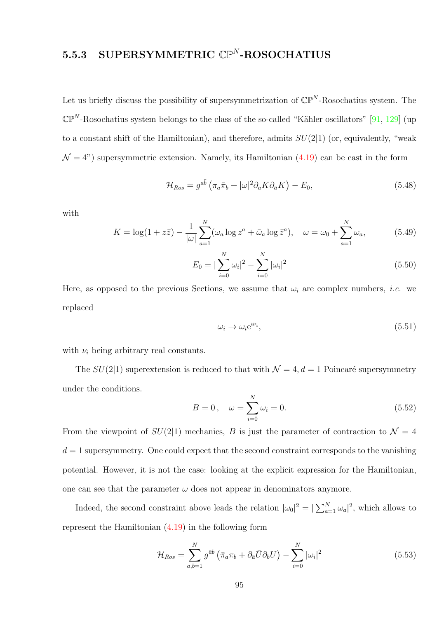#### $5.5.3$  SUPERSYMMETRIC  $\mathbb{CP}^N$ -ROSOCHATIUS

Let us briefly discuss the possibility of supersymmetrization of  $\mathbb{CP}^N$ -Rosochatius system. The  $\mathbb{CP}^N$ -Rosochatius system belongs to the class of the so-called "Kähler oscillators" [\[91,](#page-107-0) [129\]](#page-111-5) (up to a constant shift of the Hamiltonian), and therefore, admits  $SU(2|1)$  (or, equivalently, "weak  $\mathcal{N} = 4$ ") supersymmetric extension. Namely, its Hamiltonian [\(4.19\)](#page-72-0) can be cast in the form

$$
\mathcal{H}_{Ros} = g^{a\bar{b}} \left( \pi_a \bar{\pi}_b + |\omega|^2 \partial_a K \partial_{\bar{a}} K \right) - E_0,
$$
\n(5.48)

with

$$
K = \log(1 + z\overline{z}) - \frac{1}{|\omega|} \sum_{a=1}^{N} (\omega_a \log z^a + \overline{\omega}_a \log \overline{z}^a), \quad \omega = \omega_0 + \sum_{a=1}^{N} \omega_a,
$$
 (5.49)

$$
E_0 = |\sum_{i=0}^{N} \omega_i|^2 - \sum_{i=0}^{N} |\omega_i|^2
$$
\n(5.50)

Here, as opposed to the previous Sections, we assume that  $\omega_i$  are complex numbers, *i.e.* we replaced

$$
\omega_i \to \omega_i e^{i\nu_i},\tag{5.51}
$$

with  $\nu_i$  being arbitrary real constants.

The  $SU(2|1)$  superextension is reduced to that with  $\mathcal{N} = 4, d = 1$  Poincaré supersymmetry under the conditions.

<span id="page-94-0"></span>
$$
B = 0, \quad \omega = \sum_{i=0}^{N} \omega_i = 0.
$$
 (5.52)

From the viewpoint of  $SU(2|1)$  mechanics, B is just the parameter of contraction to  $\mathcal{N}=4$  $d = 1$  supersymmetry. One could expect that the second constraint corresponds to the vanishing potential. However, it is not the case: looking at the explicit expression for the Hamiltonian, one can see that the parameter  $\omega$  does not appear in denominators anymore.

Indeed, the second constraint above leads the relation  $|\omega_0|^2 = |\sum_{a=1}^N \omega_a|^2$ , which allows to represent the Hamiltonian [\(4.19\)](#page-72-0) in the following form

$$
\mathcal{H}_{Ros} = \sum_{a,b=1}^{N} g^{\bar{a}b} \left( \bar{\pi}_a \pi_b + \partial_{\bar{a}} \bar{U} \partial_b U \right) - \sum_{i=0}^{N} |\omega_i|^2 \tag{5.53}
$$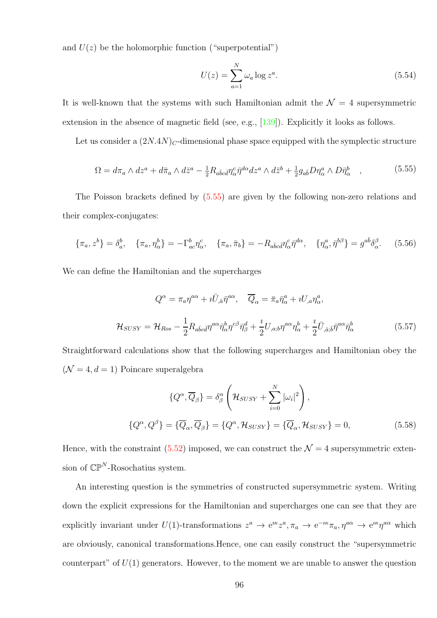and  $U(z)$  be the holomorphic function ("superpotential")

$$
U(z) = \sum_{a=1}^{N} \omega_a \log z^a.
$$
\n
$$
(5.54)
$$

It is well-known that the systems with such Hamiltonian admit the  $\mathcal{N}=4$  supersymmetric extension in the absence of magnetic field (see, e.g., [\[139\]](#page-112-4)). Explicitly it looks as follows.

Let us consider a  $(2N.4N)<sub>C</sub>$ -dimensional phase space equipped with the symplectic structure

<span id="page-95-0"></span>
$$
\Omega = d\pi_a \wedge dz^a + d\bar{\pi}_a \wedge d\bar{z}^a - \frac{1}{2} R_{a\bar{b}c\bar{d}} \eta^c_\alpha \bar{\eta}^{d\alpha} dz^a \wedge d\bar{z}^b + \frac{1}{2} g_{a\bar{b}} D \eta^a_\alpha \wedge D \bar{\eta}^b_\alpha \quad , \tag{5.55}
$$

The Poisson brackets defined by [\(5.55\)](#page-95-0) are given by the following non-zero relations and their complex-conjugates:

$$
\{\pi_a, z^b\} = \delta_a^b, \quad \{\pi_a, \eta_\alpha^b\} = -\Gamma_{ac}^b \eta_\alpha^c, \quad \{\pi_a, \bar{\pi}_b\} = -R_{a\bar{b}c\bar{d}} \eta_\alpha^c \bar{\eta}^{d\alpha}, \quad \{\eta_\alpha^a, \bar{\eta}^{b\beta}\} = g^{a\bar{b}} \delta_\alpha^\beta. \tag{5.56}
$$

We can define the Hamiltonian and the supercharges

$$
Q^{\alpha} = \pi_a \eta^{a\alpha} + i \bar{U}_{,\bar{a}} \bar{\eta}^{a\alpha}, \quad \overline{Q}_{\alpha} = \bar{\pi}_a \bar{\eta}^a_{\alpha} + i U_{,a} \eta^a_{\alpha},
$$

$$
\mathcal{H}_{SUSY} = \mathcal{H}_{Ros} - \frac{1}{2} R_{a\bar{b}c\bar{d}} \eta^{a\alpha} \bar{\eta}^b_{\alpha} \eta^{c\beta} \bar{\eta}^d_{\beta} + \frac{i}{2} U_{,a;b} \eta^{a\alpha} \eta^b_{\alpha} + \frac{i}{2} \bar{U}_{,\bar{a};\bar{b}} \bar{\eta}^{a\alpha} \bar{\eta}^b_{\alpha}
$$
(5.57)

Straightforward calculations show that the following supercharges and Hamiltonian obey the  $(N = 4, d = 1)$  Poincare superalgebra

$$
\{Q^{\alpha}, \overline{Q}_{\beta}\} = \delta^{\alpha}_{\beta} \left(\mathcal{H}_{SUSY} + \sum_{i=0}^{N} |\omega_{i}|^{2}\right),
$$
  

$$
\{Q^{\alpha}, Q^{\beta}\} = \{\overline{Q}_{\alpha}, \overline{Q}_{\beta}\} = \{Q^{\alpha}, \mathcal{H}_{SUSY}\} = \{\overline{Q}_{\alpha}, \mathcal{H}_{SUSY}\} = 0,
$$
 (5.58)

Hence, with the constraint [\(5.52\)](#page-94-0) imposed, we can construct the  $\mathcal{N}=4$  supersymmetric extension of  $\mathbb{CP}^N$ -Rosochatius system.

An interesting question is the symmetries of constructed supersymmetric system. Writing down the explicit expressions for the Hamiltonian and supercharges one can see that they are explicitly invariant under  $U(1)$ -transformations  $z^a \to e^{i\kappa} z^a$ ,  $\pi_a \to e^{-i\kappa} \pi_a$ ,  $\eta^{a\alpha} \to e^{i\kappa} \eta^{a\alpha}$  which are obviously, canonical transformations.Hence, one can easily construct the "supersymmetric counterpart" of  $U(1)$  generators. However, to the moment we are unable to answer the question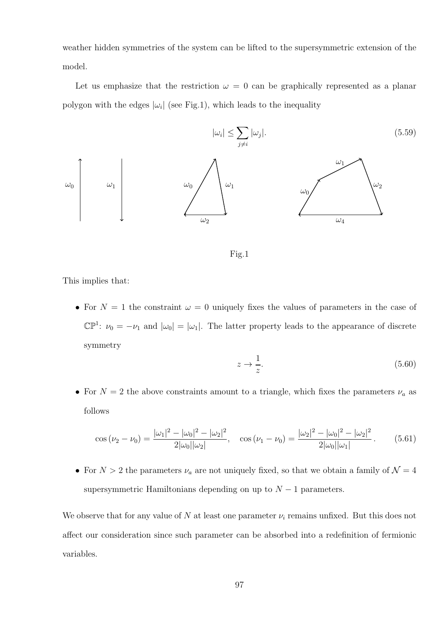weather hidden symmetries of the system can be lifted to the supersymmetric extension of the model.

Let us emphasize that the restriction  $\omega = 0$  can be graphically represented as a planar polygon with the edges  $|\omega_i|$  (see Fig.1), which leads to the inequality





This implies that:

• For  $N = 1$  the constraint  $\omega = 0$  uniquely fixes the values of parameters in the case of  $\mathbb{CP}^1$ :  $\nu_0 = -\nu_1$  and  $|\omega_0| = |\omega_1|$ . The latter property leads to the appearance of discrete symmetry

$$
z \to \frac{1}{z}.\tag{5.60}
$$

• For  $N=2$  the above constraints amount to a triangle, which fixes the parameters  $\nu_a$  as follows

$$
\cos(\nu_2 - \nu_0) = \frac{|\omega_1|^2 - |\omega_0|^2 - |\omega_2|^2}{2|\omega_0||\omega_2|}, \quad \cos(\nu_1 - \nu_0) = \frac{|\omega_2|^2 - |\omega_0|^2 - |\omega_2|^2}{2|\omega_0||\omega_1|}. \tag{5.61}
$$

• For  $N > 2$  the parameters  $\nu_a$  are not uniquely fixed, so that we obtain a family of  $\mathcal{N} = 4$ supersymmetric Hamiltonians depending on up to  $N-1$  parameters.

We observe that for any value of N at least one parameter  $\nu_i$  remains unfixed. But this does not affect our consideration since such parameter can be absorbed into a redefinition of fermionic variables.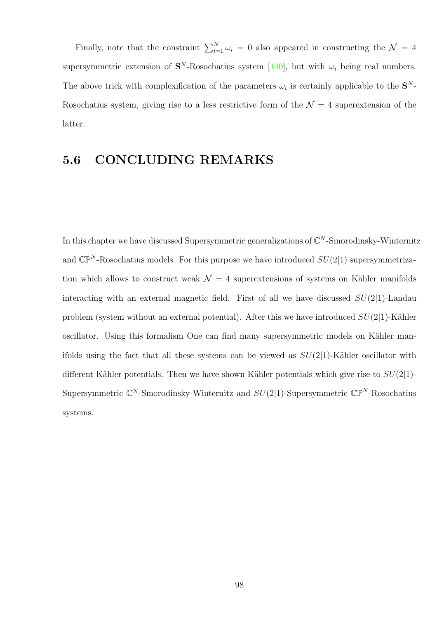Finally, note that the constraint  $\sum_{i=1}^{N} \omega_i = 0$  also appeared in constructing the  $\mathcal{N} = 4$ supersymmetric extension of  $S^N$ -Rosochatius system [\[140\]](#page-112-5), but with  $\omega_i$  being real numbers. The above trick with complexification of the parameters  $\omega_i$  is certainly applicable to the  $S^N$ -Rosochatius system, giving rise to a less restrictive form of the  $\mathcal{N}=4$  superextension of the latter.

#### 5.6 CONCLUDING REMARKS

In this chapter we have discussed Supersymmetric generalizations of  $\mathbb{C}^N$ -Smorodinsky-Winternitz and  $\mathbb{CP}^N$ -Rosochatius models. For this purpose we have introduced  $SU(2|1)$  supersymmetrization which allows to construct weak  $\mathcal{N} = 4$  superextensions of systems on Kähler manifolds interacting with an external magnetic field. First of all we have discussed  $SU(2|1)$ -Landau problem (system without an external potential). After this we have introduced  $SU(2|1)$ -Kähler oscillator. Using this formalism One can find many supersymmetric models on Kähler manifolds using the fact that all these systems can be viewed as  $SU(2|1)$ -Kähler oscillator with different Kähler potentials. Then we have shown Kähler potentials which give rise to  $SU(2|1)$ -Supersymmetric  $\mathbb{C}^N$ -Smorodinsky-Winternitz and  $SU(2|1)$ -Supersymmetric  $\mathbb{CP}^N$ -Rosochatius systems.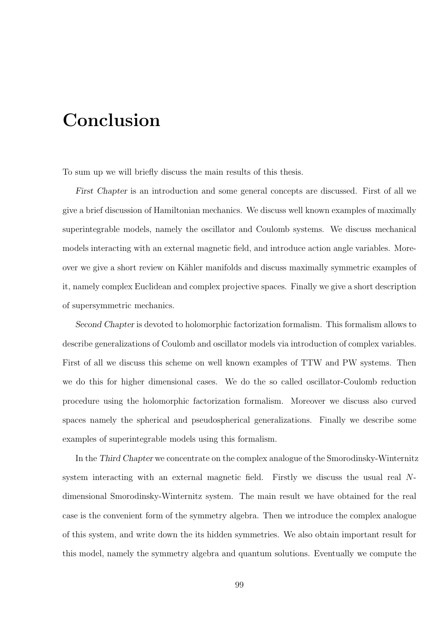## Conclusion

To sum up we will briefly discuss the main results of this thesis.

First Chapter is an introduction and some general concepts are discussed. First of all we give a brief discussion of Hamiltonian mechanics. We discuss well known examples of maximally superintegrable models, namely the oscillator and Coulomb systems. We discuss mechanical models interacting with an external magnetic field, and introduce action angle variables. Moreover we give a short review on Kähler manifolds and discuss maximally symmetric examples of it, namely complex Euclidean and complex projective spaces. Finally we give a short description of supersymmetric mechanics.

Second Chapter is devoted to holomorphic factorization formalism. This formalism allows to describe generalizations of Coulomb and oscillator models via introduction of complex variables. First of all we discuss this scheme on well known examples of TTW and PW systems. Then we do this for higher dimensional cases. We do the so called oscillator-Coulomb reduction procedure using the holomorphic factorization formalism. Moreover we discuss also curved spaces namely the spherical and pseudospherical generalizations. Finally we describe some examples of superintegrable models using this formalism.

In the Third Chapter we concentrate on the complex analogue of the Smorodinsky-Winternitz system interacting with an external magnetic field. Firstly we discuss the usual real Ndimensional Smorodinsky-Winternitz system. The main result we have obtained for the real case is the convenient form of the symmetry algebra. Then we introduce the complex analogue of this system, and write down the its hidden symmetries. We also obtain important result for this model, namely the symmetry algebra and quantum solutions. Eventually we compute the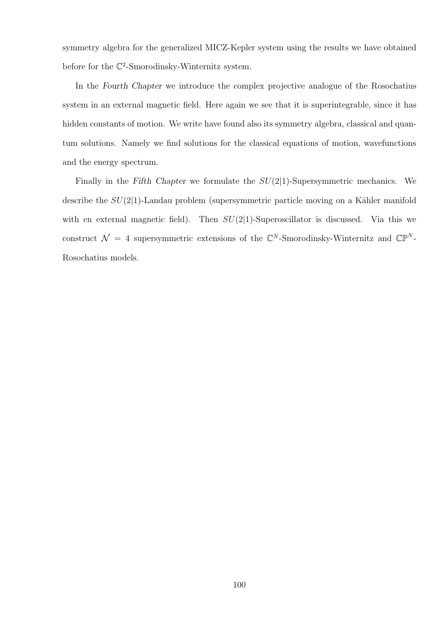symmetry algebra for the generalized MICZ-Kepler system using the results we have obtained before for the  $\mathbb{C}^2$ -Smorodinsky-Winternitz system.

In the Fourth Chapter we introduce the complex projective analogue of the Rosochatius system in an external magnetic field. Here again we see that it is superintegrable, since it has hidden constants of motion. We write have found also its symmetry algebra, classical and quantum solutions. Namely we find solutions for the classical equations of motion, wavefunctions and the energy spectrum.

Finally in the Fifth Chapter we formulate the  $SU(2|1)$ -Supersymmetric mechanics. We describe the  $SU(2|1)$ -Landau problem (supersymmetric particle moving on a Kähler manifold with en external magnetic field). Then  $SU(2|1)$ -Superoscillator is discussed. Via this we construct  $\mathcal{N} = 4$  supersymmetric extensions of the  $\mathbb{C}^N$ -Smorodinsky-Winternitz and  $\mathbb{CP}^N$ -Rosochatius models.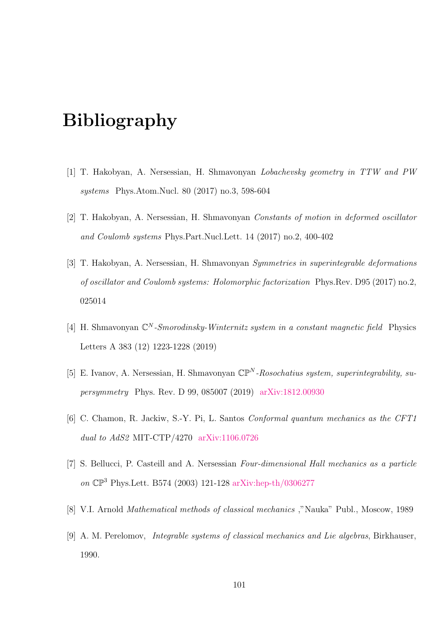## Bibliography

- [1] T. Hakobyan, A. Nersessian, H. Shmavonyan Lobachevsky geometry in TTW and PW systems Phys.Atom.Nucl. 80 (2017) no.3, 598-604
- [2] T. Hakobyan, A. Nersessian, H. Shmavonyan Constants of motion in deformed oscillator and Coulomb systems Phys.Part.Nucl.Lett. 14 (2017) no.2, 400-402
- [3] T. Hakobyan, A. Nersessian, H. Shmavonyan Symmetries in superintegrable deformations of oscillator and Coulomb systems: Holomorphic factorization Phys.Rev. D95 (2017) no.2, 025014
- <span id="page-100-0"></span>[4] H. Shmavonyan  $\mathbb{C}^N$ -*Smorodinsky-Winternitz system in a constant magnetic field* Physics Letters A 383 (12) 1223-1228 (2019)
- [5] E. Ivanov, A. Nersessian, H. Shmavonyan  $\mathbb{CP}^N$ -Rosochatius system, superintegrability, supersymmetry Phys. Rev. D 99, 085007 (2019) [arXiv:1812.00930](https://arxiv.org/abs/1812.00930)
- [6] C. Chamon, R. Jackiw, S.-Y. Pi, L. Santos Conformal quantum mechanics as the CFT1 dual to AdS2 MIT-CTP/4270 [arXiv:1106.0726](https://arxiv.org/abs/1106.0726)
- [7] S. Bellucci, P. Casteill and A. Nersessian Four-dimensional Hall mechanics as a particle on CP<sup>3</sup> Phys.Lett. B574 (2003) 121-128 [arXiv:hep-th/0306277](https://arxiv.org/abs/hep-th/0306277)
- [8] V.I. Arnold Mathematical methods of classical mechanics ,"Nauka" Publ., Moscow, 1989
- [9] A. M. Perelomov, Integrable systems of classical mechanics and Lie algebras, Birkhauser, 1990.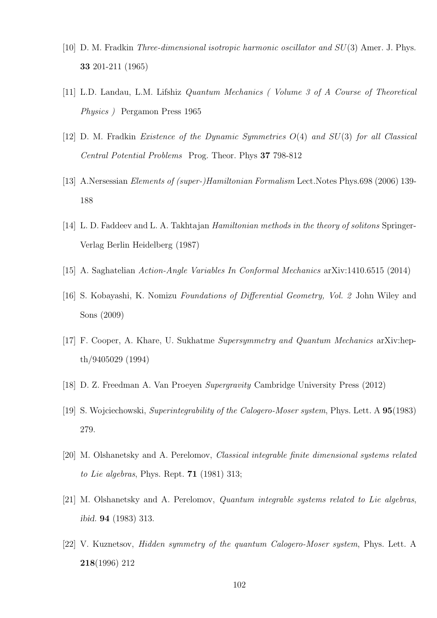- <span id="page-101-0"></span>[10] D. M. Fradkin Three-dimensional isotropic harmonic oscillator and SU(3) Amer. J. Phys. 33 201-211 (1965)
- [11] L.D. Landau, L.M. Lifshiz Quantum Mechanics ( Volume 3 of A Course of Theoretical Physics ) Pergamon Press 1965
- [12] D. M. Fradkin Existence of the Dynamic Symmetries  $O(4)$  and  $SU(3)$  for all Classical Central Potential Problems Prog. Theor. Phys 37 798-812
- [13] A.Nersessian *Elements of (super-)Hamiltonian Formalism* Lect.Notes Phys.698 (2006) 139-188
- [14] L. D. Faddeev and L. A. Takhtajan *Hamiltonian methods in the theory of solitons* Springer-Verlag Berlin Heidelberg (1987)
- [15] A. Saghatelian Action-Angle Variables In Conformal Mechanics arXiv:1410.6515 (2014)
- [16] S. Kobayashi, K. Nomizu Foundations of Differential Geometry, Vol. 2 John Wiley and Sons (2009)
- [17] F. Cooper, A. Khare, U. Sukhatme Supersymmetry and Quantum Mechanics arXiv:hepth/9405029 (1994)
- [18] D. Z. Freedman A. Van Proeyen Supergravity Cambridge University Press (2012)
- [19] S. Wojciechowski, Superintegrability of the Calogero-Moser system, Phys. Lett. A 95(1983) 279.
- [20] M. Olshanetsky and A. Perelomov, Classical integrable finite dimensional systems related to Lie algebras, Phys. Rept. 71 (1981) 313;
- [21] M. Olshanetsky and A. Perelomov, Quantum integrable systems related to Lie algebras, ibid. 94 (1983) 313.
- [22] V. Kuznetsov, Hidden symmetry of the quantum Calogero-Moser system, Phys. Lett. A 218(1996) 212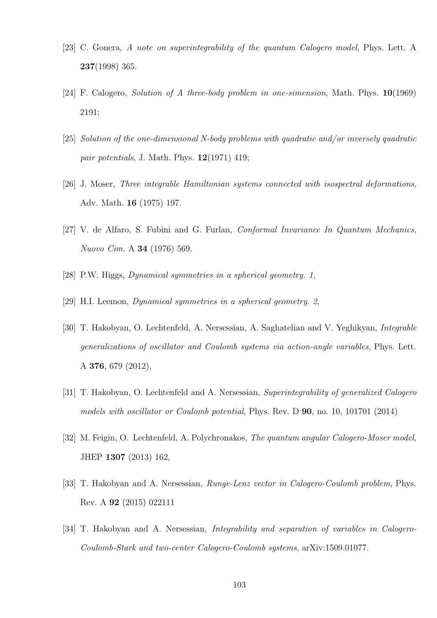- [23] C. Gonera, A note on superintegrability of the quantum Calogero model, Phys. Lett. A 237(1998) 365.
- [24] F. Calogero, Solution of A three-body problem in one-simension, Math. Phys. 10(1969) 2191;
- [25] Solution of the one-dimensional N-body problems with quadratic and/or inversely quadratic pair potentials, J. Math. Phys.  $12(1971)$  419;
- [26] J. Moser, Three integrable Hamiltonian systems connected with isospectral deformations, Adv. Math. 16 (1975) 197.
- [27] V. de Alfaro, S. Fubini and G. Furlan, Conformal Invariance In Quantum Mechanics, Nuovo Cim. A 34 (1976) 569.
- [28] P.W. Higgs, Dynamical symmetries in a spherical geometry. 1,
- [29] H.I. Leemon, Dynamical symmetries in a spherical geometry. 2,
- [30] T. Hakobyan, O. Lechtenfeld, A. Nersessian, A. Saghatelian and V. Yeghikyan, Integrable generalizations of oscillator and Coulomb systems via action-angle variables, Phys. Lett. A 376, 679 (2012),
- [31] T. Hakobyan, O. Lechtenfeld and A. Nersessian, Superintegrability of generalized Calogero models with oscillator or Coulomb potential, Phys. Rev. D 90, no. 10, 101701 (2014)
- [32] M. Feigin, O. Lechtenfeld, A. Polychronakos, The quantum angular Calogero-Moser model, JHEP 1307 (2013) 162,
- [33] T. Hakobyan and A. Nersessian, *Runge-Lenz vector in Calogero-Coulomb problem*, Phys. Rev. A 92 (2015) 022111
- [34] T. Hakobyan and A. Nersessian, Integrability and separation of variables in Calogero-Coulomb-Stark and two-center Calogero-Coulomb systems, arXiv:1509.01077.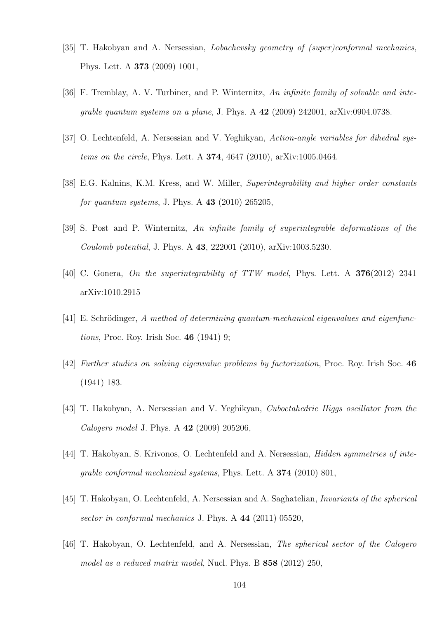- [35] T. Hakobyan and A. Nersessian, Lobachevsky geometry of (super)conformal mechanics, Phys. Lett. A 373 (2009) 1001,
- [36] F. Tremblay, A. V. Turbiner, and P. Winternitz, An infinite family of solvable and integrable quantum systems on a plane, J. Phys. A 42 (2009) 242001, arXiv:0904.0738.
- [37] O. Lechtenfeld, A. Nersessian and V. Yeghikyan, Action-angle variables for dihedral systems on the circle, Phys. Lett. A 374, 4647 (2010), arXiv:1005.0464.
- [38] E.G. Kalnins, K.M. Kress, and W. Miller, Superintegrability and higher order constants for quantum systems, J. Phys. A  $43$  (2010) 265205,
- [39] S. Post and P. Winternitz, An infinite family of superintegrable deformations of the Coulomb potential, J. Phys. A 43, 222001 (2010), arXiv:1003.5230.
- [40] C. Gonera, On the superintegrability of TTW model, Phys. Lett. A 376(2012) 2341 arXiv:1010.2915
- [41] E. Schrödinger, A method of determining quantum-mechanical eigenvalues and eigenfunctions, Proc. Roy. Irish Soc. 46 (1941) 9;
- [42] Further studies on solving eigenvalue problems by factorization, Proc. Roy. Irish Soc. 46 (1941) 183.
- [43] T. Hakobyan, A. Nersessian and V. Yeghikyan, Cuboctahedric Higgs oscillator from the Calogero model J. Phys. A 42 (2009) 205206,
- [44] T. Hakobyan, S. Krivonos, O. Lechtenfeld and A. Nersessian, *Hidden symmetries of inte*grable conformal mechanical systems, Phys. Lett. A 374 (2010) 801,
- [45] T. Hakobyan, O. Lechtenfeld, A. Nersessian and A. Saghatelian, Invariants of the spherical sector in conformal mechanics J. Phys. A 44 (2011) 05520,
- [46] T. Hakobyan, O. Lechtenfeld, and A. Nersessian, The spherical sector of the Calogero model as a reduced matrix model, Nucl. Phys. B 858 (2012) 250,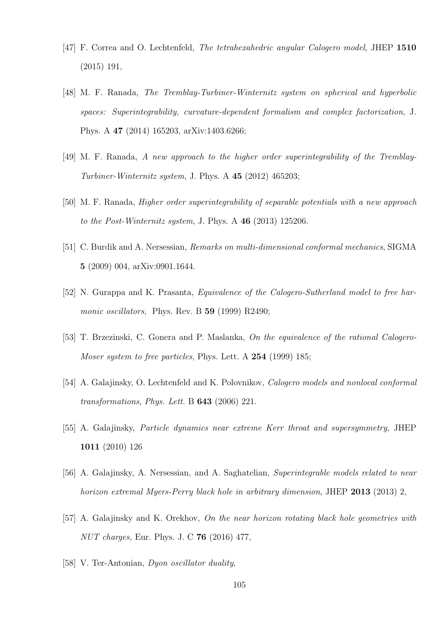- [47] F. Correa and O. Lechtenfeld, The tetrahexahedric angular Calogero model, JHEP 1510 (2015) 191,
- [48] M. F. Ranada, The Tremblay-Turbiner-Winternitz system on spherical and hyperbolic spaces: Superintegrability, curvature-dependent formalism and complex factorization, J. Phys. A 47 (2014) 165203, arXiv:1403.6266;
- [49] M. F. Ranada, A new approach to the higher order superintegrability of the Tremblay-Turbiner-Winternitz system, J. Phys. A  $45$  (2012) 465203;
- [50] M. F. Ranada, Higher order superintegrability of separable potentials with a new approach to the Post-Winternitz system, J. Phys. A 46 (2013) 125206.
- [51] C. Burdik and A. Nersessian, Remarks on multi-dimensional conformal mechanics, SIGMA 5 (2009) 004, arXiv:0901.1644.
- [52] N. Gurappa and K. Prasanta, Equivalence of the Calogero-Sutherland model to free harmonic oscillators, Phys. Rev. B 59 (1999) R2490;
- [53] T. Brzezinski, C. Gonera and P. Maslanka, On the equivalence of the rational Calogero-Moser system to free particles, Phys. Lett. A 254 (1999) 185;
- [54] A. Galajinsky, O. Lechtenfeld and K. Polovnikov, Calogero models and nonlocal conformal transformations, Phys. Lett. B 643 (2006) 221.
- [55] A. Galajinsky, Particle dynamics near extreme Kerr throat and supersymmetry, JHEP 1011 (2010) 126
- [56] A. Galajinsky, A. Nersessian, and A. Saghatelian, Superintegrable models related to near horizon extremal Myers-Perry black hole in arbitrary dimension, JHEP 2013 (2013) 2,
- [57] A. Galajinsky and K. Orekhov, On the near horizon rotating black hole geometries with NUT charges, Eur. Phys. J. C 76 (2016) 477,
- [58] V. Ter-Antonian, *Dyon oscillator duality*,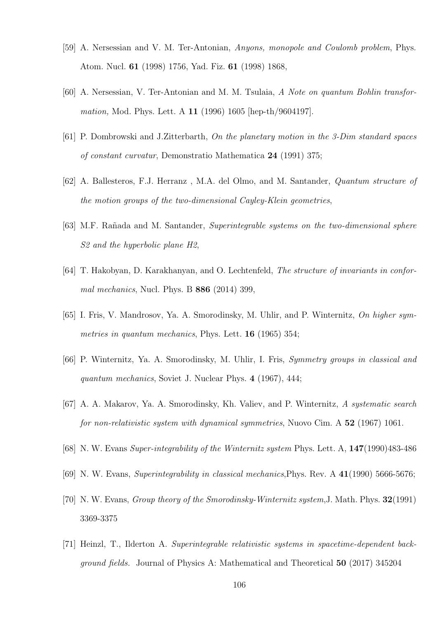- [59] A. Nersessian and V. M. Ter-Antonian, Anyons, monopole and Coulomb problem, Phys. Atom. Nucl. 61 (1998) 1756, Yad. Fiz. 61 (1998) 1868,
- [60] A. Nersessian, V. Ter-Antonian and M. M. Tsulaia, A Note on quantum Bohlin transformation, Mod. Phys. Lett. A 11 (1996) 1605 [hep-th/9604197].
- [61] P. Dombrowski and J.Zitterbarth, On the planetary motion in the 3-Dim standard spaces of constant curvatur, Demonstratio Mathematica 24 (1991) 375;
- [62] A. Ballesteros, F.J. Herranz , M.A. del Olmo, and M. Santander, Quantum structure of the motion groups of the two-dimensional Cayley-Klein geometries,
- [63] M.F. Rañada and M. Santander, Superintegrable systems on the two-dimensional sphere S2 and the hyperbolic plane H2,
- [64] T. Hakobyan, D. Karakhanyan, and O. Lechtenfeld, The structure of invariants in conformal mechanics, Nucl. Phys. B 886 (2014) 399,
- [65] I. Fris, V. Mandrosov, Ya. A. Smorodinsky, M. Uhlir, and P. Winternitz, On higher symmetries in quantum mechanics, Phys. Lett. **16** (1965) 354;
- [66] P. Winternitz, Ya. A. Smorodinsky, M. Uhlir, I. Fris, Symmetry groups in classical and quantum mechanics, Soviet J. Nuclear Phys. 4 (1967), 444;
- [67] A. A. Makarov, Ya. A. Smorodinsky, Kh. Valiev, and P. Winternitz, A systematic search for non-relativistic system with dynamical symmetries, Nuovo Cim. A 52 (1967) 1061.
- [68] N. W. Evans Super-integrability of the Winternitz system Phys. Lett. A, 147(1990)483-486
- [69] N. W. Evans, Superintegrability in classical mechanics,Phys. Rev. A 41(1990) 5666-5676;
- [70] N. W. Evans, Group theory of the Smorodinsky-Winternitz system,J. Math. Phys. 32(1991) 3369-3375
- [71] Heinzl, T., Ilderton A. Superintegrable relativistic systems in spacetime-dependent background fields. Journal of Physics A: Mathematical and Theoretical 50 (2017) 345204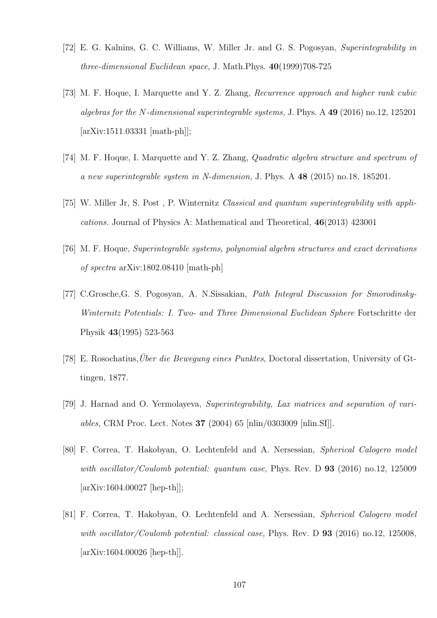- [72] E. G. Kalnins, G. C. Williams, W. Miller Jr. and G. S. Pogosyan, Superintegrability in three-dimensional Euclidean space, J. Math.Phys. 40(1999)708-725
- [73] M. F. Hoque, I. Marquette and Y. Z. Zhang, Recurrence approach and higher rank cubic algebras for the N-dimensional superintegrable systems, J. Phys. A 49 (2016) no.12, 125201 [arXiv:1511.03331 [math-ph]];
- [74] M. F. Hoque, I. Marquette and Y. Z. Zhang, Quadratic algebra structure and spectrum of a new superintegrable system in N-dimension, J. Phys. A 48 (2015) no.18, 185201.
- [75] W. Miller Jr, S. Post , P. Winternitz Classical and quantum superintegrability with applications. Journal of Physics A: Mathematical and Theoretical, 46(2013) 423001
- [76] M. F. Hoque, Superintegrable systems, polynomial algebra structures and exact derivations of spectra arXiv:1802.08410 [math-ph]
- [77] C.Grosche,G. S. Pogosyan, A. N.Sissakian, Path Integral Discussion for Smorodinsky-Winternitz Potentials: I. Two- and Three Dimensional Euclidean Sphere Fortschritte der Physik 43(1995) 523-563
- [78] E. Rosochatius, *Über die Bewegung eines Punktes*, Doctoral dissertation, University of Gttingen, 1877.
- [79] J. Harnad and O. Yermolayeva, Superintegrability, Lax matrices and separation of variables, CRM Proc. Lect. Notes 37 (2004) 65 [nlin/0303009 [nlin.SI]].
- [80] F. Correa, T. Hakobyan, O. Lechtenfeld and A. Nersessian, Spherical Calogero model with oscillator/Coulomb potential: quantum case, Phys. Rev. D  $93$  (2016) no.12, 125009 [arXiv:1604.00027 [hep-th]];
- [81] F. Correa, T. Hakobyan, O. Lechtenfeld and A. Nersessian, Spherical Calogero model with oscillator/Coulomb potential: classical case, Phys. Rev. D  $93$  (2016) no.12, 125008, [arXiv:1604.00026 [hep-th]].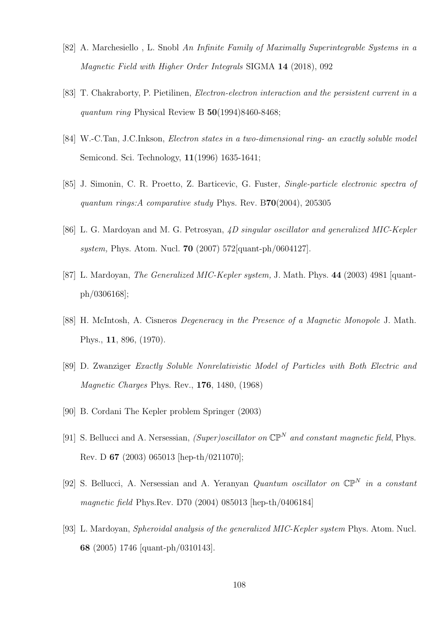- [82] A. Marchesiello , L. Snobl An Infinite Family of Maximally Superintegrable Systems in a Magnetic Field with Higher Order Integrals SIGMA 14 (2018), 092
- [83] T. Chakraborty, P. Pietilinen, Electron-electron interaction and the persistent current in a quantum ring Physical Review B  $50(1994)8460-8468$ ;
- [84] W.-C.Tan, J.C.Inkson, Electron states in a two-dimensional ring- an exactly soluble model Semicond. Sci. Technology, 11(1996) 1635-1641;
- [85] J. Simonin, C. R. Proetto, Z. Barticevic, G. Fuster, Single-particle electronic spectra of quantum rings:A comparative study Phys. Rev. B70(2004), 205305
- [86] L. G. Mardoyan and M. G. Petrosyan, 4D singular oscillator and generalized MIC-Kepler system, Phys. Atom. Nucl. 70 (2007) 572[quant-ph/0604127].
- [87] L. Mardoyan, *The Generalized MIC-Kepler system*, J. Math. Phys. 44 (2003) 4981 [quantph/0306168];
- [88] H. McIntosh, A. Cisneros Degeneracy in the Presence of a Magnetic Monopole J. Math. Phys., 11, 896, (1970).
- [89] D. Zwanziger Exactly Soluble Nonrelativistic Model of Particles with Both Electric and Magnetic Charges Phys. Rev., 176, 1480, (1968)
- <span id="page-107-0"></span>[90] B. Cordani The Kepler problem Springer (2003)
- [91] S. Bellucci and A. Nersessian, (Super)oscillator on  $\mathbb{CP}^N$  and constant magnetic field, Phys. Rev. D 67 (2003) 065013 [hep-th/0211070];
- [92] S. Bellucci, A. Nersessian and A. Yeranyan Quantum oscillator on  $\mathbb{CP}^N$  in a constant magnetic field Phys.Rev. D70 (2004) 085013 [hep-th/0406184]
- [93] L. Mardoyan, Spheroidal analysis of the generalized MIC-Kepler system Phys. Atom. Nucl. 68 (2005) 1746 [quant-ph/0310143].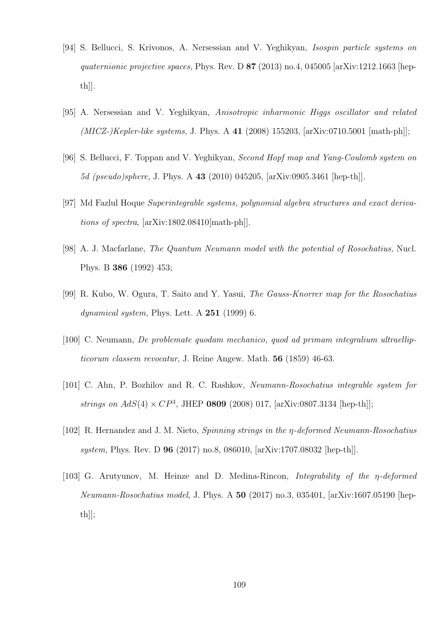- [94] S. Bellucci, S. Krivonos, A. Nersessian and V. Yeghikyan, Isospin particle systems on quaternionic projective spaces, Phys. Rev. D  $87$  (2013) no.4, 045005 [arXiv:1212.1663 [hepth]].
- [95] A. Nersessian and V. Yeghikyan, Anisotropic inharmonic Higgs oscillator and related  $(MICZ-)Kepler-like systems, J. Phys. A 41 (2008) 155203, [arXiv:0710.5001 [math-ph]];$
- [96] S. Bellucci, F. Toppan and V. Yeghikyan, Second Hopf map and Yang-Coulomb system on 5d (pseudo)sphere, J. Phys. A 43 (2010) 045205, [arXiv:0905.3461 [hep-th]].
- [97] Md Fazlul Hoque Superintegrable systems, polynomial algebra structures and exact derivations of spectra, [arXiv:1802.08410[math-ph]].
- [98] A. J. Macfarlane, The Quantum Neumann model with the potential of Rosochatius, Nucl. Phys. B 386 (1992) 453;
- [99] R. Kubo, W. Ogura, T. Saito and Y. Yasui, The Gauss-Knorrer map for the Rosochatius dynamical system, Phys. Lett. A  $251$  (1999) 6.
- [100] C. Neumann, De problemate quodam mechanico, quod ad primam integralium ultraellipticorum classem revocatur, J. Reine Angew. Math. 56 (1859) 46-63.
- [101] C. Ahn, P. Bozhilov and R. C. Rashkov, Neumann-Rosochatius integrable system for strings on  $AdS(4) \times CP^3$ , JHEP **0809** (2008) 017, [arXiv:0807.3134 [hep-th]];
- [102] R. Hernandez and J. M. Nieto, *Spinning strings in the*  $\eta$ *-deformed Neumann-Rosochatius* system, Phys. Rev. D 96 (2017) no.8, 086010, [arXiv:1707.08032 [hep-th]].
- [103] G. Arutyunov, M. Heinze and D. Medina-Rincon, Integrability of the η-deformed Neumann-Rosochatius model, J. Phys. A 50 (2017) no.3, 035401, [arXiv:1607.05190 [hepth]];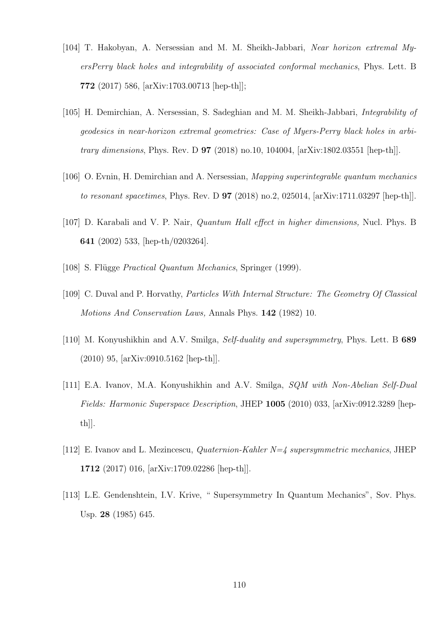- [104] T. Hakobyan, A. Nersessian and M. M. Sheikh-Jabbari, Near horizon extremal MyersPerry black holes and integrability of associated conformal mechanics, Phys. Lett. B 772 (2017) 586, [arXiv:1703.00713 [hep-th]];
- [105] H. Demirchian, A. Nersessian, S. Sadeghian and M. M. Sheikh-Jabbari, Integrability of geodesics in near-horizon extremal geometries: Case of Myers-Perry black holes in arbitrary dimensions, Phys. Rev. D 97 (2018) no.10, 104004, [arXiv:1802.03551 [hep-th]].
- [106] O. Evnin, H. Demirchian and A. Nersessian, Mapping superintegrable quantum mechanics to resonant spacetimes, Phys. Rev. D 97 (2018) no.2, 025014, [arXiv:1711.03297 [hep-th]].
- [107] D. Karabali and V. P. Nair, Quantum Hall effect in higher dimensions, Nucl. Phys. B 641 (2002) 533, [hep-th/0203264].
- [108] S. Flügge *Practical Quantum Mechanics*, Springer (1999).
- [109] C. Duval and P. Horvathy, Particles With Internal Structure: The Geometry Of Classical Motions And Conservation Laws, Annals Phys. 142 (1982) 10.
- [110] M. Konyushikhin and A.V. Smilga, *Self-duality and supersymmetry*, Phys. Lett. B 689 (2010) 95, [arXiv:0910.5162 [hep-th]].
- [111] E.A. Ivanov, M.A. Konyushikhin and A.V. Smilga, SQM with Non-Abelian Self-Dual Fields: Harmonic Superspace Description, JHEP 1005 (2010) 033, [arXiv:0912.3289 [hepth]].
- [112] E. Ivanov and L. Mezincescu, *Quaternion-Kahler N=4 supersymmetric mechanics*, JHEP 1712 (2017) 016, [arXiv:1709.02286 [hep-th]].
- [113] L.E. Gendenshtein, I.V. Krive, "Supersymmetry In Quantum Mechanics", Sov. Phys. Usp. 28 (1985) 645.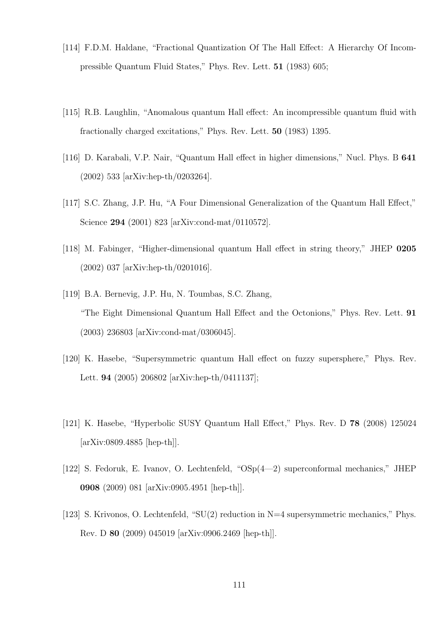- [114] F.D.M. Haldane, "Fractional Quantization Of The Hall Effect: A Hierarchy Of Incompressible Quantum Fluid States," Phys. Rev. Lett. 51 (1983) 605;
- [115] R.B. Laughlin, "Anomalous quantum Hall effect: An incompressible quantum fluid with fractionally charged excitations," Phys. Rev. Lett. 50 (1983) 1395.
- [116] D. Karabali, V.P. Nair, "Quantum Hall effect in higher dimensions," Nucl. Phys. B 641 (2002) 533 [arXiv:hep-th/0203264].
- [117] S.C. Zhang, J.P. Hu, "A Four Dimensional Generalization of the Quantum Hall Effect," Science 294 (2001) 823 [arXiv:cond-mat/0110572].
- [118] M. Fabinger, "Higher-dimensional quantum Hall effect in string theory," JHEP 0205 (2002) 037 [arXiv:hep-th/0201016].
- [119] B.A. Bernevig, J.P. Hu, N. Toumbas, S.C. Zhang, "The Eight Dimensional Quantum Hall Effect and the Octonions," Phys. Rev. Lett. 91 (2003) 236803 [arXiv:cond-mat/0306045].
- [120] K. Hasebe, "Supersymmetric quantum Hall effect on fuzzy supersphere," Phys. Rev. Lett. 94 (2005) 206802 [arXiv:hep-th/0411137];
- [121] K. Hasebe, "Hyperbolic SUSY Quantum Hall Effect," Phys. Rev. D 78 (2008) 125024 [arXiv:0809.4885 [hep-th]].
- [122] S. Fedoruk, E. Ivanov, O. Lechtenfeld, "OSp(4—2) superconformal mechanics," JHEP 0908 (2009) 081 [arXiv:0905.4951 [hep-th]].
- [123] S. Krivonos, O. Lechtenfeld, "SU(2) reduction in N=4 supersymmetric mechanics," Phys. Rev. D 80 (2009) 045019 [arXiv:0906.2469 [hep-th]].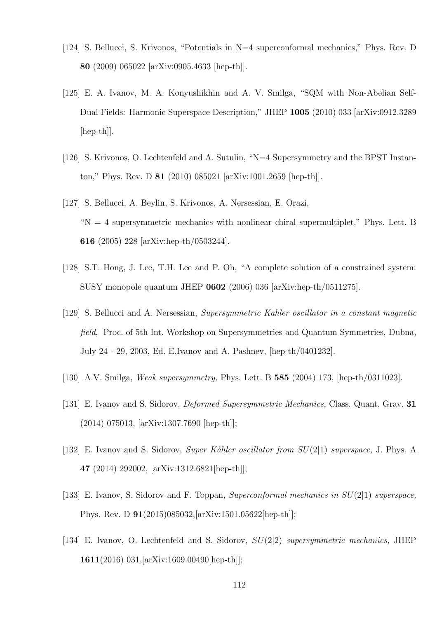- [124] S. Bellucci, S. Krivonos, "Potentials in N=4 superconformal mechanics," Phys. Rev. D 80 (2009) 065022 [arXiv:0905.4633 [hep-th]].
- [125] E. A. Ivanov, M. A. Konyushikhin and A. V. Smilga, "SQM with Non-Abelian Self-Dual Fields: Harmonic Superspace Description," JHEP 1005 (2010) 033 [arXiv:0912.3289 [hep-th]].
- [126] S. Krivonos, O. Lechtenfeld and A. Sutulin, "N=4 Supersymmetry and the BPST Instanton," Phys. Rev. D 81 (2010) 085021 [arXiv:1001.2659 [hep-th]].
- [127] S. Bellucci, A. Beylin, S. Krivonos, A. Nersessian, E. Orazi,  $N = 4$  supersymmetric mechanics with nonlinear chiral supermultiplet," Phys. Lett. B 616 (2005) 228 [arXiv:hep-th/0503244].
- [128] S.T. Hong, J. Lee, T.H. Lee and P. Oh, "A complete solution of a constrained system: SUSY monopole quantum JHEP 0602 (2006) 036 [arXiv:hep-th/0511275].
- [129] S. Bellucci and A. Nersessian, Supersymmetric Kahler oscillator in a constant magnetic field, Proc. of 5th Int. Workshop on Supersymmetries and Quantum Symmetries, Dubna, July 24 - 29, 2003, Ed. E.Ivanov and A. Pashnev, [hep-th/0401232].
- [130] A.V. Smilga, Weak supersymmetry, Phys. Lett. B 585 (2004) 173, [hep-th/0311023].
- [131] E. Ivanov and S. Sidorov, *Deformed Supersymmetric Mechanics*, Class. Quant. Grav. **31** (2014) 075013, [arXiv:1307.7690 [hep-th]];
- [132] E. Ivanov and S. Sidorov, Super Kähler oscillator from  $SU(2|1)$  superspace, J. Phys. A 47 (2014) 292002, [arXiv:1312.6821[hep-th]];
- [133] E. Ivanov, S. Sidorov and F. Toppan, Superconformal mechanics in SU(2|1) superspace, Phys. Rev. D 91(2015)085032,[arXiv:1501.05622[hep-th]];
- [134] E. Ivanov, O. Lechtenfeld and S. Sidorov,  $SU(2|2)$  supersymmetric mechanics, JHEP 1611(2016) 031,[arXiv:1609.00490[hep-th]];